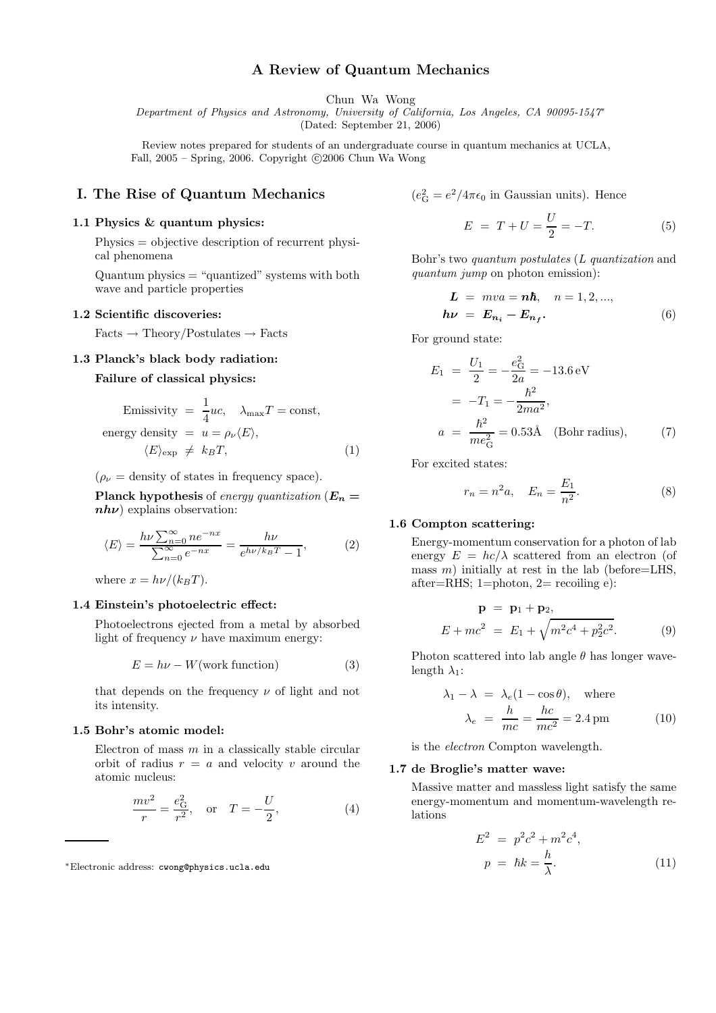# A Review of Quantum Mechanics

Chun Wa Wong

Department of Physics and Astronomy, University of California, Los Angeles, CA 90095-1547<sup>∗</sup>

(Dated: September 21, 2006)

Review notes prepared for students of an undergraduate course in quantum mechanics at UCLA, Fall,  $2005 -$  Spring, 2006. Copyright  $\odot$  2006 Chun Wa Wong

# I. The Rise of Quantum Mechanics

## 1.1 Physics & quantum physics:

Physics = objective description of recurrent physical phenomena

Quantum physics = "quantized" systems with both wave and particle properties

#### 1.2 Scientific discoveries:

 $Facts \rightarrow Theory/Postulates \rightarrow Facts$ 

# 1.3 Planck's black body radiation:

# Failure of classical physics:

Emissivity 
$$
=\frac{1}{4}uc
$$
,  $\lambda_{\text{max}}T = \text{const}$ ,  
energy density  $= u = \rho_{\nu}\langle E \rangle$ ,  
 $\langle E \rangle_{\text{exp}} \neq k_B T$ , (1)

 $(\rho_{\nu} =$  density of states in frequency space).

**Planck hypothesis** of energy quantization  $(E_n =$  $nh\nu$ ) explains observation:

$$
\langle E \rangle = \frac{h\nu \sum_{n=0}^{\infty} n e^{-nx}}{\sum_{n=0}^{\infty} e^{-nx}} = \frac{h\nu}{e^{h\nu/k_B T} - 1},\tag{2}
$$

where  $x = h\nu/(k_BT)$ .

#### 1.4 Einstein's photoelectric effect:

Photoelectrons ejected from a metal by absorbed light of frequency  $\nu$  have maximum energy:

$$
E = h\nu - W(\text{work function})\tag{3}
$$

that depends on the frequency  $\nu$  of light and not its intensity.

## 1.5 Bohr's atomic model:

Electron of mass  $m$  in a classically stable circular orbit of radius  $r = a$  and velocity v around the atomic nucleus:

$$
\frac{mv^2}{r} = \frac{e_G^2}{r^2}, \quad \text{or} \quad T = -\frac{U}{2}, \tag{4}
$$

$$
(e_G^2 = e^2/4\pi\epsilon_0
$$
 in Gaussian units). Hence

$$
E = T + U = \frac{U}{2} = -T.
$$
 (5)

Bohr's two quantum postulates (L quantization and quantum jump on photon emission):

$$
L = mva = n\hbar, \quad n = 1, 2, ...,
$$
  

$$
h\nu = E_{n_i} - E_{n_f}.
$$
 (6)

For ground state:

$$
E_1 = \frac{U_1}{2} = -\frac{e_G^2}{2a} = -13.6 \text{ eV}
$$
  
=  $-T_1 = -\frac{\hbar^2}{2ma^2}$ ,  

$$
a = \frac{\hbar^2}{me_G^2} = 0.53 \text{Å} \quad \text{(Bohr radius)}, \tag{7}
$$

For excited states:

$$
r_n = n^2 a, \quad E_n = \frac{E_1}{n^2}.
$$
 (8)

### 1.6 Compton scattering:

Energy-momentum conservation for a photon of lab energy  $E = hc/\lambda$  scattered from an electron (of mass  $m$ ) initially at rest in the lab (before=LHS, after=RHS;  $1=$ photon,  $2=$  recoiling e):

$$
\mathbf{p} = \mathbf{p}_1 + \mathbf{p}_2, \nE + mc^2 = E_1 + \sqrt{m^2c^4 + p_2^2c^2}.
$$
\n(9)

Photon scattered into lab angle  $\theta$  has longer wavelength  $\lambda_1$ :

$$
\lambda_1 - \lambda = \lambda_e (1 - \cos \theta), \text{ where}
$$
  

$$
\lambda_e = \frac{h}{mc} = \frac{hc}{mc^2} = 2.4 \text{ pm}
$$
 (10)

is the electron Compton wavelength.

#### 1.7 de Broglie's matter wave:

Massive matter and massless light satisfy the same energy-momentum and momentum-wavelength relations

$$
E2 = p2c2 + m2c4,p = \hbar k = \frac{h}{\lambda}.
$$
 (11)

<sup>∗</sup>Electronic address: cwong@physics.ucla.edu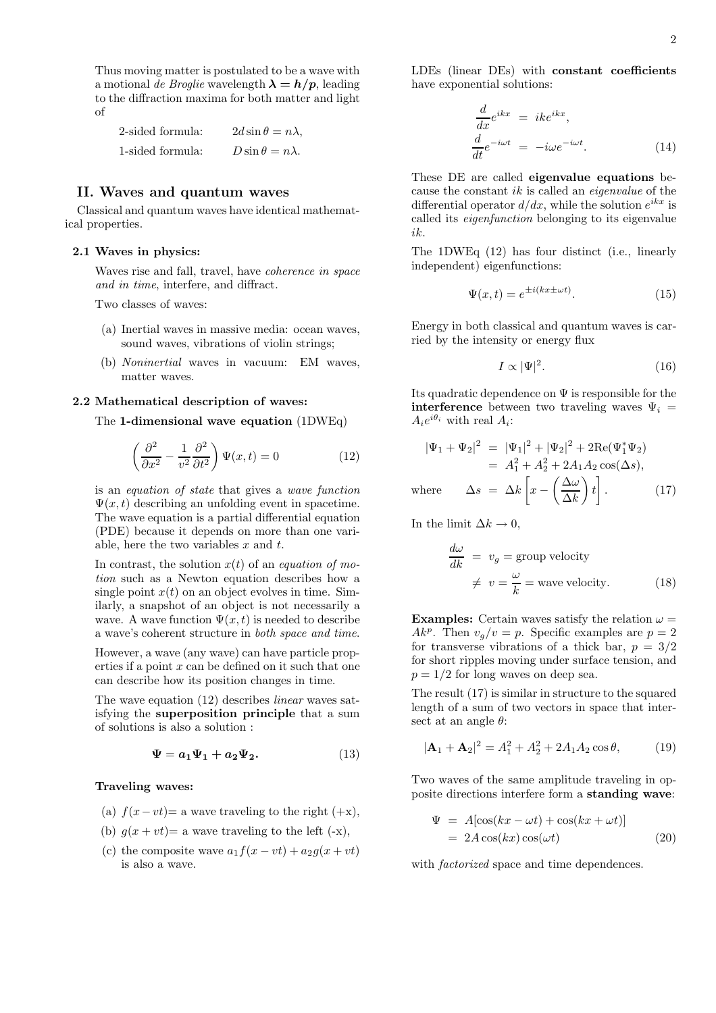Thus moving matter is postulated to be a wave with a motional de Broglie wavelength  $\lambda = h/p$ , leading to the diffraction maxima for both matter and light of

| 2-sided formula: | $2d\sin\theta = n\lambda,$ |
|------------------|----------------------------|
| 1-sided formula: | $D\sin\theta = n\lambda$ . |

# II. Waves and quantum waves

Classical and quantum waves have identical mathematical properties.

### 2.1 Waves in physics:

Waves rise and fall, travel, have coherence in space and in time, interfere, and diffract.

Two classes of waves:

- (a) Inertial waves in massive media: ocean waves, sound waves, vibrations of violin strings;
- (b) Noninertial waves in vacuum: EM waves, matter waves.

# 2.2 Mathematical description of waves:

#### The 1-dimensional wave equation (1DWEq)

$$
\left(\frac{\partial^2}{\partial x^2} - \frac{1}{v^2} \frac{\partial^2}{\partial t^2}\right) \Psi(x, t) = 0 \tag{12}
$$

is an equation of state that gives a wave function  $\Psi(x, t)$  describing an unfolding event in spacetime. The wave equation is a partial differential equation (PDE) because it depends on more than one variable, here the two variables  $x$  and  $t$ .

In contrast, the solution  $x(t)$  of an *equation of mo*tion such as a Newton equation describes how a single point  $x(t)$  on an object evolves in time. Similarly, a snapshot of an object is not necessarily a wave. A wave function  $\Psi(x, t)$  is needed to describe a wave's coherent structure in both space and time.

However, a wave (any wave) can have particle properties if a point  $x$  can be defined on it such that one can describe how its position changes in time.

The wave equation (12) describes *linear* waves satisfying the superposition principle that a sum of solutions is also a solution :

$$
\Psi = a_1 \Psi_1 + a_2 \Psi_2. \tag{13}
$$

#### Traveling waves:

- (a)  $f(x-vt)$ = a wave traveling to the right (+x),
- (b)  $g(x + vt) = a$  wave traveling to the left  $(-x)$ ,
- (c) the composite wave  $a_1f(x vt) + a_2g(x + vt)$ is also a wave.

LDEs (linear DEs) with constant coefficients have exponential solutions:

$$
\frac{d}{dx}e^{ikx} = ike^{ikx},
$$
\n
$$
\frac{d}{dt}e^{-i\omega t} = -i\omega e^{-i\omega t}.
$$
\n(14)

These DE are called eigenvalue equations because the constant  $ik$  is called an *eigenvalue* of the differential operator  $d/dx$ , while the solution  $e^{ikx}$  is called its eigenfunction belonging to its eigenvalue ik.

The 1DWEq (12) has four distinct (i.e., linearly independent) eigenfunctions:

$$
\Psi(x,t) = e^{\pm i(kx \pm \omega t)}.
$$
\n(15)

Energy in both classical and quantum waves is carried by the intensity or energy flux

$$
I \propto |\Psi|^2. \tag{16}
$$

Its quadratic dependence on  $\Psi$  is responsible for the **interference** between two traveling waves  $\Psi_i$  =  $A_i e^{i\theta_i}$  with real  $A_i$ :

$$
|\Psi_1 + \Psi_2|^2 = |\Psi_1|^2 + |\Psi_2|^2 + 2\text{Re}(\Psi_1^* \Psi_2)
$$
  
=  $A_1^2 + A_2^2 + 2A_1 A_2 \cos(\Delta s)$ ,  
where  $\Delta s = \Delta k \left[ x - \left( \frac{\Delta \omega}{\Delta k} \right) t \right].$  (17)

In the limit  $\Delta k \to 0$ ,

$$
\frac{d\omega}{dk} = v_g = \text{group velocity}
$$
  

$$
\neq v = \frac{\omega}{k} = \text{wave velocity.}
$$
 (18)

**Examples:** Certain waves satisfy the relation  $\omega$  = Ak<sup>p</sup>. Then  $v_g/v = p$ . Specific examples are  $p = 2$ for transverse vibrations of a thick bar,  $p = 3/2$ for short ripples moving under surface tension, and  $p = 1/2$  for long waves on deep sea.

The result (17) is similar in structure to the squared length of a sum of two vectors in space that intersect at an angle  $\theta$ :

$$
|\mathbf{A}_1 + \mathbf{A}_2|^2 = A_1^2 + A_2^2 + 2A_1A_2\cos\theta,\tag{19}
$$

Two waves of the same amplitude traveling in opposite directions interfere form a standing wave:

$$
\Psi = A[\cos(kx - \omega t) + \cos(kx + \omega t)]
$$
  
= 2A cos(kx) cos(\omega t) (20)

with *factorized* space and time dependences.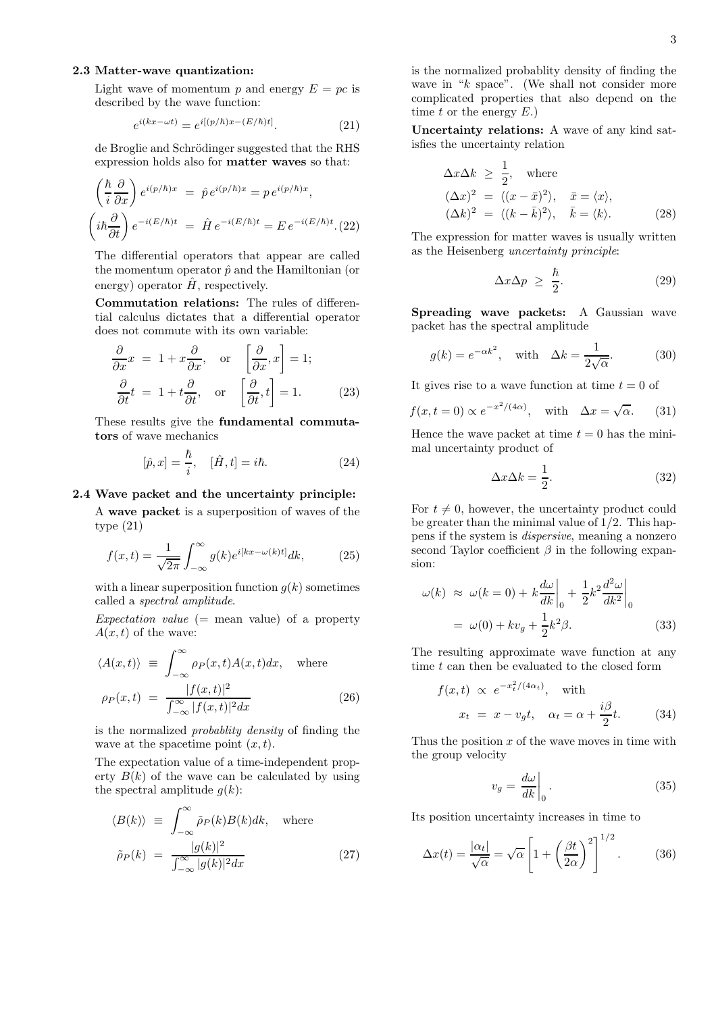# 2.3 Matter-wave quantization:

Light wave of momentum p and energy  $E = pc$  is described by the wave function:

$$
e^{i(kx - \omega t)} = e^{i[(p/\hbar)x - (E/\hbar)t]}.
$$
\n(21)

de Broglie and Schrödinger suggested that the RHS expression holds also for matter waves so that:

$$
\left(\frac{\hbar}{i}\frac{\partial}{\partial x}\right)e^{i(p/\hbar)x} = \hat{p}e^{i(p/\hbar)x} = pe^{i(p/\hbar)x},
$$

$$
\left(i\hbar\frac{\partial}{\partial t}\right)e^{-i(E/\hbar)t} = \hat{H}e^{-i(E/\hbar)t} = E e^{-i(E/\hbar)t}. (22)
$$

The differential operators that appear are called the momentum operator  $\hat{p}$  and the Hamiltonian (or energy) operator  $\hat{H}$ , respectively.

Commutation relations: The rules of differential calculus dictates that a differential operator does not commute with its own variable:

$$
\frac{\partial}{\partial x}x = 1 + x \frac{\partial}{\partial x}, \text{ or } \left[\frac{\partial}{\partial x}, x\right] = 1; \n\frac{\partial}{\partial t}t = 1 + t \frac{\partial}{\partial t}, \text{ or } \left[\frac{\partial}{\partial t}, t\right] = 1.
$$
\n(23)

These results give the fundamental commutators of wave mechanics

$$
[\hat{p}, x] = \frac{\hbar}{i}, \quad [\hat{H}, t] = i\hbar. \tag{24}
$$

# 2.4 Wave packet and the uncertainty principle:

A wave packet is a superposition of waves of the type (21)

$$
f(x,t) = \frac{1}{\sqrt{2\pi}} \int_{-\infty}^{\infty} g(k)e^{i[kx - \omega(k)t]} dk,
$$
 (25)

with a linear superposition function  $q(k)$  sometimes called a spectral amplitude.

Expectation value  $(=$  mean value) of a property  $A(x, t)$  of the wave:

$$
\langle A(x,t) \rangle \equiv \int_{-\infty}^{\infty} \rho_P(x,t) A(x,t) dx, \text{ where}
$$

$$
\rho_P(x,t) = \frac{|f(x,t)|^2}{\int_{-\infty}^{\infty} |f(x,t)|^2 dx} \tag{26}
$$

is the normalized probablity density of finding the wave at the spacetime point  $(x, t)$ .

The expectation value of a time-independent property  $B(k)$  of the wave can be calculated by using the spectral amplitude  $q(k)$ :

$$
\langle B(k) \rangle \equiv \int_{-\infty}^{\infty} \tilde{\rho}_P(k) B(k) dk, \text{ where}
$$

$$
\tilde{\rho}_P(k) = \frac{|g(k)|^2}{\int_{-\infty}^{\infty} |g(k)|^2 dx} \tag{27}
$$

is the normalized probablity density of finding the wave in "k space". (We shall not consider more complicated properties that also depend on the time  $t$  or the energy  $E$ .)

Uncertainty relations: A wave of any kind satisfies the uncertainty relation

$$
\Delta x \Delta k \ge \frac{1}{2}, \text{ where}
$$
  
\n
$$
(\Delta x)^2 = \langle (x - \bar{x})^2 \rangle, \quad \bar{x} = \langle x \rangle,
$$
  
\n
$$
(\Delta k)^2 = \langle (k - \bar{k})^2 \rangle, \quad \bar{k} = \langle k \rangle.
$$
\n(28)

The expression for matter waves is usually written as the Heisenberg uncertainty principle:

$$
\Delta x \Delta p \ge \frac{\hbar}{2}.
$$
 (29)

Spreading wave packets: A Gaussian wave packet has the spectral amplitude

$$
g(k) = e^{-\alpha k^2}
$$
, with  $\Delta k = \frac{1}{2\sqrt{\alpha}}$ . (30)

It gives rise to a wave function at time  $t = 0$  of

$$
f(x, t = 0) \propto e^{-x^2/(4\alpha)}
$$
, with  $\Delta x = \sqrt{\alpha}$ . (31)

Hence the wave packet at time  $t = 0$  has the minimal uncertainty product of

$$
\Delta x \Delta k = \frac{1}{2}.\tag{32}
$$

For  $t \neq 0$ , however, the uncertainty product could be greater than the minimal value of  $1/2$ . This happens if the system is dispersive, meaning a nonzero second Taylor coefficient  $\beta$  in the following expansion:

$$
\omega(k) \approx \omega(k=0) + k \frac{d\omega}{dk} \bigg|_0 + \frac{1}{2} k^2 \frac{d^2 \omega}{dk^2} \bigg|_0
$$

$$
= \omega(0) + kv_g + \frac{1}{2} k^2 \beta. \tag{33}
$$

The resulting approximate wave function at any time  $t$  can then be evaluated to the closed form

$$
f(x,t) \propto e^{-x_t^2/(4\alpha_t)}, \text{ with}
$$
  

$$
x_t = x - v_g t, \quad \alpha_t = \alpha + \frac{i\beta}{2}t.
$$
 (34)

Thus the position  $x$  of the wave moves in time with the group velocity

$$
v_g = \frac{d\omega}{dk}\bigg|_0.
$$
\n(35)

Its position uncertainty increases in time to

$$
\Delta x(t) = \frac{|\alpha_t|}{\sqrt{\alpha}} = \sqrt{\alpha} \left[ 1 + \left( \frac{\beta t}{2\alpha} \right)^2 \right]^{1/2} . \tag{36}
$$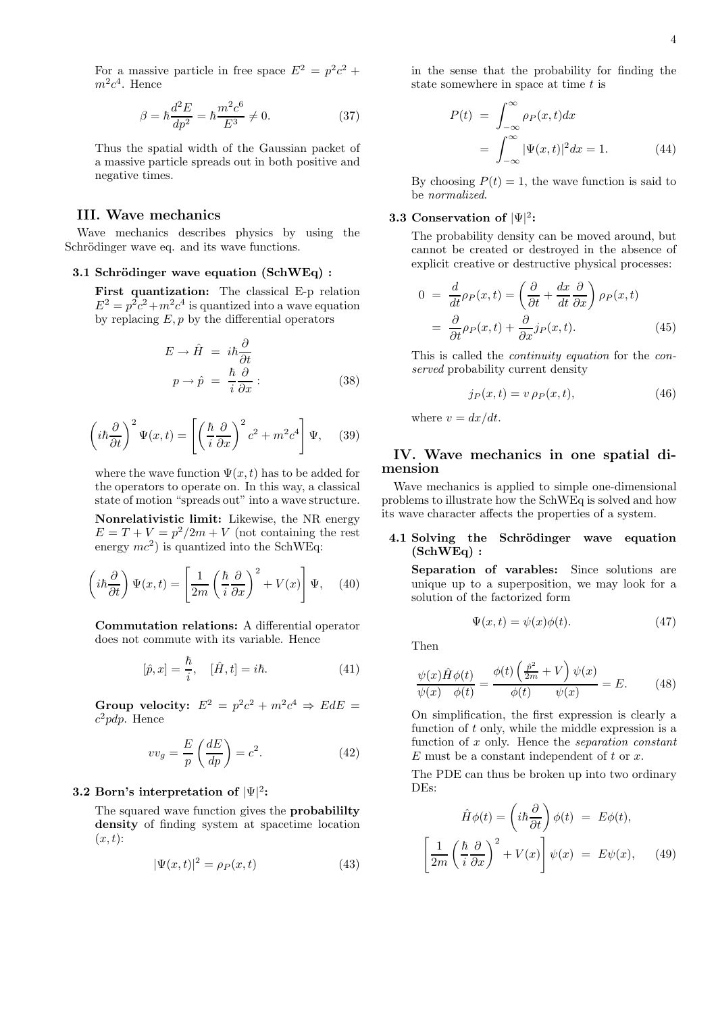For a massive particle in free space  $E^2 = p^2c^2 +$  $m^2c^4$ . Hence

$$
\beta = \hbar \frac{d^2 E}{dp^2} = \hbar \frac{m^2 c^6}{E^3} \neq 0. \tag{37}
$$

Thus the spatial width of the Gaussian packet of a massive particle spreads out in both positive and negative times.

### III. Wave mechanics

Wave mechanics describes physics by using the Schrödinger wave eq. and its wave functions.

#### 3.1 Schrödinger wave equation  $(SchWEq)$ :

First quantization: The classical E-p relation  $E^2 = p^2c^2 + m^2c^4$  is quantized into a wave equation by replacing  $E, p$  by the differential operators

$$
E \to \hat{H} = i\hbar \frac{\partial}{\partial t}
$$
  

$$
p \to \hat{p} = \frac{\hbar}{i} \frac{\partial}{\partial x}:
$$
 (38)

$$
\left(i\hbar\frac{\partial}{\partial t}\right)^2\Psi(x,t) = \left[\left(\frac{\hbar}{i}\frac{\partial}{\partial x}\right)^2 c^2 + m^2 c^4\right]\Psi,\quad(39)
$$

where the wave function  $\Psi(x, t)$  has to be added for the operators to operate on. In this way, a classical state of motion "spreads out" into a wave structure.

Nonrelativistic limit: Likewise, the NR energy  $E = T + V = p^2/2m + V$  (not containing the rest energy  $mc^2$ ) is quantized into the SchWEq:

$$
\left(i\hbar\frac{\partial}{\partial t}\right)\Psi(x,t) = \left[\frac{1}{2m}\left(\frac{\hbar}{i}\frac{\partial}{\partial x}\right)^2 + V(x)\right]\Psi,\quad(40)
$$

Commutation relations: A differential operator does not commute with its variable. Hence

$$
[\hat{p}, x] = \frac{\hbar}{i}, \quad [\hat{H}, t] = i\hbar. \tag{41}
$$

Group velocity:  $E^2 = p^2c^2 + m^2c^4 \Rightarrow EdE =$  $c^2pdp$ . Hence

$$
vv_g = \frac{E}{p} \left( \frac{dE}{dp} \right) = c^2.
$$
 (42)

# $3.2\,$  Born's interpretation of  $|\Psi|^2$ :

The squared wave function gives the **probabiliity** density of finding system at spacetime location  $(x, t)$ :

$$
|\Psi(x,t)|^2 = \rho_P(x,t) \tag{43}
$$

in the sense that the probability for finding the state somewhere in space at time  $t$  is

$$
P(t) = \int_{-\infty}^{\infty} \rho_P(x, t) dx
$$
  
= 
$$
\int_{-\infty}^{\infty} |\Psi(x, t)|^2 dx = 1.
$$
 (44)

By choosing  $P(t) = 1$ , the wave function is said to be normalized.

# $3.3$  Conservation of  $|\Psi|^2$ :

The probability density can be moved around, but cannot be created or destroyed in the absence of explicit creative or destructive physical processes:

$$
0 = \frac{d}{dt}\rho_P(x,t) = \left(\frac{\partial}{\partial t} + \frac{dx}{dt}\frac{\partial}{\partial x}\right)\rho_P(x,t)
$$

$$
= \frac{\partial}{\partial t}\rho_P(x,t) + \frac{\partial}{\partial x}j_P(x,t).
$$
(45)

This is called the continuity equation for the conserved probability current density

$$
j_P(x,t) = v \,\rho_P(x,t),\tag{46}
$$

where  $v = dx/dt$ .

# IV. Wave mechanics in one spatial dimension

Wave mechanics is applied to simple one-dimensional problems to illustrate how the SchWEq is solved and how its wave character affects the properties of a system.

# 4.1 Solving the Schrödinger wave equation (SchWEq) :

Separation of varables: Since solutions are unique up to a superposition, we may look for a solution of the factorized form

$$
\Psi(x,t) = \psi(x)\phi(t). \tag{47}
$$

Then

 $\lceil$ 

$$
\frac{\psi(x)\hat{H}\phi(t)}{\psi(x)\quad\phi(t)} = \frac{\phi(t)\left(\frac{\hat{p}^2}{2m} + V\right)\psi(x)}{\phi(t)\quad\psi(x)} = E.
$$
 (48)

On simplification, the first expression is clearly a function of  $t$  only, while the middle expression is a function of  $x$  only. Hence the *separation constant*  $E$  must be a constant independent of  $t$  or  $x$ .

The PDE can thus be broken up into two ordinary DEs:

$$
\hat{H}\phi(t) = \left(i\hbar \frac{\partial}{\partial t}\right)\phi(t) = E\phi(t),
$$

$$
\frac{1}{2m} \left(\frac{\hbar}{i} \frac{\partial}{\partial x}\right)^2 + V(x)\bigg]\psi(x) = E\psi(x), \quad (49)
$$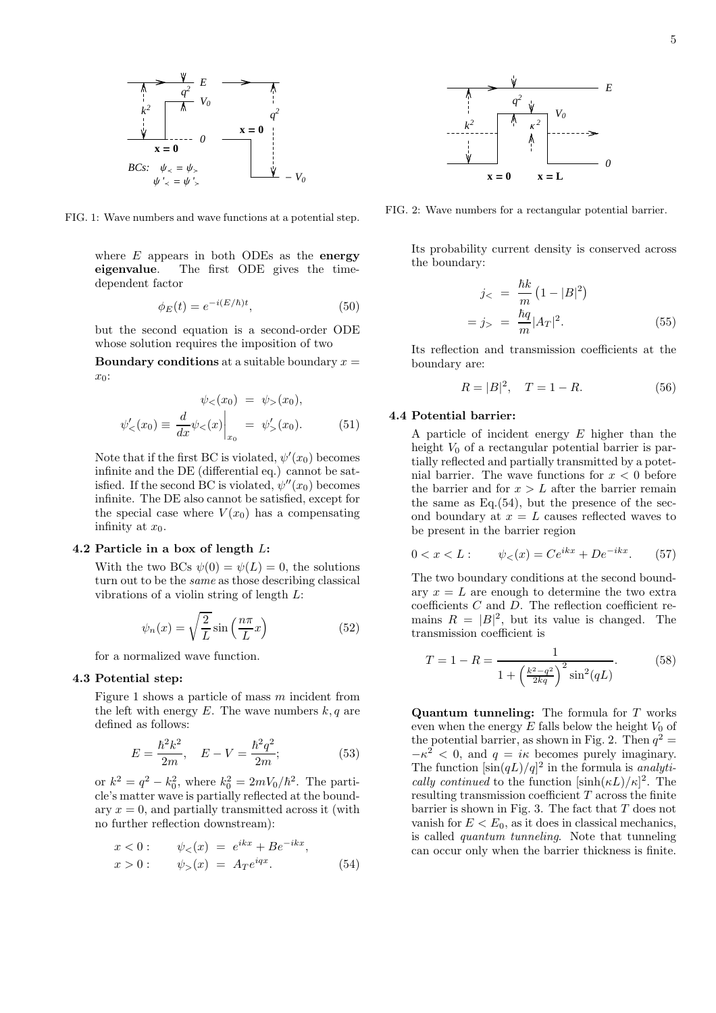

FIG. 1: Wave numbers and wave functions at a potential step.

where  $E$  appears in both ODEs as the energy eigenvalue. The first ODE gives the timedependent factor

$$
\phi_E(t) = e^{-i(E/\hbar)t},\tag{50}
$$

but the second equation is a second-order ODE whose solution requires the imposition of two

**Boundary conditions** at a suitable boundary  $x =$  $x_0$ :

$$
\psi_{<}(x_0) = \psi_{>}(x_0),
$$
\n
$$
\psi'_{<}(x_0) \equiv \frac{d}{dx} \psi_{<}(x) \Big|_{x_0} = \psi'_{>}(x_0). \tag{51}
$$

Note that if the first BC is violated,  $\psi'(x_0)$  becomes infinite and the DE (differential eq.) cannot be satisfied. If the second BC is violated,  $\psi''(x_0)$  becomes infinite. The DE also cannot be satisfied, except for the special case where  $V(x_0)$  has a compensating infinity at  $x_0$ .

#### 4.2 Particle in a box of length L:

With the two BCs  $\psi(0) = \psi(L) = 0$ , the solutions turn out to be the same as those describing classical vibrations of a violin string of length L:

$$
\psi_n(x) = \sqrt{\frac{2}{L}} \sin\left(\frac{n\pi}{L}x\right) \tag{52}
$$

for a normalized wave function.

## 4.3 Potential step:

Figure 1 shows a particle of mass  $m$  incident from the left with energy  $E$ . The wave numbers  $k, q$  are defined as follows:

$$
E = \frac{\hbar^2 k^2}{2m}, \quad E - V = \frac{\hbar^2 q^2}{2m};
$$
\n(53)

or  $k^2 = q^2 - k_0^2$ , where  $k_0^2 = 2mV_0/\hbar^2$ . The particle's matter wave is partially reflected at the boundary  $x = 0$ , and partially transmitted across it (with no further reflection downstream):

$$
x < 0: \t \psi_{<}(x) = e^{ikx} + Be^{-ikx},
$$
  
\n
$$
x > 0: \t \psi_{>}(x) = A_T e^{iqx}.
$$
\t(54)



FIG. 2: Wave numbers for a rectangular potential barrier.

Its probability current density is conserved across the boundary:

$$
j_{<} = \frac{\hbar k}{m} (1 - |B|^2)
$$
\n
$$
= j_{>} = \frac{\hbar q}{m} |A_T|^2. \tag{55}
$$

Its reflection and transmission coefficients at the boundary are:

$$
R = |B|^2, \quad T = 1 - R. \tag{56}
$$

# 4.4 Potential barrier:

A particle of incident energy E higher than the height  $V_0$  of a rectangular potential barrier is partially reflected and partially transmitted by a potetnial barrier. The wave functions for  $x < 0$  before the barrier and for  $x > L$  after the barrier remain the same as  $Eq.(54)$ , but the presence of the second boundary at  $x = L$  causes reflected waves to be present in the barrier region

$$
0 < x < L: \qquad \psi_{<} (x) = Ce^{ikx} + De^{-ikx}.\tag{57}
$$

The two boundary conditions at the second boundary  $x = L$  are enough to determine the two extra coefficients  $C$  and  $D$ . The reflection coefficient remains  $R = |B|^2$ , but its value is changed. The transmission coefficient is

$$
T = 1 - R = \frac{1}{1 + \left(\frac{k^2 - q^2}{2kq}\right)^2 \sin^2(qL)}.
$$
 (58)

Quantum tunneling: The formula for T works even when the energy  $E$  falls below the height  $V_0$  of the potential barrier, as shown in Fig. 2. Then  $q^2 =$  $-\kappa^2 < 0$ , and  $q = i\kappa$  becomes purely imaginary. The function  $[\sin(qL)/q]^2$  in the formula is *analyti*cally continued to the function  $[\sinh(\kappa L)/\kappa]^2$ . The resulting transmission coefficient  $T$  across the finite barrier is shown in Fig. 3. The fact that  $T$  does not vanish for  $E < E_0$ , as it does in classical mechanics, is called quantum tunneling. Note that tunneling can occur only when the barrier thickness is finite.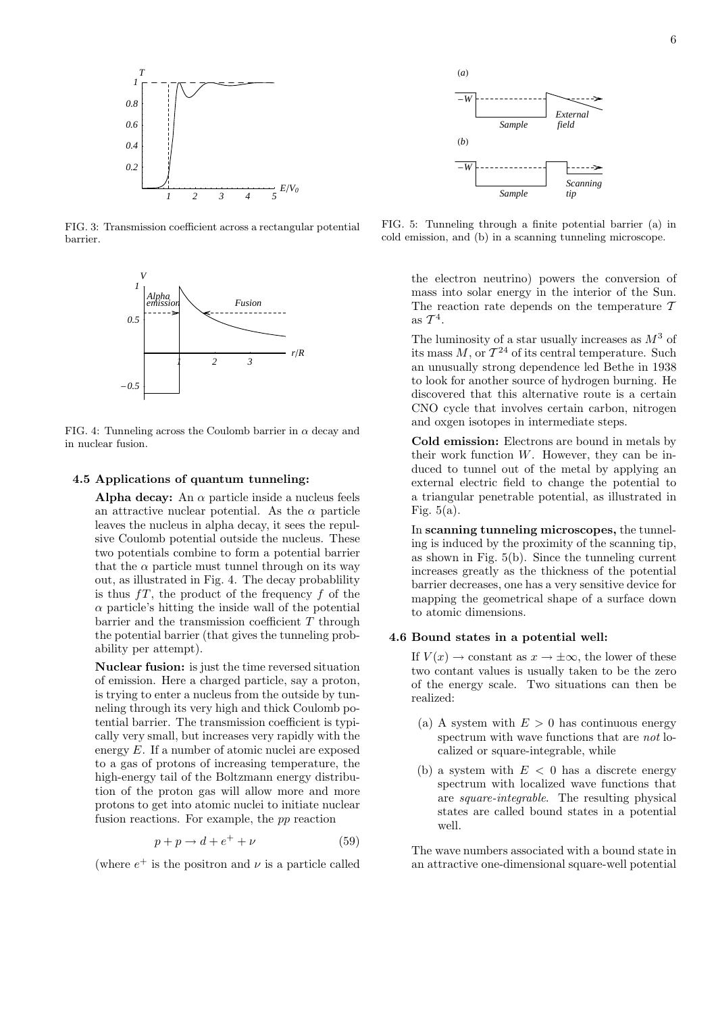

FIG. 3: Transmission coefficient across a rectangular potential barrier.



FIG. 4: Tunneling across the Coulomb barrier in  $\alpha$  decay and in nuclear fusion.

# 4.5 Applications of quantum tunneling:

Alpha decay: An  $\alpha$  particle inside a nucleus feels an attractive nuclear potential. As the  $\alpha$  particle leaves the nucleus in alpha decay, it sees the repulsive Coulomb potential outside the nucleus. These two potentials combine to form a potential barrier that the  $\alpha$  particle must tunnel through on its way out, as illustrated in Fig. 4. The decay probablility is thus  $fT$ , the product of the frequency f of the  $\alpha$  particle's hitting the inside wall of the potential barrier and the transmission coefficient  $T$  through the potential barrier (that gives the tunneling probability per attempt).

Nuclear fusion: is just the time reversed situation of emission. Here a charged particle, say a proton, is trying to enter a nucleus from the outside by tunneling through its very high and thick Coulomb potential barrier. The transmission coefficient is typically very small, but increases very rapidly with the energy E. If a number of atomic nuclei are exposed to a gas of protons of increasing temperature, the high-energy tail of the Boltzmann energy distribution of the proton gas will allow more and more protons to get into atomic nuclei to initiate nuclear fusion reactions. For example, the pp reaction

$$
p + p \to d + e^+ + \nu \tag{59}
$$

(where  $e^+$  is the positron and  $\nu$  is a particle called



FIG. 5: Tunneling through a finite potential barrier (a) in cold emission, and (b) in a scanning tunneling microscope.

the electron neutrino) powers the conversion of mass into solar energy in the interior of the Sun. The reaction rate depends on the temperature  $\tau$ as  $\mathcal{T}^4$ .

The luminosity of a star usually increases as  $M^3$  of its mass  $M$ , or  $\mathcal{T}^{24}$  of its central temperature. Such an unusually strong dependence led Bethe in 1938 to look for another source of hydrogen burning. He discovered that this alternative route is a certain CNO cycle that involves certain carbon, nitrogen and oxgen isotopes in intermediate steps.

Cold emission: Electrons are bound in metals by their work function  $W$ . However, they can be induced to tunnel out of the metal by applying an external electric field to change the potential to a triangular penetrable potential, as illustrated in Fig.  $5(a)$ .

In scanning tunneling microscopes, the tunneling is induced by the proximity of the scanning tip, as shown in Fig. 5(b). Since the tunneling current increases greatly as the thickness of the potential barrier decreases, one has a very sensitive device for mapping the geometrical shape of a surface down to atomic dimensions.

#### 4.6 Bound states in a potential well:

If  $V(x) \rightarrow$  constant as  $x \rightarrow \pm \infty$ , the lower of these two contant values is usually taken to be the zero of the energy scale. Two situations can then be realized:

- (a) A system with  $E > 0$  has continuous energy spectrum with wave functions that are not localized or square-integrable, while
- (b) a system with  $E < 0$  has a discrete energy spectrum with localized wave functions that are square-integrable. The resulting physical states are called bound states in a potential well.

The wave numbers associated with a bound state in an attractive one-dimensional square-well potential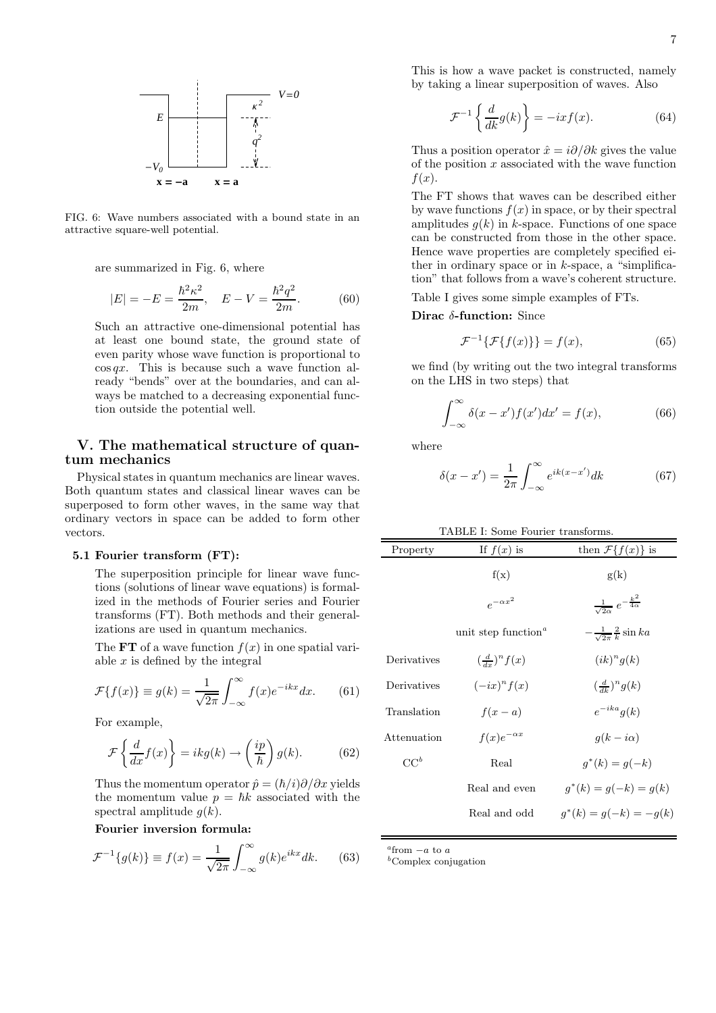

FIG. 6: Wave numbers associated with a bound state in an attractive square-well potential.

are summarized in Fig. 6, where

$$
|E| = -E = \frac{\hbar^2 \kappa^2}{2m}, \quad E - V = \frac{\hbar^2 q^2}{2m}.
$$
 (60)

Such an attractive one-dimensional potential has at least one bound state, the ground state of even parity whose wave function is proportional to  $\cos qx$ . This is because such a wave function already "bends" over at the boundaries, and can always be matched to a decreasing exponential function outside the potential well.

# V. The mathematical structure of quantum mechanics

Physical states in quantum mechanics are linear waves. Both quantum states and classical linear waves can be superposed to form other waves, in the same way that ordinary vectors in space can be added to form other vectors.

#### 5.1 Fourier transform (FT):

The superposition principle for linear wave functions (solutions of linear wave equations) is formalized in the methods of Fourier series and Fourier transforms (FT). Both methods and their generalizations are used in quantum mechanics.

The **FT** of a wave function  $f(x)$  in one spatial variable  $x$  is defined by the integral

$$
\mathcal{F}{f(x)} \equiv g(k) = \frac{1}{\sqrt{2\pi}} \int_{-\infty}^{\infty} f(x)e^{-ikx} dx.
$$
 (61)

For example,

$$
\mathcal{F}\left\{\frac{d}{dx}f(x)\right\} = ikg(k) \to \left(\frac{ip}{\hbar}\right)g(k). \tag{62}
$$

Thus the momentum operator  $\hat{p} = (\hbar/i)\partial/\partial x$  yields the momentum value  $p = \hbar k$  associated with the spectral amplitude  $g(k)$ .

Fourier inversion formula:

$$
\mathcal{F}^{-1}\lbrace g(k)\rbrace \equiv f(x) = \frac{1}{\sqrt{2\pi}} \int_{-\infty}^{\infty} g(k)e^{ikx} dk. \tag{63}
$$

This is how a wave packet is constructed, namely by taking a linear superposition of waves. Also

$$
\mathcal{F}^{-1}\left\{\frac{d}{dk}g(k)\right\} = -ixf(x). \tag{64}
$$

Thus a position operator  $\hat{x} = i\partial/\partial k$  gives the value of the position  $x$  associated with the wave function  $f(x)$ .

The FT shows that waves can be described either by wave functions  $f(x)$  in space, or by their spectral amplitudes  $g(k)$  in k-space. Functions of one space can be constructed from those in the other space. Hence wave properties are completely specified either in ordinary space or in  $k$ -space, a "simplification" that follows from a wave's coherent structure.

Table I gives some simple examples of FTs.

#### Dirac  $\delta$ -function: Since

$$
\mathcal{F}^{-1}\{\mathcal{F}\{f(x)\}\} = f(x),\tag{65}
$$

we find (by writing out the two integral transforms on the LHS in two steps) that

$$
\int_{-\infty}^{\infty} \delta(x - x') f(x') dx' = f(x), \tag{66}
$$

where

$$
\delta(x - x') = \frac{1}{2\pi} \int_{-\infty}^{\infty} e^{ik(x - x')} dk \tag{67}
$$

| Property    | If $f(x)$ is                           | then $\mathcal{F}{f(x)}$ is                         |
|-------------|----------------------------------------|-----------------------------------------------------|
|             | f(x)                                   | g(k)                                                |
|             | $e^{-\alpha x^2}$                      | $\frac{1}{\sqrt{2\alpha}} e^{-\frac{k^2}{4\alpha}}$ |
|             | unit step function <sup><i>a</i></sup> | $-\frac{1}{\sqrt{2\pi}}\frac{2}{k}\sin ka$          |
| Derivatives | $(\frac{d}{dx})^n f(x)$                | $(ik)^n q(k)$                                       |
| Derivatives | $(-ix)^n f(x)$                         | $(\frac{d}{dk})^n g(k)$                             |
| Translation | $f(x-a)$                               | $e^{-ika}q(k)$                                      |
| Attenuation | $f(x)e^{-\alpha x}$                    | $q(k-i\alpha)$                                      |
| $CC^b$      | Real                                   | $q^*(k) = q(-k)$                                    |
|             | Real and even                          | $q^*(k) = q(-k) = q(k)$                             |
|             | Real and odd                           | $q^*(k) = q(-k) = -q(k)$                            |

 $a$ from  $-a$  to a

 $<sup>b</sup>Complex conjugation$ </sup>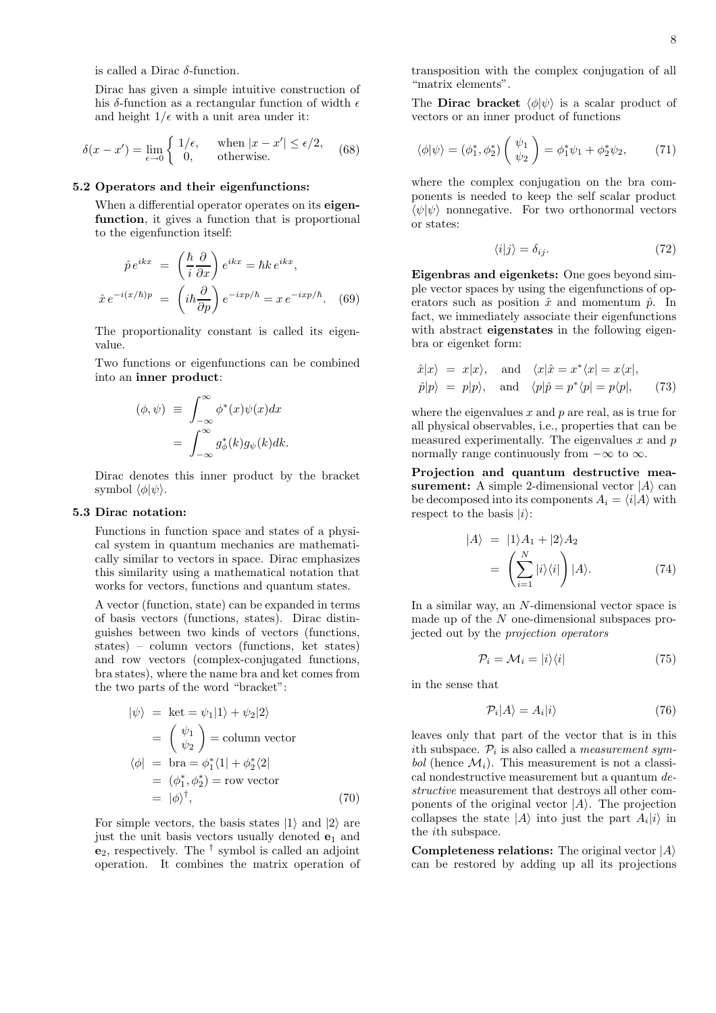is called a Dirac  $\delta$ -function.

Dirac has given a simple intuitive construction of his  $\delta\text{-function}$  as a rectangular function of width  $\epsilon$ and height  $1/\epsilon$  with a unit area under it:

$$
\delta(x - x') = \lim_{\epsilon \to 0} \begin{cases} 1/\epsilon, & \text{when } |x - x'| \le \epsilon/2, \\ 0, & \text{otherwise.} \end{cases} \tag{68}
$$

#### 5.2 Operators and their eigenfunctions:

When a differential operator operates on its **eigen**function, it gives a function that is proportional to the eigenfunction itself:

$$
\hat{p} e^{ikx} = \left(\frac{\hbar}{i} \frac{\partial}{\partial x}\right) e^{ikx} = \hbar k e^{ikx},
$$

$$
\hat{x} e^{-i(x/\hbar)p} = \left(i\hbar \frac{\partial}{\partial p}\right) e^{-ixp/\hbar} = x e^{-ixp/\hbar}. \quad (69)
$$

The proportionality constant is called its eigenvalue.

Two functions or eigenfunctions can be combined into an inner product:

$$
(\phi, \psi) \equiv \int_{-\infty}^{\infty} \phi^*(x) \psi(x) dx
$$

$$
= \int_{-\infty}^{\infty} g_{\phi}^*(k) g_{\psi}(k) dk.
$$

Dirac denotes this inner product by the bracket symbol  $\langle \phi | \psi \rangle$ .

#### 5.3 Dirac notation:

Functions in function space and states of a physical system in quantum mechanics are mathematically similar to vectors in space. Dirac emphasizes this similarity using a mathematical notation that works for vectors, functions and quantum states.

A vector (function, state) can be expanded in terms of basis vectors (functions, states). Dirac distinguishes between two kinds of vectors (functions, states) – column vectors (functions, ket states) and row vectors (complex-conjugated functions, bra states), where the name bra and ket comes from the two parts of the word "bracket":

$$
|\psi\rangle = \text{ket} = \psi_1 |1\rangle + \psi_2 |2\rangle
$$
  
= 
$$
\begin{pmatrix} \psi_1 \\ \psi_2 \end{pmatrix} = \text{column vector}
$$
  

$$
\langle \phi | = \text{bra} = \phi_1^* \langle 1 | + \phi_2^* \langle 2 |
$$
  
= 
$$
(\phi_1^*, \phi_2^*) = \text{row vector}
$$
  
= 
$$
|\phi\rangle^{\dagger},
$$
 (70)

For simple vectors, the basis states  $|1\rangle$  and  $|2\rangle$  are just the unit basis vectors usually denoted  $e_1$  and  $e_2$ , respectively. The  $\dagger$  symbol is called an adjoint operation. It combines the matrix operation of transposition with the complex conjugation of all "matrix elements".

The **Dirac bracket**  $\langle \phi | \psi \rangle$  is a scalar product of vectors or an inner product of functions

$$
\langle \phi | \psi \rangle = (\phi_1^*, \phi_2^*) \left( \begin{array}{c} \psi_1 \\ \psi_2 \end{array} \right) = \phi_1^* \psi_1 + \phi_2^* \psi_2, \tag{71}
$$

where the complex conjugation on the bra components is needed to keep the self scalar product  $\langle \psi | \psi \rangle$  nonnegative. For two orthonormal vectors or states:

$$
\langle i|j\rangle = \delta_{ij}.\tag{72}
$$

Eigenbras and eigenkets: One goes beyond simple vector spaces by using the eigenfunctions of operators such as position  $\hat{x}$  and momentum  $\hat{p}$ . In fact, we immediately associate their eigenfunctions with abstract **eigenstates** in the following eigenbra or eigenket form:

$$
\hat{x}|x\rangle = x|x\rangle
$$
, and  $\langle x|\hat{x} = x^*\langle x| = x\langle x|$ ,  
\n $\hat{p}|p\rangle = p|p\rangle$ , and  $\langle p|\hat{p} = p^*\langle p| = p\langle p|$ , (73)

where the eigenvalues  $x$  and  $p$  are real, as is true for all physical observables, i.e., properties that can be measured experimentally. The eigenvalues  $x$  and  $p$ normally range continuously from  $-\infty$  to  $\infty$ .

Projection and quantum destructive measurement: A simple 2-dimensional vector  $|A\rangle$  can be decomposed into its components  $A_i = \langle i|A\rangle$  with respect to the basis  $|i\rangle$ :

$$
|A\rangle = |1\rangle A_1 + |2\rangle A_2
$$
  
= 
$$
\left(\sum_{i=1}^N |i\rangle\langle i| \right) |A\rangle.
$$
 (74)

In a similar way, an N-dimensional vector space is made up of the N one-dimensional subspaces projected out by the projection operators

$$
\mathcal{P}_i = \mathcal{M}_i = |i\rangle\langle i| \tag{75}
$$

in the sense that

$$
\mathcal{P}_i|A\rangle = A_i|i\rangle \tag{76}
$$

leaves only that part of the vector that is in this ith subspace.  $\mathcal{P}_i$  is also called a *measurement sym*bol (hence  $\mathcal{M}_i$ ). This measurement is not a classical nondestructive measurement but a quantum  $de$ structive measurement that destroys all other components of the original vector  $|A\rangle$ . The projection collapses the state  $|A\rangle$  into just the part  $A_i|i\rangle$  in the ith subspace.

**Completeness relations:** The original vector  $|A\rangle$ can be restored by adding up all its projections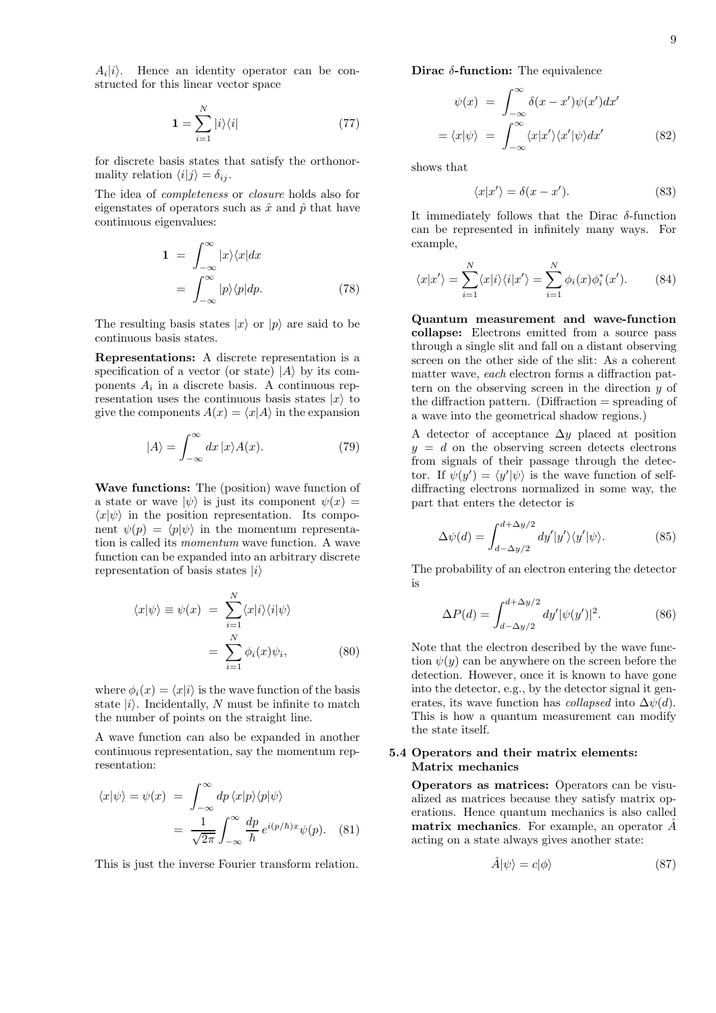$A_i|i\rangle$ . Hence an identity operator can be constructed for this linear vector space

$$
\mathbf{1} = \sum_{i=1}^{N} |i\rangle\langle i| \tag{77}
$$

for discrete basis states that satisfy the orthonormality relation  $\langle i|j \rangle = \delta_{ij}$ .

The idea of completeness or closure holds also for eigenstates of operators such as  $\hat{x}$  and  $\hat{p}$  that have continuous eigenvalues:

$$
\mathbf{1} = \int_{-\infty}^{\infty} |x\rangle \langle x| dx
$$

$$
= \int_{-\infty}^{\infty} |p\rangle \langle p| dp. \tag{78}
$$

The resulting basis states  $|x\rangle$  or  $|p\rangle$  are said to be continuous basis states.

Representations: A discrete representation is a specification of a vector (or state)  $|A\rangle$  by its components  $A_i$  in a discrete basis. A continuous representation uses the continuous basis states  $|x\rangle$  to give the components  $A(x) = \langle x|A \rangle$  in the expansion

$$
|A\rangle = \int_{-\infty}^{\infty} dx \, |x\rangle A(x). \tag{79}
$$

Wave functions: The (position) wave function of a state or wave  $|\psi\rangle$  is just its component  $\psi(x) =$  $\langle x|\psi\rangle$  in the position representation. Its component  $\psi(p) = \langle p | \psi \rangle$  in the momentum representation is called its momentum wave function. A wave function can be expanded into an arbitrary discrete representation of basis states  $|i\rangle$ 

$$
\langle x|\psi\rangle \equiv \psi(x) = \sum_{i=1}^{N} \langle x|i\rangle \langle i|\psi\rangle
$$

$$
= \sum_{i=1}^{N} \phi_i(x)\psi_i, \qquad (80)
$$

where  $\phi_i(x) = \langle x|i\rangle$  is the wave function of the basis state  $|i\rangle$ . Incidentally, N must be infinite to match the number of points on the straight line.

A wave function can also be expanded in another continuous representation, say the momentum representation:

$$
\langle x|\psi\rangle = \psi(x) = \int_{-\infty}^{\infty} dp \langle x|p\rangle \langle p|\psi\rangle
$$

$$
= \frac{1}{\sqrt{2\pi}} \int_{-\infty}^{\infty} \frac{dp}{\hbar} e^{i(p/\hbar)x} \psi(p). \quad (81)
$$

This is just the inverse Fourier transform relation.

Dirac  $\delta$ -function: The equivalence

$$
\psi(x) = \int_{-\infty}^{\infty} \delta(x - x') \psi(x') dx'
$$

$$
= \langle x | \psi \rangle = \int_{-\infty}^{\infty} \langle x | x' \rangle \langle x' | \psi \rangle dx' \tag{82}
$$

shows that

$$
\langle x|x'\rangle = \delta(x - x').\tag{83}
$$

It immediately follows that the Dirac  $\delta$ -function can be represented in infinitely many ways. For example,

$$
\langle x|x'\rangle = \sum_{i=1}^{N} \langle x|i\rangle \langle i|x'\rangle = \sum_{i=1}^{N} \phi_i(x)\phi_i^*(x'). \tag{84}
$$

Quantum measurement and wave-function collapse: Electrons emitted from a source pass through a single slit and fall on a distant observing screen on the other side of the slit: As a coherent matter wave, each electron forms a diffraction pattern on the observing screen in the direction y of the diffraction pattern. (Diffraction = spreading of a wave into the geometrical shadow regions.)

A detector of acceptance  $\Delta y$  placed at position  $y = d$  on the observing screen detects electrons from signals of their passage through the detector. If  $\psi(y') = \langle y' | \psi \rangle$  is the wave function of selfdiffracting electrons normalized in some way, the part that enters the detector is

$$
\Delta\psi(d) = \int_{d-\Delta y/2}^{d+\Delta y/2} dy'|y'\rangle\langle y'|\psi\rangle.
$$
 (85)

The probability of an electron entering the detector is

$$
\Delta P(d) = \int_{d - \Delta y/2}^{d + \Delta y/2} dy' |\psi(y')|^2.
$$
 (86)

Note that the electron described by the wave function  $\psi(y)$  can be anywhere on the screen before the detection. However, once it is known to have gone into the detector, e.g., by the detector signal it generates, its wave function has *collapsed* into  $\Delta \psi(d)$ . This is how a quantum measurement can modify the state itself.

# 5.4 Operators and their matrix elements: Matrix mechanics

Operators as matrices: Operators can be visualized as matrices because they satisfy matrix operations. Hence quantum mechanics is also called matrix mechanics. For example, an operator  $\tilde{A}$ acting on a state always gives another state:

$$
\hat{A}|\psi\rangle = c|\phi\rangle \tag{87}
$$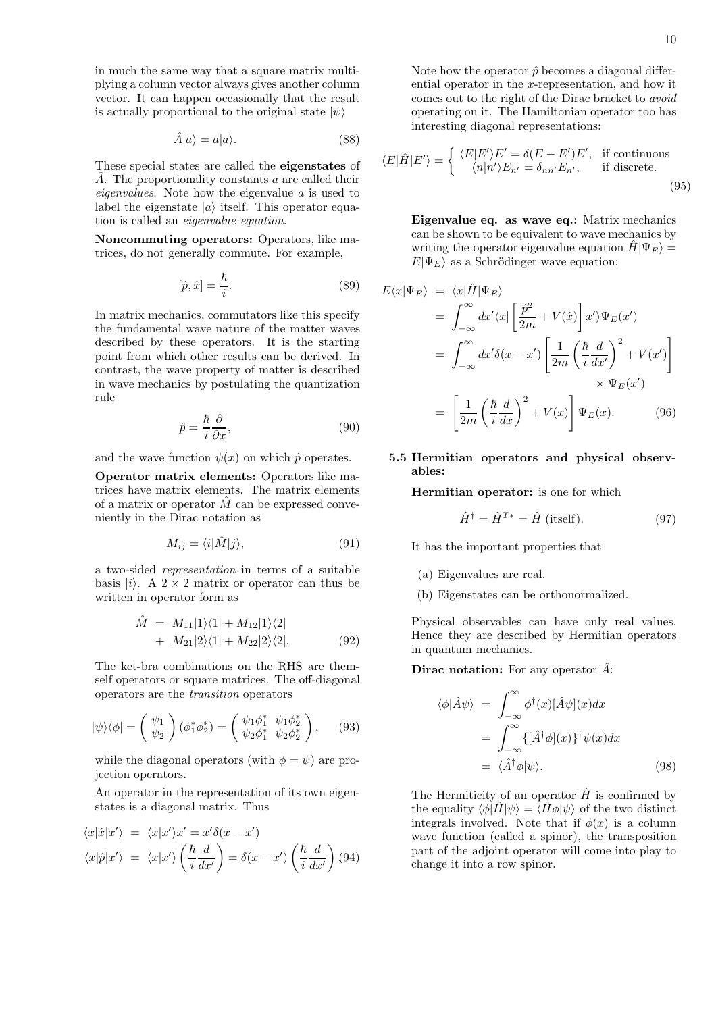in much the same way that a square matrix multiplying a column vector always gives another column vector. It can happen occasionally that the result is actually proportional to the original state  $|\psi\rangle$ 

$$
\hat{A}|a\rangle = a|a\rangle. \tag{88}
$$

These special states are called the eigenstates of  $\hat{A}$ . The proportionality constants a are called their eigenvalues. Note how the eigenvalue a is used to label the eigenstate  $|a\rangle$  itself. This operator equation is called an eigenvalue equation.

Noncommuting operators: Operators, like matrices, do not generally commute. For example,

$$
[\hat{p}, \hat{x}] = \frac{\hbar}{i}.\tag{89}
$$

In matrix mechanics, commutators like this specify the fundamental wave nature of the matter waves described by these operators. It is the starting point from which other results can be derived. In contrast, the wave property of matter is described in wave mechanics by postulating the quantization rule

$$
\hat{p} = \frac{\hbar}{i} \frac{\partial}{\partial x},\tag{90}
$$

and the wave function  $\psi(x)$  on which  $\hat{p}$  operates.

Operator matrix elements: Operators like matrices have matrix elements. The matrix elements of a matrix or operator  $\hat{M}$  can be expressed conveniently in the Dirac notation as

$$
M_{ij} = \langle i|\hat{M}|j\rangle,\tag{91}
$$

a two-sided representation in terms of a suitable basis  $|i\rangle$ . A 2 × 2 matrix or operator can thus be written in operator form as

$$
\hat{M} = M_{11}|1\rangle\langle 1| + M_{12}|1\rangle\langle 2| \n+ M_{21}|2\rangle\langle 1| + M_{22}|2\rangle\langle 2|.
$$
\n(92)

The ket-bra combinations on the RHS are themself operators or square matrices. The off-diagonal operators are the transition operators

$$
|\psi\rangle\langle\phi| = \begin{pmatrix} \psi_1 \\ \psi_2 \end{pmatrix} (\phi_1^* \phi_2^*) = \begin{pmatrix} \psi_1 \phi_1^* & \psi_1 \phi_2^* \\ \psi_2 \phi_1^* & \psi_2 \phi_2^* \end{pmatrix}, \quad (93)
$$

while the diagonal operators (with  $\phi = \psi$ ) are projection operators.

An operator in the representation of its own eigenstates is a diagonal matrix. Thus

$$
\langle x|\hat{x}|x'\rangle = \langle x|x'\rangle x' = x'\delta(x - x')
$$

$$
\langle x|\hat{p}|x'\rangle = \langle x|x'\rangle \left(\frac{\hbar}{i}\frac{d}{dx'}\right) = \delta(x - x') \left(\frac{\hbar}{i}\frac{d}{dx'}\right) (94)
$$

Note how the operator  $\hat{p}$  becomes a diagonal differential operator in the x-representation, and how it comes out to the right of the Dirac bracket to avoid operating on it. The Hamiltonian operator too has interesting diagonal representations:

$$
\langle E|\hat{H}|E'\rangle = \begin{cases} \langle E|E'\rangle E' = \delta(E - E')E', & \text{if continuous} \\ \langle n|n'\rangle E_{n'} = \delta_{nn'}E_{n'}, & \text{if discrete.} \end{cases}
$$
(95)

Eigenvalue eq. as wave eq.: Matrix mechanics can be shown to be equivalent to wave mechanics by writing the operator eigenvalue equation  $\hat{H}|\Psi_E\rangle =$  $E|\Psi_E\rangle$  as a Schrödinger wave equation:

$$
E\langle x|\Psi_E\rangle = \langle x|\hat{H}|\Psi_E\rangle
$$
  
\n
$$
= \int_{-\infty}^{\infty} dx'\langle x|\left[\frac{\hat{p}^2}{2m} + V(\hat{x})\right]x'\rangle\Psi_E(x')
$$
  
\n
$$
= \int_{-\infty}^{\infty} dx'\delta(x - x')\left[\frac{1}{2m}\left(\frac{\hbar}{i}\frac{d}{dx'}\right)^2 + V(x')\right]
$$
  
\n
$$
\times \Psi_E(x')
$$
  
\n
$$
= \left[\frac{1}{2m}\left(\frac{\hbar}{i}\frac{d}{dx}\right)^2 + V(x)\right]\Psi_E(x).
$$
 (96)

# 5.5 Hermitian operators and physical observables:

Hermitian operator: is one for which

$$
\hat{H}^{\dagger} = \hat{H}^{T*} = \hat{H} \text{ (itself)}.
$$
 (97)

It has the important properties that

- (a) Eigenvalues are real.
- (b) Eigenstates can be orthonormalized.

Physical observables can have only real values. Hence they are described by Hermitian operators in quantum mechanics.

**Dirac notation:** For any operator  $\hat{A}$ :

$$
\langle \phi | \hat{A} \psi \rangle = \int_{-\infty}^{\infty} \phi^{\dagger}(x) [\hat{A} \psi](x) dx
$$

$$
= \int_{-\infty}^{\infty} \{ [\hat{A}^{\dagger} \phi](x) \}^{\dagger} \psi(x) dx
$$

$$
= \langle \hat{A}^{\dagger} \phi | \psi \rangle. \tag{98}
$$

The Hermiticity of an operator  $\hat{H}$  is confirmed by the equality  $\langle \phi | \hat{H} | \psi \rangle = \langle \hat{H} \phi | \psi \rangle$  of the two distinct integrals involved. Note that if  $\phi(x)$  is a column wave function (called a spinor), the transposition part of the adjoint operator will come into play to change it into a row spinor.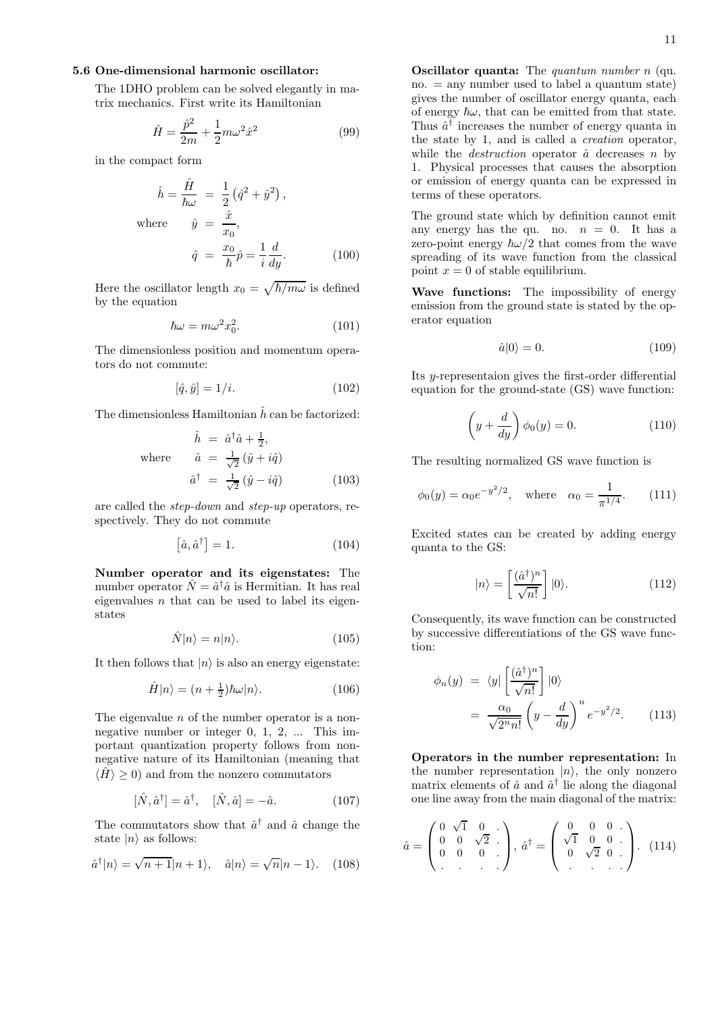# 5.6 One-dimensional harmonic oscillator:

The 1DHO problem can be solved elegantly in matrix mechanics. First write its Hamiltonian

$$
\hat{H} = \frac{\hat{p}^2}{2m} + \frac{1}{2}m\omega^2 \hat{x}^2
$$
\n(99)

in the compact form

$$
\hat{h} = \frac{\hat{H}}{\hbar\omega} = \frac{1}{2} \left(\hat{q}^2 + \hat{y}^2\right),
$$
  
where 
$$
\hat{y} = \frac{\hat{x}}{x_0},
$$

$$
\hat{q} = \frac{x_0}{\hbar} \hat{p} = \frac{1}{i} \frac{d}{dy}.
$$
 (100)

Here the oscillator length  $x_0 = \sqrt{\hbar/m\omega}$  is defined by the equation

$$
\hbar\omega = m\omega^2 x_0^2. \tag{101}
$$

The dimensionless position and momentum operators do not commute:

$$
[\hat{q}, \hat{y}] = 1/i. \tag{102}
$$

The dimensionless Hamiltonian  $\hat{h}$  can be factorized:

$$
\hat{h} = \hat{a}^{\dagger}\hat{a} + \frac{1}{2},
$$
  
where 
$$
\hat{a} = \frac{1}{\sqrt{2}}(\hat{y} + i\hat{q})
$$

$$
\hat{a}^{\dagger} = \frac{1}{\sqrt{2}}(\hat{y} - i\hat{q})
$$
(103)

are called the step-down and step-up operators, respectively. They do not commute

$$
\left[\hat{a}, \hat{a}^{\dagger}\right] = 1. \tag{104}
$$

Number operator and its eigenstates: The number operator  $\hat{N} = \hat{a}^{\dagger} \hat{a}$  is Hermitian. It has real eigenvalues  $n$  that can be used to label its eigenstates

$$
\hat{N}|n\rangle = n|n\rangle. \tag{105}
$$

It then follows that  $|n\rangle$  is also an energy eigenstate:

$$
\hat{H}|n\rangle = (n + \frac{1}{2})\hbar\omega|n\rangle.
$$
 (106)

The eigenvalue  $n$  of the number operator is a nonnegative number or integer 0, 1, 2, ... This important quantization property follows from nonnegative nature of its Hamiltonian (meaning that  $\langle \hat{H} \rangle \geq 0$  and from the nonzero commutators

$$
[\hat{N}, \hat{a}^{\dagger}] = \hat{a}^{\dagger}, \quad [\hat{N}, \hat{a}] = -\hat{a}.
$$
 (107)

The commutators show that  $\hat{a}^{\dagger}$  and  $\hat{a}$  change the state  $|n\rangle$  as follows:

$$
\hat{a}^{\dagger}|n\rangle = \sqrt{n+1}|n+1\rangle, \quad \hat{a}|n\rangle = \sqrt{n}|n-1\rangle. \quad (108)
$$

**Oscillator quanta:** The *quantum number n* (qu.  $no. = any number used to label a quantum state)$ gives the number of oscillator energy quanta, each of energy  $\hbar\omega$ , that can be emitted from that state. Thus  $\hat{a}^{\dagger}$  increases the number of energy quanta in the state by 1, and is called a creation operator, while the *destruction* operator  $\hat{a}$  decreases n by 1. Physical processes that causes the absorption or emission of energy quanta can be expressed in terms of these operators.

The ground state which by definition cannot emit any energy has the qu. no.  $n = 0$ . It has a zero-point energy  $\hbar \omega/2$  that comes from the wave spreading of its wave function from the classical point  $x = 0$  of stable equilibrium.

Wave functions: The impossibility of energy emission from the ground state is stated by the operator equation

$$
\hat{a}|0\rangle = 0.\tag{109}
$$

Its y-representaion gives the first-order differential equation for the ground-state (GS) wave function:

$$
\left(y + \frac{d}{dy}\right)\phi_0(y) = 0.
$$
\n(110)

The resulting normalized GS wave function is

$$
\phi_0(y) = \alpha_0 e^{-y^2/2}
$$
, where  $\alpha_0 = \frac{1}{\pi^{1/4}}$ . (111)

Excited states can be created by adding energy quanta to the GS:

$$
|n\rangle = \left[\frac{(\hat{a}^{\dagger})^n}{\sqrt{n!}}\right]|0\rangle. \tag{112}
$$

Consequently, its wave function can be constructed by successive differentiations of the GS wave function:

$$
\phi_n(y) = \langle y | \left[ \frac{(\hat{a}^\dagger)^n}{\sqrt{n!}} \right] |0\rangle
$$

$$
= \frac{\alpha_0}{\sqrt{2^n n!}} \left( y - \frac{d}{dy} \right)^n e^{-y^2/2}.
$$
(113)

Operators in the number representation: In the number representation  $|n\rangle$ , the only nonzero matrix elements of  $\hat{a}$  and  $\hat{a}^{\dagger}$  lie along the diagonal one line away from the main diagonal of the matrix:

$$
\hat{a} = \begin{pmatrix} 0 & \sqrt{1} & 0 & \cdots \\ 0 & 0 & \sqrt{2} & \cdots \\ 0 & 0 & 0 & \cdots \end{pmatrix}, \ \hat{a}^{\dagger} = \begin{pmatrix} 0 & 0 & 0 & \cdots \\ \sqrt{1} & 0 & 0 & \cdots \\ 0 & \sqrt{2} & 0 & \cdots \\ \cdots & \cdots & \cdots & \cdots \end{pmatrix}.
$$
 (114)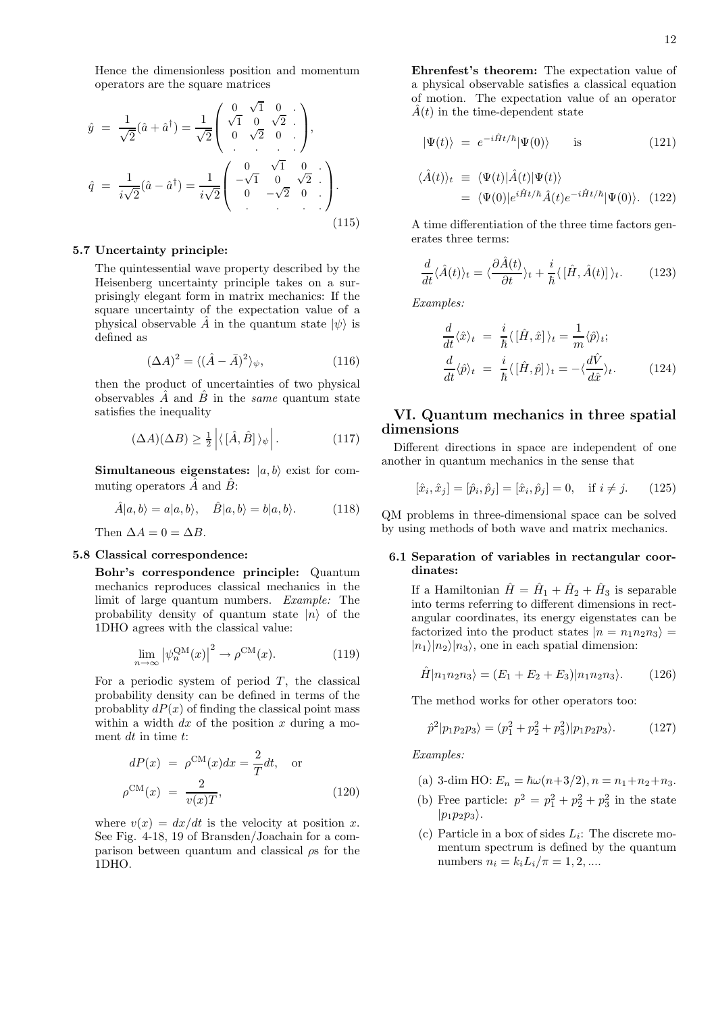Hence the dimensionless position and momentum operators are the square matrices

$$
\hat{y} = \frac{1}{\sqrt{2}}(\hat{a} + \hat{a}^{\dagger}) = \frac{1}{\sqrt{2}} \begin{pmatrix} 0 & \sqrt{1} & 0 \\ \sqrt{1} & 0 & \sqrt{2} \\ 0 & \sqrt{2} & 0 \end{pmatrix},
$$

$$
\hat{q} = \frac{1}{i\sqrt{2}}(\hat{a} - \hat{a}^{\dagger}) = \frac{1}{i\sqrt{2}} \begin{pmatrix} 0 & \sqrt{1} & 0 \\ -\sqrt{1} & 0 & \sqrt{2} \\ 0 & -\sqrt{2} & 0 \end{pmatrix}.
$$
(115)

#### 5.7 Uncertainty principle:

The quintessential wave property described by the Heisenberg uncertainty principle takes on a surprisingly elegant form in matrix mechanics: If the square uncertainty of the expectation value of a physical observable  $\hat{A}$  in the quantum state  $|\psi\rangle$  is defined as

$$
(\Delta A)^2 = \langle (\hat{A} - \bar{A})^2 \rangle_{\psi},\tag{116}
$$

then the product of uncertainties of two physical observables  $\ddot{A}$  and  $\ddot{B}$  in the *same* quantum state satisfies the inequality

$$
(\Delta A)(\Delta B) \ge \frac{1}{2} \left| \langle [\hat{A}, \hat{B}] \rangle_{\psi} \right|.
$$
 (117)

Simultaneous eigenstates:  $|a, b\rangle$  exist for commuting operators  $\overline{A}$  and  $\overline{B}$ :

$$
\hat{A}|a,b\rangle = a|a,b\rangle, \quad \hat{B}|a,b\rangle = b|a,b\rangle. \quad (118)
$$

Then  $\Delta A = 0 = \Delta B$ .

#### 5.8 Classical correspondence:

Bohr's correspondence principle: Quantum mechanics reproduces classical mechanics in the limit of large quantum numbers. Example: The probability density of quantum state  $|n\rangle$  of the 1DHO agrees with the classical value:

$$
\lim_{n \to \infty} |\psi_n^{\text{QM}}(x)|^2 \to \rho^{\text{CM}}(x). \tag{119}
$$

For a periodic system of period  $T$ , the classical probability density can be defined in terms of the probablity  $dP(x)$  of finding the classical point mass within a width  $dx$  of the position x during a moment  $dt$  in time  $t$ :

$$
dP(x) = \rho^{\text{CM}}(x)dx = \frac{2}{T}dt, \text{ or}
$$

$$
\rho^{\text{CM}}(x) = \frac{2}{v(x)T}, \qquad (120)
$$

where  $v(x) = dx/dt$  is the velocity at position x. See Fig. 4-18, 19 of Bransden/Joachain for a comparison between quantum and classical  $\rho$ s for the 1DHO.

Ehrenfest's theorem: The expectation value of a physical observable satisfies a classical equation of motion. The expectation value of an operator  $\hat{A}(t)$  in the time-dependent state

$$
|\Psi(t)\rangle = e^{-i\hat{H}t/\hbar}|\Psi(0)\rangle \quad \text{is} \quad (121)
$$

$$
\langle \hat{A}(t) \rangle_t \equiv \langle \Psi(t) | \hat{A}(t) | \Psi(t) \rangle \n= \langle \Psi(0) | e^{i \hat{H} t / \hbar} \hat{A}(t) e^{-i \hat{H} t / \hbar} | \Psi(0) \rangle. \tag{122}
$$

A time differentiation of the three time factors generates three terms:

$$
\frac{d}{dt}\langle \hat{A}(t)\rangle_t = \langle \frac{\partial \hat{A}(t)}{\partial t}\rangle_t + \frac{i}{\hbar}\langle [\hat{H}, \hat{A}(t)]\rangle_t.
$$
 (123)

Examples:

$$
\frac{d}{dt}\langle \hat{x}\rangle_t = \frac{i}{\hbar}\langle [\hat{H}, \hat{x}]\rangle_t = \frac{1}{m}\langle \hat{p}\rangle_t; \n\frac{d}{dt}\langle \hat{p}\rangle_t = \frac{i}{\hbar}\langle [\hat{H}, \hat{p}]\rangle_t = -\langle \frac{d\hat{V}}{d\hat{x}}\rangle_t.
$$
\n(124)

# VI. Quantum mechanics in three spatial dimensions

Different directions in space are independent of one another in quantum mechanics in the sense that

$$
[\hat{x}_i, \hat{x}_j] = [\hat{p}_i, \hat{p}_j] = [\hat{x}_i, \hat{p}_j] = 0, \text{ if } i \neq j. \qquad (125)
$$

QM problems in three-dimensional space can be solved by using methods of both wave and matrix mechanics.

## 6.1 Separation of variables in rectangular coordinates:

If a Hamiltonian  $\hat{H} = \hat{H}_1 + \hat{H}_2 + \hat{H}_3$  is separable into terms referring to different dimensions in rectangular coordinates, its energy eigenstates can be factorized into the product states  $|n = n_1 n_2 n_3\rangle =$  $|n_1\rangle|n_2\rangle|n_3\rangle$ , one in each spatial dimension:

$$
\hat{H}|n_1n_2n_3\rangle = (E_1 + E_2 + E_3)|n_1n_2n_3\rangle.
$$
 (126)

The method works for other operators too:

$$
\hat{p}^2|p_1p_2p_3\rangle = (p_1^2 + p_2^2 + p_3^2)|p_1p_2p_3\rangle. \tag{127}
$$

Examples:

- (a) 3-dim HO:  $E_n = \hbar \omega (n+3/2), n = n_1+n_2+n_3.$
- (b) Free particle:  $p^2 = p_1^2 + p_2^2 + p_3^2$  in the state  $|p_1p_2p_3\rangle$ .
- (c) Particle in a box of sides  $L_i$ : The discrete momentum spectrum is defined by the quantum numbers  $n_i = k_i L_i / \pi = 1, 2, ...$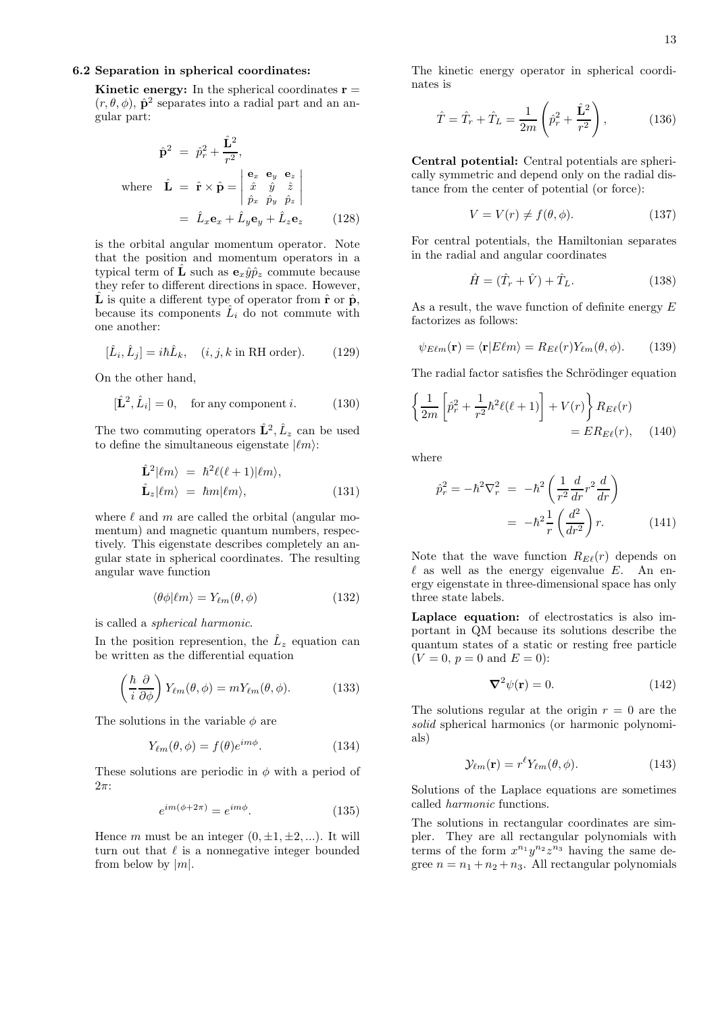## 6.2 Separation in spherical coordinates:

**Kinetic energy:** In the spherical coordinates  $\mathbf{r} =$  $(r, \theta, \phi)$ ,  $\hat{\mathbf{p}}^2$  separates into a radial part and an angular part:

$$
\hat{\mathbf{p}}^2 = \hat{p}_r^2 + \frac{\hat{\mathbf{L}}^2}{r^2},
$$
\nwhere  $\hat{\mathbf{L}} = \hat{\mathbf{r}} \times \hat{\mathbf{p}} = \begin{vmatrix} \mathbf{e}_x & \mathbf{e}_y & \mathbf{e}_z \\ \hat{x} & \hat{y} & \hat{z} \\ \hat{p}_x & \hat{p}_y & \hat{p}_z \end{vmatrix}$   
\n $= \hat{L}_x \mathbf{e}_x + \hat{L}_y \mathbf{e}_y + \hat{L}_z \mathbf{e}_z$  (128)

is the orbital angular momentum operator. Note that the position and momentum operators in a typical term of  $\hat{\mathbf{L}}$  such as  $\mathbf{e}_x \hat{y} \hat{p}_z$  commute because they refer to different directions in space. However, **L** is quite a different type of operator from  $\hat{\mathbf{r}}$  or  $\hat{\mathbf{p}}$ , because its components  $\hat{L}_i$  do not commute with one another:

$$
[\hat{L}_i, \hat{L}_j] = i\hbar \hat{L}_k, \quad (i, j, k \text{ in RH order}). \tag{129}
$$

On the other hand,

$$
[\hat{\mathbf{L}}^2, \hat{L}_i] = 0, \quad \text{for any component } i. \tag{130}
$$

The two commuting operators  $\hat{\mathbf{L}}^2$ ,  $\hat{L}_z$  can be used to define the simultaneous eigenstate  $|\ell m\rangle$ :

$$
\hat{\mathbf{L}}^2|\ell m\rangle = \hbar^2 \ell(\ell+1)|\ell m\rangle, \n\hat{\mathbf{L}}_z|\ell m\rangle = \hbar m|\ell m\rangle,
$$
\n(131)

where  $\ell$  and m are called the orbital (angular momentum) and magnetic quantum numbers, respectively. This eigenstate describes completely an angular state in spherical coordinates. The resulting angular wave function

$$
\langle \theta \phi | \ell m \rangle = Y_{\ell m}(\theta, \phi) \tag{132}
$$

is called a spherical harmonic.

In the position represention, the  $\hat{L}_z$  equation can be written as the differential equation

$$
\left(\frac{\hbar}{i}\frac{\partial}{\partial\phi}\right)Y_{\ell m}(\theta,\phi) = mY_{\ell m}(\theta,\phi).
$$
 (133)

The solutions in the variable  $\phi$  are

$$
Y_{\ell m}(\theta,\phi) = f(\theta)e^{im\phi}.
$$
 (134)

These solutions are periodic in  $\phi$  with a period of  $2\pi$ :

$$
e^{im(\phi+2\pi)} = e^{im\phi}.\tag{135}
$$

Hence m must be an integer  $(0, \pm 1, \pm 2, \ldots)$ . It will turn out that  $\ell$  is a nonnegative integer bounded from below by  $|m|$ .

The kinetic energy operator in spherical coordinates is

$$
\hat{T} = \hat{T}_r + \hat{T}_L = \frac{1}{2m} \left( \hat{p}_r^2 + \frac{\hat{\mathbf{L}}^2}{r^2} \right),\tag{136}
$$

Central potential: Central potentials are spherically symmetric and depend only on the radial distance from the center of potential (or force):

$$
V = V(r) \neq f(\theta, \phi). \tag{137}
$$

For central potentials, the Hamiltonian separates in the radial and angular coordinates

$$
\hat{H} = (\hat{T}_r + \hat{V}) + \hat{T}_L.
$$
\n(138)

As a result, the wave function of definite energy E factorizes as follows:

$$
\psi_{E\ell m}(\mathbf{r}) = \langle \mathbf{r} | E\ell m \rangle = R_{E\ell}(r) Y_{\ell m}(\theta, \phi). \tag{139}
$$

The radial factor satisfies the Schrödinger equation

$$
\left\{\frac{1}{2m}\left[\hat{p}_r^2 + \frac{1}{r^2}\hbar^2\ell(\ell+1)\right] + V(r)\right\}R_{E\ell}(r)
$$
  
=  $ER_{E\ell}(r)$ , (140)

where

$$
\hat{p}_r^2 = -\hbar^2 \nabla_r^2 = -\hbar^2 \left( \frac{1}{r^2} \frac{d}{dr} r^2 \frac{d}{dr} \right)
$$

$$
= -\hbar^2 \frac{1}{r} \left( \frac{d^2}{dr^2} \right) r. \tag{141}
$$

Note that the wave function  $R_{E\ell}(r)$  depends on  $\ell$  as well as the energy eigenvalue E. An energy eigenstate in three-dimensional space has only three state labels.

Laplace equation: of electrostatics is also important in QM because its solutions describe the quantum states of a static or resting free particle  $(V = 0, p = 0 \text{ and } E = 0):$ 

$$
\nabla^2 \psi(\mathbf{r}) = 0. \tag{142}
$$

The solutions regular at the origin  $r = 0$  are the solid spherical harmonics (or harmonic polynomials)

$$
\mathcal{Y}_{\ell m}(\mathbf{r}) = r^{\ell} Y_{\ell m}(\theta, \phi). \tag{143}
$$

Solutions of the Laplace equations are sometimes called harmonic functions.

The solutions in rectangular coordinates are simpler. They are all rectangular polynomials with terms of the form  $x^{n_1}y^{n_2}z^{n_3}$  having the same degree  $n = n_1 + n_2 + n_3$ . All rectangular polynomials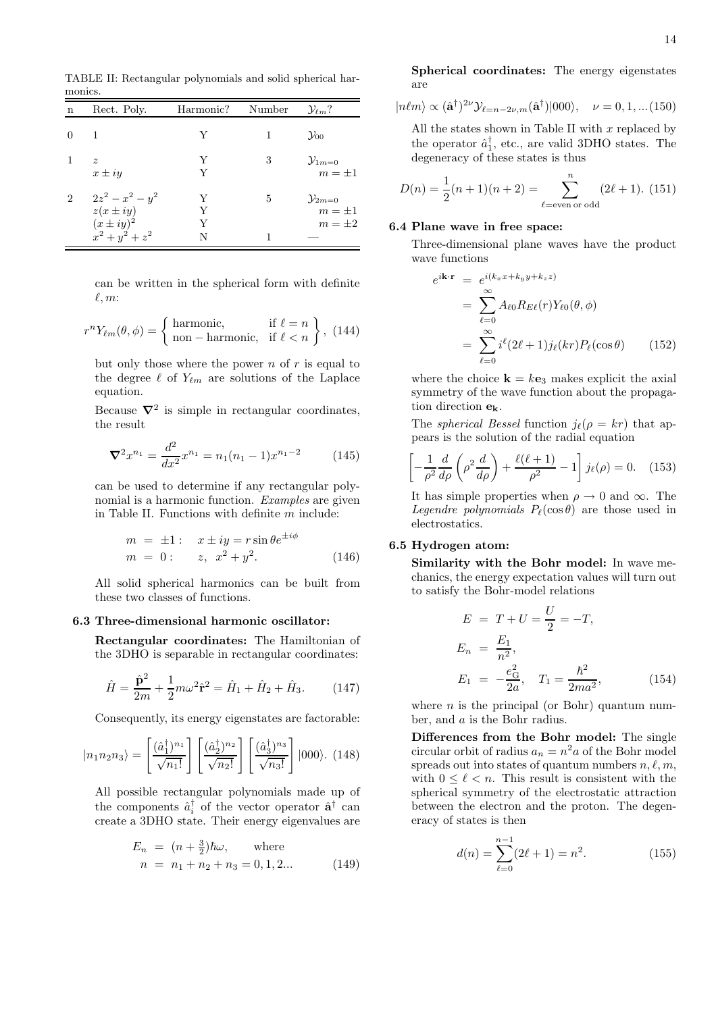TABLE II: Rectangular polynomials and solid spherical harmonics.

| n              | Rect. Poly.                                                                | Harmonic? | Number | $\mathcal{Y}_{\ell m}$ ?                         |
|----------------|----------------------------------------------------------------------------|-----------|--------|--------------------------------------------------|
| $\Omega$       | 1                                                                          |           |        | $\mathcal{Y}_{00}$                               |
|                | $\tilde{z}$<br>$x \pm iy$                                                  | Y<br>Y    | 3      | $\mathcal{Y}_{1m=0}$<br>$m = \pm 1$              |
| $\overline{2}$ | $2z^2 - x^2 - y^2$<br>$z(x \pm iy)$<br>$(x \pm iy)^2$<br>$x^2 + y^2 + z^2$ |           | 5      | $\mathcal{Y}_{2m=0}$<br>$m = \pm 1$<br>$m=\pm 2$ |

can be written in the spherical form with definite  $\ell, m$ :

$$
r^{n}Y_{\ell m}(\theta,\phi) = \begin{cases} \text{harmonic}, & \text{if } \ell = n \\ \text{non-harmonic}, & \text{if } \ell < n \end{cases}, (144)
$$

but only those where the power  $n$  of  $r$  is equal to the degree  $\ell$  of  $Y_{\ell m}$  are solutions of the Laplace equation.

Because  $\nabla^2$  is simple in rectangular coordinates, the result

$$
\nabla^2 x^{n_1} = \frac{d^2}{dx^2} x^{n_1} = n_1(n_1 - 1)x^{n_1 - 2}
$$
 (145)

can be used to determine if any rectangular polynomial is a harmonic function. Examples are given in Table II. Functions with definite m include:

$$
m = \pm 1: \quad x \pm iy = r \sin \theta e^{\pm i\phi} \n m = 0: \quad z, \ \ x^2 + y^2.
$$
\n(146)

All solid spherical harmonics can be built from these two classes of functions.

#### 6.3 Three-dimensional harmonic oscillator:

Rectangular coordinates: The Hamiltonian of the 3DHO is separable in rectangular coordinates:

$$
\hat{H} = \frac{\hat{\mathbf{p}}^2}{2m} + \frac{1}{2}m\omega^2 \hat{\mathbf{r}}^2 = \hat{H}_1 + \hat{H}_2 + \hat{H}_3.
$$
 (147)

Consequently, its energy eigenstates are factorable:

$$
|n_1 n_2 n_3\rangle = \left[\frac{(\hat{a}_1^{\dagger})^{n_1}}{\sqrt{n_1!}}\right] \left[\frac{(\hat{a}_2^{\dagger})^{n_2}}{\sqrt{n_2!}}\right] \left[\frac{(\hat{a}_3^{\dagger})^{n_3}}{\sqrt{n_3!}}\right] |000\rangle. (148)
$$

All possible rectangular polynomials made up of the components  $\hat{a}_i^{\dagger}$  of the vector operator  $\hat{\mathbf{a}}^{\dagger}$  can create a 3DHO state. Their energy eigenvalues are

$$
E_n = (n + \frac{3}{2})\hbar\omega, \quad \text{where}
$$
  
\n
$$
n = n_1 + n_2 + n_3 = 0, 1, 2...
$$
 (149)

Spherical coordinates: The energy eigenstates are

$$
|n\ell m\rangle \propto (\hat{\mathbf{a}}^{\dagger})^{2\nu} \mathcal{Y}_{\ell=n-2\nu,m}(\hat{\mathbf{a}}^{\dagger})|000\rangle, \quad \nu = 0, 1, \dots (150)
$$

All the states shown in Table II with  $x$  replaced by the operator  $\hat{a}_{1}^{\dagger}$ , etc., are valid 3DHO states. The degeneracy of these states is thus

$$
D(n) = \frac{1}{2}(n+1)(n+2) = \sum_{\ell = \text{even or odd}}^{n} (2\ell + 1). (151)
$$

#### 6.4 Plane wave in free space:

Three-dimensional plane waves have the product wave functions

$$
e^{i\mathbf{k}\cdot\mathbf{r}} = e^{i(k_x x + k_y y + k_z z)}
$$
  
= 
$$
\sum_{\ell=0}^{\infty} A_{\ell 0} R_{E\ell}(r) Y_{\ell 0}(\theta, \phi)
$$
  
= 
$$
\sum_{\ell=0}^{\infty} i^{\ell} (2\ell+1) j_{\ell}(kr) P_{\ell}(\cos \theta)
$$
 (152)

where the choice  $\mathbf{k} = k\mathbf{e}_3$  makes explicit the axial symmetry of the wave function about the propagation direction ek.

The *spherical Bessel* function  $j_{\ell}(\rho = kr)$  that appears is the solution of the radial equation

$$
\left[-\frac{1}{\rho^2}\frac{d}{d\rho}\left(\rho^2\frac{d}{d\rho}\right) + \frac{\ell(\ell+1)}{\rho^2} - 1\right]j_\ell(\rho) = 0. \quad (153)
$$

It has simple properties when  $\rho \to 0$  and  $\infty$ . The Legendre polynomials  $P_{\ell}(\cos \theta)$  are those used in electrostatics.

## 6.5 Hydrogen atom:

Similarity with the Bohr model: In wave mechanics, the energy expectation values will turn out to satisfy the Bohr-model relations

$$
E = T + U = \frac{U}{2} = -T,
$$
  
\n
$$
E_n = \frac{E_1}{n^2},
$$
  
\n
$$
E_1 = -\frac{e_G^2}{2a}, \quad T_1 = \frac{\hbar^2}{2ma^2},
$$
\n(154)

where  $n$  is the principal (or Bohr) quantum number, and a is the Bohr radius.

Differences from the Bohr model: The single circular orbit of radius  $a_n = n^2 a$  of the Bohr model spreads out into states of quantum numbers  $n, \ell, m$ , with  $0 \leq \ell < n$ . This result is consistent with the spherical symmetry of the electrostatic attraction between the electron and the proton. The degeneracy of states is then

$$
d(n) = \sum_{\ell=0}^{n-1} (2\ell + 1) = n^2.
$$
 (155)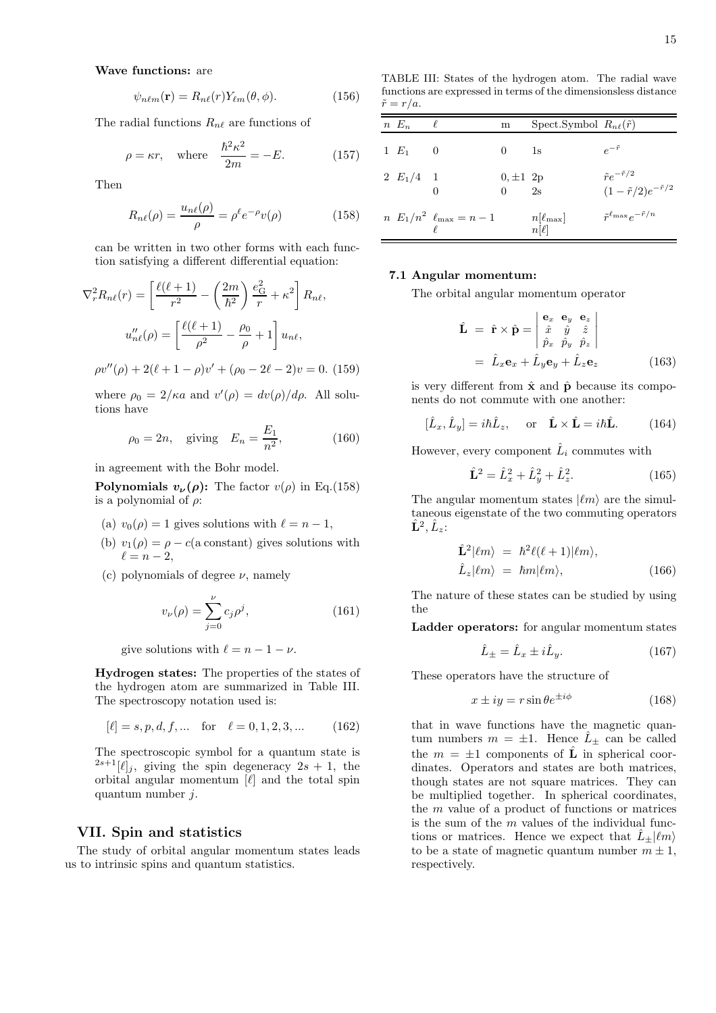$$
\psi_{n\ell m}(\mathbf{r}) = R_{n\ell}(r) Y_{\ell m}(\theta, \phi).
$$
 (156)

The radial functions  $R_{n\ell}$  are functions of

$$
\rho = \kappa r, \quad \text{where} \quad \frac{\hbar^2 \kappa^2}{2m} = -E. \tag{157}
$$

Then

$$
R_{n\ell}(\rho) = \frac{u_{n\ell}(\rho)}{\rho} = \rho^{\ell} e^{-\rho} v(\rho) \tag{158}
$$

can be written in two other forms with each function satisfying a different differential equation:

$$
\nabla_r^2 R_{n\ell}(r) = \left[ \frac{\ell(\ell+1)}{r^2} - \left( \frac{2m}{\hbar^2} \right) \frac{e_G^2}{r} + \kappa^2 \right] R_{n\ell},
$$

$$
u''_{n\ell}(\rho) = \left[ \frac{\ell(\ell+1)}{\rho^2} - \frac{\rho_0}{\rho} + 1 \right] u_{n\ell},
$$

$$
\rho v''(\rho) + 2(\ell + 1 - \rho)v' + (\rho_0 - 2\ell - 2)v = 0.
$$
 (159)

where  $\rho_0 = 2/\kappa a$  and  $v'(\rho) = dv(\rho)/d\rho$ . All solutions have

$$
\rho_0 = 2n
$$
, giving  $E_n = \frac{E_1}{n^2}$ , (160)

in agreement with the Bohr model.

**Polynomials**  $v_{\nu}(\rho)$ **:** The factor  $v(\rho)$  in Eq.(158) is a polynomial of  $\rho$ :

- (a)  $v_0(\rho) = 1$  gives solutions with  $\ell = n 1$ ,
- (b)  $v_1(\rho) = \rho c(a \text{ constant})$  gives solutions with  $\ell = n-2$ ,
- (c) polynomials of degree  $\nu$ , namely

$$
v_{\nu}(\rho) = \sum_{j=0}^{\nu} c_j \rho^j,
$$
 (161)

give solutions with  $\ell = n - 1 - \nu$ .

Hydrogen states: The properties of the states of the hydrogen atom are summarized in Table III. The spectroscopy notation used is:

$$
[\ell] = s, p, d, f, \dots \quad \text{for} \quad \ell = 0, 1, 2, 3, \dots \tag{162}
$$

The spectroscopic symbol for a quantum state is  $2s+1$ [ $\ell$ ]<sub>j</sub>, giving the spin degeneracy  $2s + 1$ , the orbital angular momentum  $[\ell]$  and the total spin quantum number  $j$ .

# VII. Spin and statistics

The study of orbital angular momentum states leads us to intrinsic spins and quantum statistics.

TABLE III: States of the hydrogen atom. The radial wave functions are expressed in terms of the dimensionsless distance  $\tilde{r}=r/a.$ 

| $n E_n$     |                                       | m                               | Spect.Symbol $R_{n\ell}(\tilde{r})$ |                                                                    |
|-------------|---------------------------------------|---------------------------------|-------------------------------------|--------------------------------------------------------------------|
| $1 E_1$ 0   |                                       | $0 \t 1s$                       |                                     | $e^{-\tilde{r}}$                                                   |
| 2 $E_1/4$ 1 | 0                                     | $0, \pm 1, 2p$<br>$0 \qquad 2s$ |                                     | $\tilde{r}e^{-\tilde{r}/2}$<br>$(1 - \tilde{r}/2)e^{-\tilde{r}/2}$ |
|             | $n E_1/n^2 \ell_{\text{max}} = n - 1$ |                                 | $n[\ell_{\max}]$<br>$n[\ell]$       | $\tilde{r}^{\ell_{\max}}e^{-\tilde{r}/n}$                          |

#### 7.1 Angular momentum:

The orbital angular momentum operator

$$
\hat{\mathbf{L}} = \hat{\mathbf{r}} \times \hat{\mathbf{p}} = \begin{vmatrix} \mathbf{e}_x & \mathbf{e}_y & \mathbf{e}_z \\ \hat{x} & \hat{y} & \hat{z} \\ \hat{p}_x & \hat{p}_y & \hat{p}_z \end{vmatrix}
$$

$$
= \hat{L}_x \mathbf{e}_x + \hat{L}_y \mathbf{e}_y + \hat{L}_z \mathbf{e}_z
$$
(163)

is very different from  $\hat{x}$  and  $\hat{p}$  because its components do not commute with one another:

$$
[\hat{L}_x, \hat{L}_y] = i\hbar \hat{L}_z, \quad \text{or} \quad \hat{\mathbf{L}} \times \hat{\mathbf{L}} = i\hbar \hat{\mathbf{L}}.
$$
 (164)

However, every component  $\hat{L}_i$  commutes with

$$
\hat{\mathbf{L}}^2 = \hat{L}_x^2 + \hat{L}_y^2 + \hat{L}_z^2. \tag{165}
$$

The angular momentum states  $|\ell m\rangle$  are the simultaneous eigenstate of the two commuting operators  $\hat{\mathbf{L}}^{2},\hat{L}_{z}\mathpunct{:}$ 

$$
\hat{\mathbf{L}}^2 |\ell m\rangle = \hbar^2 \ell (\ell + 1) |\ell m\rangle, \n\hat{L}_z |\ell m\rangle = \hbar m |\ell m\rangle, \tag{166}
$$

The nature of these states can be studied by using the

Ladder operators: for angular momentum states

$$
\hat{L}_{\pm} = \hat{L}_x \pm i\hat{L}_y. \tag{167}
$$

These operators have the structure of

 $\mathbf{L} = \mathbf{L} \times \mathbf{L}$ 

$$
x \pm iy = r \sin \theta e^{\pm i\phi} \tag{168}
$$

that in wave functions have the magnetic quantum numbers  $m = \pm 1$ . Hence  $\hat{L}_{\pm}$  can be called the  $m = \pm 1$  components of  $\hat{\mathbf{L}}$  in spherical coordinates. Operators and states are both matrices, though states are not square matrices. They can be multiplied together. In spherical coordinates, the m value of a product of functions or matrices is the sum of the  $m$  values of the individual functions or matrices. Hence we expect that  $\hat{L}_+|\ell m\rangle$ to be a state of magnetic quantum number  $m \pm 1$ , respectively.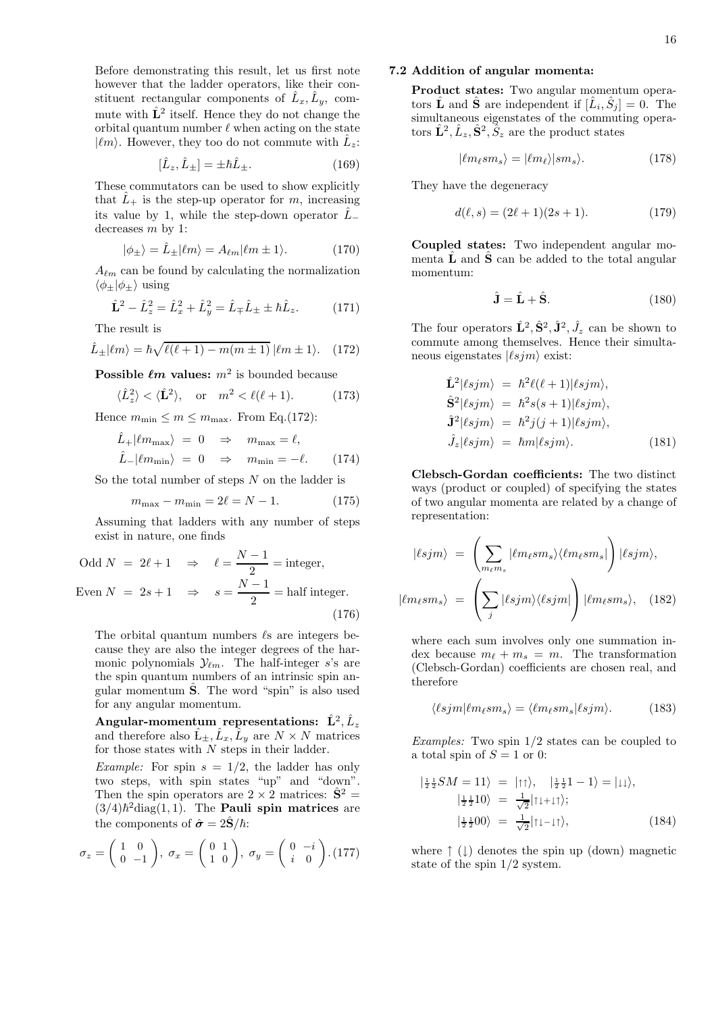Before demonstrating this result, let us first note however that the ladder operators, like their constituent rectangular components of  $\hat{L}_x, \hat{L}_y$ , commute with  $\hat{L}^2$  itself. Hence they do not change the orbital quantum number  $\ell$  when acting on the state  $|\ell m\rangle$ . However, they too do not commute with  $\hat{L}_z$ :

$$
[\hat{L}_z, \hat{L}_\pm] = \pm \hbar \hat{L}_\pm.
$$
\n(169)

These commutators can be used to show explicitly that  $\hat{L}_+$  is the step-up operator for m, increasing its value by 1, while the step-down operator  $\hat{L}_$ decreases  $m$  by 1:

$$
|\phi_{\pm}\rangle = \hat{L}_{\pm} | \ell m \rangle = A_{\ell m} | \ell m \pm 1 \rangle. \tag{170}
$$

 $A_{\ell m}$  can be found by calculating the normalization  $\langle \phi_+|\phi_+\rangle$  using

$$
\hat{\mathbf{L}}^2 - \hat{L}_z^2 = \hat{L}_x^2 + \hat{L}_y^2 = \hat{L}_{\mp}\hat{L}_{\pm} \pm \hbar \hat{L}_z.
$$
 (171)

The result is

$$
\hat{L}_{\pm}|\ell m\rangle = \hbar\sqrt{\ell(\ell+1) - m(m \pm 1)} |\ell m \pm 1\rangle. \quad (172)
$$

Possible  $\ell m$  values:  $m^2$  is bounded because

$$
\langle \hat{L}_z^2 \rangle < \langle \hat{\mathbf{L}}^2 \rangle, \quad \text{or} \quad m^2 < \ell(\ell+1). \tag{173}
$$

Hence  $m_{\min} \leq m \leq m_{\max}$ . From Eq.(172):

$$
\hat{L}_{+} | \ell m_{\text{max}} \rangle = 0 \Rightarrow m_{\text{max}} = \ell, \n\hat{L}_{-} | \ell m_{\text{min}} \rangle = 0 \Rightarrow m_{\text{min}} = -\ell. \quad (174)
$$

So the total number of steps  $N$  on the ladder is

$$
m_{\text{max}} - m_{\text{min}} = 2\ell = N - 1. \tag{175}
$$

Assuming that ladders with any number of steps exist in nature, one finds

Odd 
$$
N = 2\ell + 1 \Rightarrow \ell = \frac{N-1}{2} = \text{integer},
$$

\nEven  $N = 2s + 1 \Rightarrow s = \frac{N-1}{2} = \text{half integer}.$ 

\n(176)

The orbital quantum numbers  $\ell$ s are integers because they are also the integer degrees of the harmonic polynomials  $\mathcal{Y}_{\ell m}$ . The half-integer s's are the spin quantum numbers of an intrinsic spin angular momentum  $\hat{S}$ . The word "spin" is also used for any angular momentum.

 ${\bf Angular-momentum\_representations:~~\hat L^2, \hat L_z}$ and therefore also  $\hat{L}_{\pm}, \hat{L}_x, \hat{L}_y$  are  $N \times N$  matrices for those states with  $N$  steps in their ladder.

*Example:* For spin  $s = 1/2$ , the ladder has only two steps, with spin states "up" and "down". Then the spin operators are  $2 \times 2$  matrices:  $\hat{S}^2$  =  $(3/4)\hbar^2$ diag $(1, 1)$ . The **Pauli spin matrices** are the components of  $\hat{\sigma} = 2\hat{\mathbf{S}}/\hbar$ :

$$
\sigma_z = \begin{pmatrix} 1 & 0 \\ 0 & -1 \end{pmatrix}, \ \sigma_x = \begin{pmatrix} 0 & 1 \\ 1 & 0 \end{pmatrix}, \ \sigma_y = \begin{pmatrix} 0 & -i \\ i & 0 \end{pmatrix}. (177)
$$

# 7.2 Addition of angular momenta:

Product states: Two angular momentum operators  $\hat{\mathbf{L}}$  and  $\hat{\mathbf{S}}$  are independent if  $[\hat{L}_i, \hat{S}_j] = 0$ . The simultaneous eigenstates of the commuting operators  $\hat{\mathbf{L}}^2, \hat{L}_z, \hat{\mathbf{S}}^2, \tilde{S}_z$  are the product states

$$
|\ell m_{\ell} s m_s\rangle = |\ell m_{\ell}\rangle |s m_s\rangle. \tag{178}
$$

They have the degeneracy

$$
d(\ell, s) = (2\ell + 1)(2s + 1). \tag{179}
$$

Coupled states: Two independent angular momenta  $\hat{\mathbf{L}}$  and  $\hat{\mathbf{S}}$  can be added to the total angular momentum:

$$
\hat{\mathbf{J}} = \hat{\mathbf{L}} + \hat{\mathbf{S}}.\tag{180}
$$

The four operators  $\hat{\mathbf{L}}^2$ ,  $\hat{\mathbf{S}}^2$ ,  $\hat{\mathbf{J}}^2$ ,  $\hat{J}_z$  can be shown to commute among themselves. Hence their simultaneous eigenstates  $|\ell s_j m\rangle$  exist:

$$
\hat{\mathbf{L}}^2|\ell sim\rangle = \hbar^2 \ell(\ell+1)|\ell sim\rangle, \n\hat{\mathbf{S}}^2|\ell sim\rangle = \hbar^2 s(s+1)|\ell sim\rangle, \n\hat{\mathbf{J}}^2|\ell sim\rangle = \hbar^2 j(j+1)|\ell sim\rangle, \n\hat{J}_z|\ell sim\rangle = \hbar m|\ell sim\rangle. \n(181)
$$

Clebsch-Gordan coefficients: The two distinct ways (product or coupled) of specifying the states of two angular momenta are related by a change of representation:

$$
|\ell sjm\rangle = \left(\sum_{m_{\ell}m_{s}} |\ell m_{\ell}sm_{s}\rangle\langle\ell m_{\ell}sm_{s}| \right) |\ell sjm\rangle,
$$
  

$$
|\ell m_{\ell}sm_{s}\rangle = \left(\sum_{j} |\ell sjm\rangle\langle\ell sjm| \right) |\ell m_{\ell}sm_{s}\rangle, \quad (182)
$$

where each sum involves only one summation index because  $m_{\ell} + m_s = m$ . The transformation (Clebsch-Gordan) coefficients are chosen real, and therefore

$$
\langle \ell sjm | \ell m_\ell s m_s \rangle = \langle \ell m_\ell s m_s | \ell s j m \rangle. \tag{183}
$$

Examples: Two spin 1/2 states can be coupled to a total spin of  $S = 1$  or 0:

$$
\left|\frac{1}{2}\frac{1}{2}SM = 11\right\rangle = \left|\uparrow\uparrow\right\rangle, \quad \left|\frac{1}{2}\frac{1}{2}1 - 1\right\rangle = \left|\downarrow\downarrow\right\rangle, \left|\frac{1}{2}\frac{1}{2}10\right\rangle = \frac{1}{\sqrt{2}}\left|\uparrow\downarrow\downarrow\downarrow\right\rangle; \left|\frac{1}{2}\frac{1}{2}00\right\rangle = \frac{1}{\sqrt{2}}\left|\uparrow\downarrow\perp\downarrow\uparrow\right\rangle, \tag{184}
$$

where  $\uparrow$  (1) denotes the spin up (down) magnetic state of the spin 1/2 system.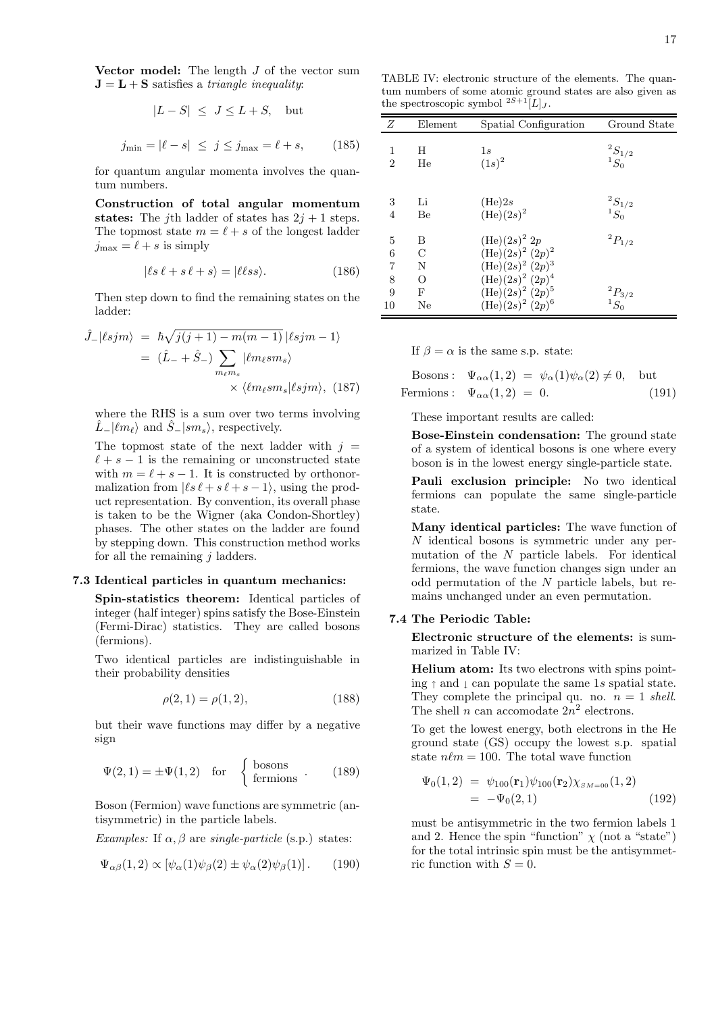Vector model: The length  $J$  of the vector sum  $J = L + S$  satisfies a *triangle inequality*:

$$
|L - S| \le J \le L + S, \quad \text{but}
$$

$$
j_{\min} = |\ell - s| \le j \le j_{\max} = \ell + s, \qquad (185)
$$

for quantum angular momenta involves the quantum numbers.

Construction of total angular momentum states: The *j*th ladder of states has  $2j + 1$  steps. The topmost state  $m = \ell + s$  of the longest ladder  $j_{\text{max}} = \ell + s$  is simply

$$
|\ell s \ell + s \ell + s\rangle = |\ell \ell s s\rangle.
$$
 (186)

Then step down to find the remaining states on the ladder:

$$
\hat{J}_{-}|\ell sjm\rangle = \hbar\sqrt{j(j+1) - m(m-1)} |\ell sjm - 1\rangle
$$

$$
= (\hat{L}_{-} + \hat{S}_{-}) \sum_{m_{\ell}m_{s}} |\ell m_{\ell}sm_{s}\rangle
$$

$$
\times \langle \ell m_{\ell}sm_{s}|\ell sjm\rangle, (187)
$$

where the RHS is a sum over two terms involving  $\hat{L}_-|\ell m_\ell\rangle$  and  $\hat{S}_-|sm_s\rangle$ , respectively.

The topmost state of the next ladder with  $j =$  $\ell + s - 1$  is the remaining or unconstructed state with  $m = \ell + s - 1$ . It is constructed by orthonormalization from  $|\ell s \ell + s \ell + s - 1\rangle$ , using the product representation. By convention, its overall phase is taken to be the Wigner (aka Condon-Shortley) phases. The other states on the ladder are found by stepping down. This construction method works for all the remaining  $j$  ladders.

#### 7.3 Identical particles in quantum mechanics:

Spin-statistics theorem: Identical particles of integer (half integer) spins satisfy the Bose-Einstein (Fermi-Dirac) statistics. They are called bosons (fermions).

Two identical particles are indistinguishable in their probability densities

$$
\rho(2,1) = \rho(1,2),\tag{188}
$$

but their wave functions may differ by a negative sign

$$
\Psi(2,1) = \pm \Psi(1,2) \quad \text{for} \quad \begin{cases} \text{bosons} \\ \text{fermions} \end{cases} . \tag{189}
$$

Boson (Fermion) wave functions are symmetric (antisymmetric) in the particle labels.

Examples: If  $\alpha, \beta$  are single-particle (s.p.) states:

$$
\Psi_{\alpha\beta}(1,2) \propto [\psi_{\alpha}(1)\psi_{\beta}(2) \pm \psi_{\alpha}(2)\psi_{\beta}(1)]. \quad (190)
$$

TABLE IV: electronic structure of the elements. The quantum numbers of some atomic ground states are also given as the spectroscopic symbol  $2S+1[L]$ .

| Ζ              | Element      | Spatial Configuration      | Ground State                  |
|----------------|--------------|----------------------------|-------------------------------|
| 1              | H            | 1s                         |                               |
| $\overline{2}$ | He           | $(1s)^2$                   | $\frac{{}^2S_{1/2}}{{}^1S_0}$ |
|                |              |                            |                               |
| 3              | Li           | (He)2s                     |                               |
| 4              | Be           | $(He)(2s)^2$               | $\frac{{}^2S_{1/2}}{{}^1S_0}$ |
|                |              |                            |                               |
| 5              | B            | $(He)(2s)^{2} 2p$          | ${}^{2}P_{1/2}$               |
| 6              | C            | $(\text{He})(2s)^2 (2p)^2$ |                               |
| 7              | N            | $(\text{He})(2s)^2 (2p)^3$ |                               |
| 8              | O            | $(\text{He})(2s)^2 (2p)^4$ |                               |
| 9              | $\mathbf{F}$ | $(\text{He})(2s)^2 (2p)^5$ |                               |
| 10             | Ne           | $(He)(2s)^{2} (2p)^{6}$    | $\frac{{}^2P_{3/2}}{^1S_0}$   |

If  $\beta = \alpha$  is the same s.p. state:

Bosons: 
$$
\Psi_{\alpha\alpha}(1,2) = \psi_{\alpha}(1)\psi_{\alpha}(2) \neq 0
$$
, but  
Fermions:  $\Psi_{\alpha\alpha}(1,2) = 0$ . (191)

These important results are called:

Bose-Einstein condensation: The ground state of a system of identical bosons is one where every boson is in the lowest energy single-particle state.

Pauli exclusion principle: No two identical fermions can populate the same single-particle state.

Many identical particles: The wave function of N identical bosons is symmetric under any permutation of the  $N$  particle labels. For identical fermions, the wave function changes sign under an odd permutation of the N particle labels, but remains unchanged under an even permutation.

### 7.4 The Periodic Table:

Electronic structure of the elements: is summarized in Table IV:

Helium atom: Its two electrons with spins pointing  $\uparrow$  and  $\downarrow$  can populate the same 1s spatial state. They complete the principal qu. no.  $n = 1$  shell. The shell *n* can accomodate  $2n^2$  electrons.

To get the lowest energy, both electrons in the He ground state (GS) occupy the lowest s.p. spatial state  $n\ell m = 100$ . The total wave function

$$
\Psi_0(1,2) = \psi_{100}(\mathbf{r}_1)\psi_{100}(\mathbf{r}_2)\chi_{SM=00}(1,2)
$$
  
=  $-\Psi_0(2,1)$  (192)

must be antisymmetric in the two fermion labels 1 and 2. Hence the spin "function"  $\chi$  (not a "state") for the total intrinsic spin must be the antisymmetric function with  $S = 0$ .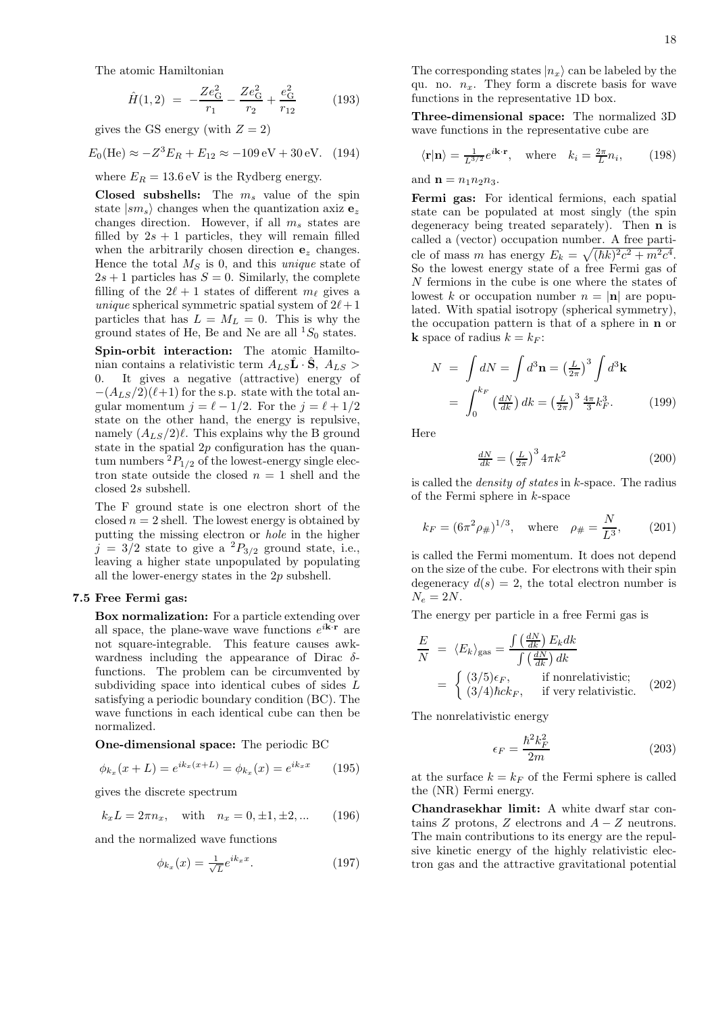The atomic Hamiltonian

$$
\hat{H}(1,2) = -\frac{Ze_{\rm G}^2}{r_1} - \frac{Ze_{\rm G}^2}{r_2} + \frac{e_{\rm G}^2}{r_{12}} \tag{193}
$$

gives the GS energy (with  $Z = 2$ )

$$
E_0(\text{He}) \approx -Z^3 E_R + E_{12} \approx -109 \,\text{eV} + 30 \,\text{eV}.
$$
 (194)

where  $E_R = 13.6$  eV is the Rydberg energy.

Closed subshells: The  $m_s$  value of the spin state  $|sm_s\rangle$  changes when the quantization axiz  $e_z$ changes direction. However, if all  $m_s$  states are filled by  $2s + 1$  particles, they will remain filled when the arbitrarily chosen direction  $e_z$  changes. Hence the total  $M<sub>S</sub>$  is 0, and this *unique* state of  $2s + 1$  particles has  $S = 0$ . Similarly, the complete filling of the  $2\ell + 1$  states of different  $m_\ell$  gives a unique spherical symmetric spatial system of  $2\ell+1$ particles that has  $L = M_L = 0$ . This is why the ground states of He, Be and Ne are all  ${}^{1}S_{0}$  states.

Spin-orbit interaction: The atomic Hamiltonian contains a relativistic term  $A_{LS} \hat{\mathbf{L}} \cdot \hat{\mathbf{S}}$ ,  $A_{LS}$ 0. It gives a negative (attractive) energy of  $-(A_{LS}/2)(\ell+1)$  for the s.p. state with the total angular momentum  $j = \ell - 1/2$ . For the  $j = \ell + 1/2$ state on the other hand, the energy is repulsive, namely  $(A_{LS}/2)\ell$ . This explains why the B ground state in the spatial  $2p$  configuration has the quantum numbers  ${}^{2}P_{1/2}$  of the lowest-energy single electron state outside the closed  $n = 1$  shell and the closed 2s subshell.

The F ground state is one electron short of the closed  $n = 2$  shell. The lowest energy is obtained by putting the missing electron or hole in the higher  $j = 3/2$  state to give a  ${}^{2}P_{3/2}$  ground state, i.e., leaving a higher state unpopulated by populating all the lower-energy states in the 2p subshell.

# 7.5 Free Fermi gas:

Box normalization: For a particle extending over all space, the plane-wave wave functions  $e^{i\mathbf{k}\cdot\mathbf{r}}$  are not square-integrable. This feature causes awkwardness including the appearance of Dirac  $\delta$ functions. The problem can be circumvented by subdividing space into identical cubes of sides L satisfying a periodic boundary condition (BC). The wave functions in each identical cube can then be normalized.

One-dimensional space: The periodic BC

$$
\phi_{k_x}(x+L) = e^{ik_x(x+L)} = \phi_{k_x}(x) = e^{ik_x x} \qquad (195)
$$

gives the discrete spectrum

$$
k_x L = 2\pi n_x
$$
, with  $n_x = 0, \pm 1, \pm 2, ...$  (196)

and the normalized wave functions

$$
\phi_{k_x}(x) = \frac{1}{\sqrt{L}} e^{ik_x x}.
$$
\n(197)

The corresponding states  $|n_x\rangle$  can be labeled by the qu. no.  $n_x$ . They form a discrete basis for wave functions in the representative 1D box.

Three-dimensional space: The normalized 3D wave functions in the representative cube are

$$
\langle \mathbf{r} | \mathbf{n} \rangle = \frac{1}{L^{3/2}} e^{i\mathbf{k} \cdot \mathbf{r}}, \text{ where } k_i = \frac{2\pi}{L} n_i,
$$
 (198)

and  $\mathbf{n} = n_1 n_2 n_3$ .

Fermi gas: For identical fermions, each spatial state can be populated at most singly (the spin degeneracy being treated separately). Then n is called a (vector) occupation number. A free particle of mass m has energy  $E_k = \sqrt{(\hbar k)^2 c^2 + m^2 c^4}$ . So the lowest energy state of a free Fermi gas of N fermions in the cube is one where the states of lowest k or occupation number  $n = |\mathbf{n}|$  are populated. With spatial isotropy (spherical symmetry), the occupation pattern is that of a sphere in n or **k** space of radius  $k = k_F$ :

$$
N = \int dN = \int d^3 \mathbf{n} = \left(\frac{L}{2\pi}\right)^3 \int d^3 \mathbf{k}
$$

$$
= \int_0^{k_F} \left(\frac{dN}{dk}\right) dk = \left(\frac{L}{2\pi}\right)^3 \frac{4\pi}{3} k_F^3. \tag{199}
$$

Here

$$
\frac{dN}{dk} = \left(\frac{L}{2\pi}\right)^3 4\pi k^2 \tag{200}
$$

is called the density of states in k-space. The radius of the Fermi sphere in k-space

$$
k_F = (6\pi^2 \rho_{\#})^{1/3}
$$
, where  $\rho_{\#} = \frac{N}{L^3}$ , (201)

is called the Fermi momentum. It does not depend on the size of the cube. For electrons with their spin degeneracy  $d(s) = 2$ , the total electron number is  $N_e = 2N$ .

The energy per particle in a free Fermi gas is

$$
\frac{E}{N} = \langle E_k \rangle_{\text{gas}} = \frac{\int \left(\frac{dN}{dk}\right) E_k dk}{\int \left(\frac{dN}{dk}\right) dk}
$$
\n
$$
= \begin{cases}\n(3/5)\epsilon_F, & \text{if nonrelativistic;}\\ \n(3/4)\hbar ck_F, & \text{if very relativistic.}\n\end{cases} \tag{202}
$$

The nonrelativistic energy

$$
\epsilon_F = \frac{\hbar^2 k_F^2}{2m} \tag{203}
$$

at the surface  $k = k_F$  of the Fermi sphere is called the (NR) Fermi energy.

Chandrasekhar limit: A white dwarf star contains Z protons, Z electrons and  $A - Z$  neutrons. The main contributions to its energy are the repulsive kinetic energy of the highly relativistic electron gas and the attractive gravitational potential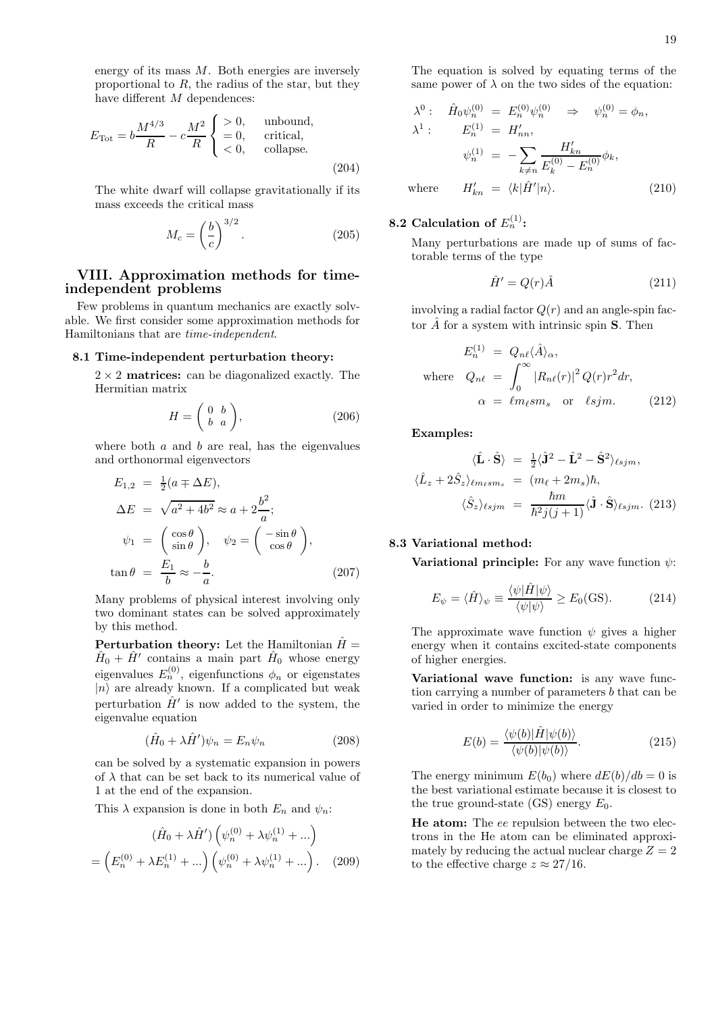energy of its mass  $M$ . Both energies are inversely proportional to  $R$ , the radius of the star, but they have different M dependences:

$$
E_{\text{Tot}} = b \frac{M^{4/3}}{R} - c \frac{M^2}{R} \begin{cases} > 0, \quad \text{unbound,} \\ = 0, & \text{critical,} \\ < 0, & \text{collapse.} \end{cases} \tag{204}
$$

The white dwarf will collapse gravitationally if its mass exceeds the critical mass

$$
M_c = \left(\frac{b}{c}\right)^{3/2}.\tag{205}
$$

# VIII. Approximation methods for timeindependent problems

Few problems in quantum mechanics are exactly solvable. We first consider some approximation methods for Hamiltonians that are time-independent.

#### 8.1 Time-independent perturbation theory:

 $2 \times 2$  matrices: can be diagonalized exactly. The Hermitian matrix

$$
H = \left(\begin{array}{cc} 0 & b \\ b & a \end{array}\right),\tag{206}
$$

where both  $a$  and  $b$  are real, has the eigenvalues and orthonormal eigenvectors

$$
E_{1,2} = \frac{1}{2}(a \pm \Delta E),
$$
  
\n
$$
\Delta E = \sqrt{a^2 + 4b^2} \approx a + 2\frac{b^2}{a};
$$
  
\n
$$
\psi_1 = \begin{pmatrix} \cos \theta \\ \sin \theta \end{pmatrix}, \quad \psi_2 = \begin{pmatrix} -\sin \theta \\ \cos \theta \end{pmatrix},
$$
  
\n
$$
\tan \theta = \frac{E_1}{b} \approx -\frac{b}{a}.
$$
\n(207)

Many problems of physical interest involving only two dominant states can be solved approximately by this method.

**Perturbation theory:** Let the Hamiltonian  $\hat{H} =$  $\hat{H}_0 + \hat{H}'$  contains a main part  $\hat{H}_0$  whose energy eigenvalues  $E_n^{(0)}$ , eigenfunctions  $\phi_n$  or eigenstates  $|n\rangle$  are already known. If a complicated but weak perturbation  $\hat{H}'$  is now added to the system, the eigenvalue equation

$$
(\hat{H}_0 + \lambda \hat{H}')\psi_n = E_n \psi_n \tag{208}
$$

can be solved by a systematic expansion in powers of  $\lambda$  that can be set back to its numerical value of 1 at the end of the expansion.

This  $\lambda$  expansion is done in both  $E_n$  and  $\psi_n$ :

$$
(\hat{H}_0 + \lambda \hat{H}') \left( \psi_n^{(0)} + \lambda \psi_n^{(1)} + \dots \right)
$$

$$
= \left( E_n^{(0)} + \lambda E_n^{(1)} + \dots \right) \left( \psi_n^{(0)} + \lambda \psi_n^{(1)} + \dots \right). \quad (209)
$$

The equation is solved by equating terms of the same power of  $\lambda$  on the two sides of the equation:

$$
\lambda^{0}: \hat{H}_{0}\psi_{n}^{(0)} = E_{n}^{(0)}\psi_{n}^{(0)} \Rightarrow \psi_{n}^{(0)} = \phi_{n},
$$
  
\n
$$
\lambda^{1}: E_{n}^{(1)} = H'_{nn},
$$
  
\n
$$
\psi_{n}^{(1)} = -\sum_{k \neq n} \frac{H'_{kn}}{E_{k}^{(0)} - E_{n}^{(0)}} \phi_{k},
$$
  
\nwhere  $H'_{kn} = \langle k|\hat{H}'|n\rangle.$  (210)

# 8.2 Calculation of  $E_n^{(1)}$ :

Many perturbations are made up of sums of factorable terms of the type

$$
\hat{H}' = Q(r)\hat{A} \tag{211}
$$

involving a radial factor  $Q(r)$  and an angle-spin factor  $\hat{A}$  for a system with intrinsic spin **S**. Then

$$
E_n^{(1)} = Q_{n\ell} \langle \hat{A} \rangle_\alpha,
$$
  
where  $Q_{n\ell} = \int_0^\infty |R_{n\ell}(r)|^2 Q(r) r^2 dr,$   
 $\alpha = \ell m_\ell s m_s \text{ or } \ell s j m.$  (212)

Examples:

$$
\langle \hat{\mathbf{L}} \cdot \hat{\mathbf{S}} \rangle = \frac{1}{2} \langle \hat{\mathbf{J}}^2 - \hat{\mathbf{L}}^2 - \hat{\mathbf{S}}^2 \rangle_{\ell s j m},
$$
  

$$
\langle \hat{L}_z + 2 \hat{S}_z \rangle_{\ell m_\ell s m_s} = (m_\ell + 2m_s) \hbar,
$$
  

$$
\langle \hat{S}_z \rangle_{\ell s j m} = \frac{\hbar m}{\hbar^2 j(j+1)} \langle \hat{\mathbf{J}} \cdot \hat{\mathbf{S}} \rangle_{\ell s j m}. \tag{213}
$$

# 8.3 Variational method:

**Variational principle:** For any wave function  $\psi$ :

$$
E_{\psi} = \langle \hat{H} \rangle_{\psi} \equiv \frac{\langle \psi | \hat{H} | \psi \rangle}{\langle \psi | \psi \rangle} \ge E_0(\text{GS}). \tag{214}
$$

The approximate wave function  $\psi$  gives a higher energy when it contains excited-state components of higher energies.

Variational wave function: is any wave function carrying a number of parameters b that can be varied in order to minimize the energy

$$
E(b) = \frac{\langle \psi(b) | \hat{H} | \psi(b) \rangle}{\langle \psi(b) | \psi(b) \rangle}.
$$
\n(215)

The energy minimum  $E(b_0)$  where  $dE(b)/db = 0$  is the best variational estimate because it is closest to the true ground-state (GS) energy  $E_0$ .

He atom: The ee repulsion between the two electrons in the He atom can be eliminated approximately by reducing the actual nuclear charge  $Z = 2$ to the effective charge  $z \approx 27/16$ .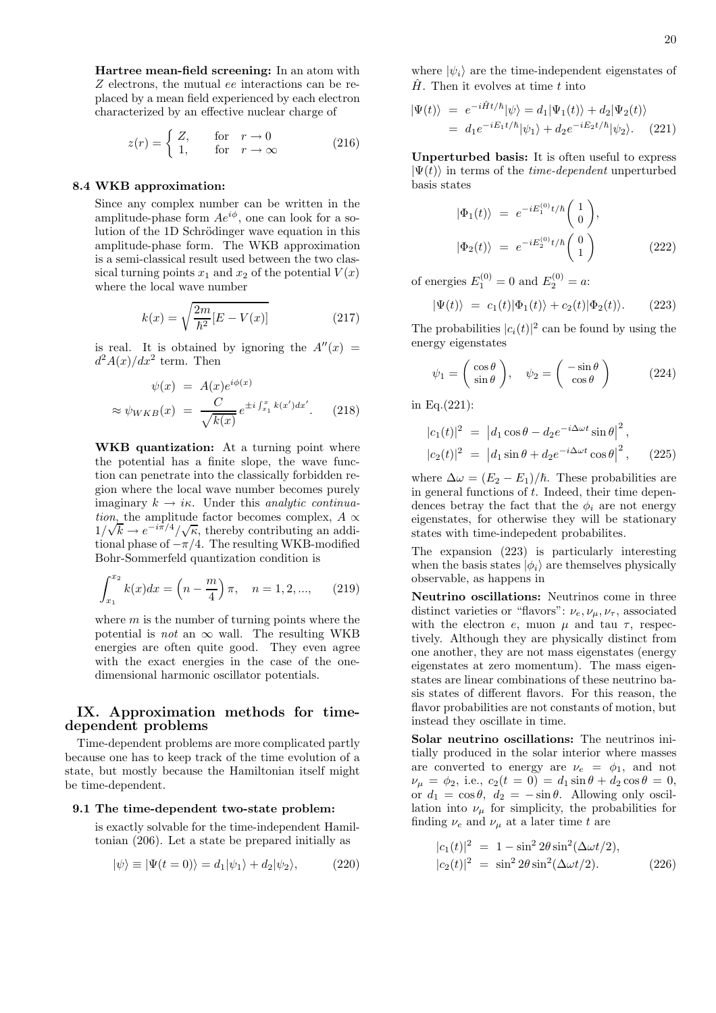Hartree mean-field screening: In an atom with Z electrons, the mutual ee interactions can be replaced by a mean field experienced by each electron characterized by an effective nuclear charge of

$$
z(r) = \begin{cases} Z, & \text{for} \quad r \to 0 \\ 1, & \text{for} \quad r \to \infty \end{cases} \tag{216}
$$

#### 8.4 WKB approximation:

Since any complex number can be written in the amplitude-phase form  $Ae^{i\phi}$ , one can look for a solution of the 1D Schrödinger wave equation in this amplitude-phase form. The WKB approximation is a semi-classical result used between the two classical turning points  $x_1$  and  $x_2$  of the potential  $V(x)$ where the local wave number

$$
k(x) = \sqrt{\frac{2m}{\hbar^2} [E - V(x)]}
$$
 (217)

is real. It is obtained by ignoring the  $A''(x) =$  $d^2A(x)/dx^2$  term. Then

$$
\psi(x) = A(x)e^{i\phi(x)}
$$
  

$$
\approx \psi_{WKB}(x) = \frac{C}{\sqrt{k(x)}}e^{\pm i \int_{x_1}^x k(x')dx'}.
$$
 (218)

WKB quantization: At a turning point where the potential has a finite slope, the wave function can penetrate into the classically forbidden region where the local wave number becomes purely imaginary  $k \to i\kappa$ . Under this analytic continuation, the amplitude factor becomes complex,  $A \propto \mathbb{R}$  $1/\sqrt{k} \rightarrow e^{-i\pi/4}/\sqrt{\kappa}$ , thereby contributing an additional phase of  $-\pi/4$ . The resulting WKB-modified Bohr-Sommerfeld quantization condition is

$$
\int_{x_1}^{x_2} k(x)dx = \left(n - \frac{m}{4}\right)\pi, \quad n = 1, 2, \dots,
$$
 (219)

where  $m$  is the number of turning points where the potential is *not* an  $\infty$  wall. The resulting WKB energies are often quite good. They even agree with the exact energies in the case of the onedimensional harmonic oscillator potentials.

# IX. Approximation methods for timedependent problems

Time-dependent problems are more complicated partly because one has to keep track of the time evolution of a state, but mostly because the Hamiltonian itself might be time-dependent.

#### 9.1 The time-dependent two-state problem:

is exactly solvable for the time-independent Hamiltonian (206). Let a state be prepared initially as

$$
|\psi\rangle \equiv |\Psi(t=0)\rangle = d_1|\psi_1\rangle + d_2|\psi_2\rangle, \tag{220}
$$

where  $|\psi_i\rangle$  are the time-independent eigenstates of  $\hat{H}$ . Then it evolves at time t into

$$
\begin{aligned} |\Psi(t)\rangle &= e^{-i\hat{H}t/\hbar}|\psi\rangle = d_1|\Psi_1(t)\rangle + d_2|\Psi_2(t)\rangle \\ &= d_1 e^{-iE_1t/\hbar}|\psi_1\rangle + d_2 e^{-iE_2t/\hbar}|\psi_2\rangle. \end{aligned} \tag{221}
$$

Unperturbed basis: It is often useful to express  $|\Psi(t)\rangle$  in terms of the *time-dependent* unperturbed basis states

$$
\begin{aligned}\n|\Phi_1(t)\rangle &= e^{-iE_1^{(0)}t/\hbar} \begin{pmatrix} 1\\0 \end{pmatrix}, \\
|\Phi_2(t)\rangle &= e^{-iE_2^{(0)}t/\hbar} \begin{pmatrix} 0\\1 \end{pmatrix} \n\end{aligned} \n(222)
$$

of energies  $E_1^{(0)} = 0$  and  $E_2^{(0)} = a$ :

$$
|\Psi(t)\rangle = c_1(t)|\Phi_1(t)\rangle + c_2(t)|\Phi_2(t)\rangle. \qquad (223)
$$

The probabilities  $|c_i(t)|^2$  can be found by using the energy eigenstates

$$
\psi_1 = \begin{pmatrix} \cos \theta \\ \sin \theta \end{pmatrix}, \quad \psi_2 = \begin{pmatrix} -\sin \theta \\ \cos \theta \end{pmatrix} \tag{224}
$$

in Eq.(221):

$$
|c_1(t)|^2 = |d_1 \cos \theta - d_2 e^{-i\Delta \omega t} \sin \theta|^2,
$$
  

$$
|c_2(t)|^2 = |d_1 \sin \theta + d_2 e^{-i\Delta \omega t} \cos \theta|^2,
$$
 (225)

where  $\Delta \omega = (E_2 - E_1)/\hbar$ . These probabilities are in general functions of  $t$ . Indeed, their time dependences betray the fact that the  $\phi_i$  are not energy eigenstates, for otherwise they will be stationary states with time-indepedent probabilites.

The expansion (223) is particularly interesting when the basis states  $|\phi_i\rangle$  are themselves physically observable, as happens in

Neutrino oscillations: Neutrinos come in three distinct varieties or "flavors":  $\nu_e, \nu_\mu, \nu_\tau$ , associated with the electron e, muon  $\mu$  and tau  $\tau$ , respectively. Although they are physically distinct from one another, they are not mass eigenstates (energy eigenstates at zero momentum). The mass eigenstates are linear combinations of these neutrino basis states of different flavors. For this reason, the flavor probabilities are not constants of motion, but instead they oscillate in time.

Solar neutrino oscillations: The neutrinos initially produced in the solar interior where masses are converted to energy are  $\nu_e = \phi_1$ , and not  $\nu_{\mu} = \phi_2$ , i.e.,  $c_2(t = 0) = d_1 \sin \theta + d_2 \cos \theta = 0$ , or  $d_1 = \cos \theta$ ,  $d_2 = -\sin \theta$ . Allowing only oscillation into  $\nu_{\mu}$  for simplicity, the probabilities for finding  $\nu_e$  and  $\nu_\mu$  at a later time t are

$$
|c_1(t)|^2 = 1 - \sin^2 2\theta \sin^2(\Delta \omega t/2),
$$
  
\n
$$
|c_2(t)|^2 = \sin^2 2\theta \sin^2(\Delta \omega t/2).
$$
 (226)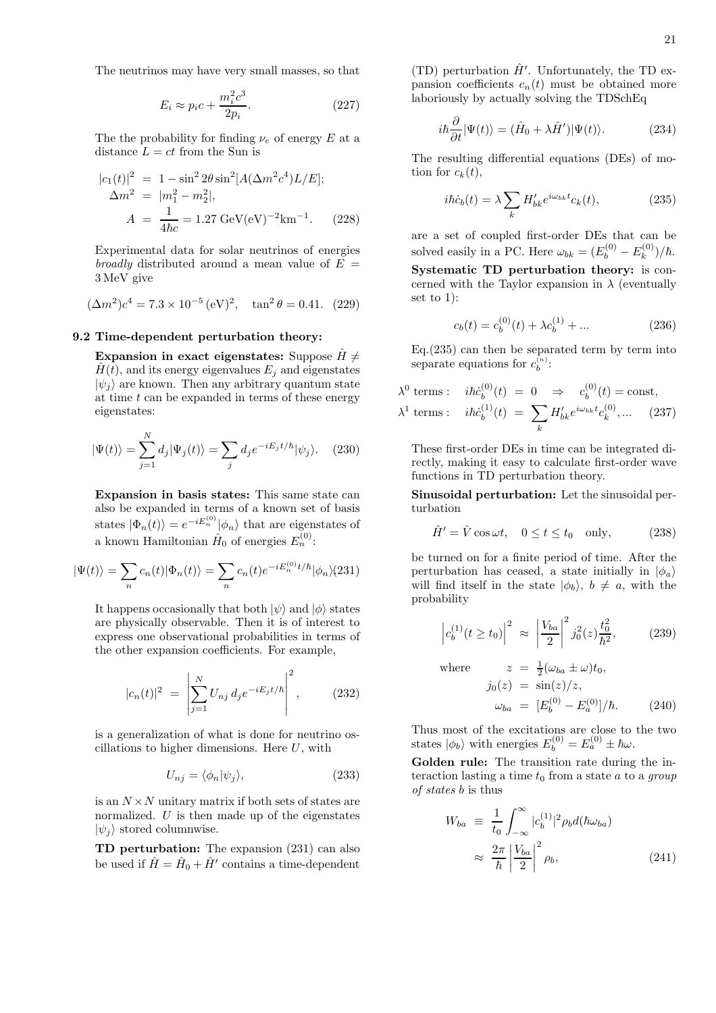The neutrinos may have very small masses, so that

$$
E_i \approx p_i c + \frac{m_i^2 c^3}{2p_i}.
$$
\n(227)

The the probability for finding  $\nu_e$  of energy E at a distance  $L = ct$  from the Sun is

$$
|c_1(t)|^2 = 1 - \sin^2 2\theta \sin^2[A(\Delta m^2 c^4)L/E];
$$
  
\n
$$
\Delta m^2 = |m_1^2 - m_2^2|,
$$
  
\n
$$
A = \frac{1}{4\hbar c} = 1.27 \text{ GeV}(\text{eV})^{-2} \text{km}^{-1}.
$$
 (228)

Experimental data for solar neutrinos of energies broadly distributed around a mean value of  $E =$ 3 MeV give

$$
(\Delta m^2)c^4 = 7.3 \times 10^{-5} (eV)^2
$$
,  $\tan^2 \theta = 0.41$ . (229)

#### 9.2 Time-dependent perturbation theory:

Expansion in exact eigenstates: Suppose  $\hat{H} \neq$  $H(t)$ , and its energy eigenvalues  $E_i$  and eigenstates  $|\psi_i\rangle$  are known. Then any arbitrary quantum state at time  $t$  can be expanded in terms of these energy eigenstates:

$$
|\Psi(t)\rangle = \sum_{j=1}^{N} d_j |\Psi_j(t)\rangle = \sum_j d_j e^{-iE_j t/\hbar} |\psi_j\rangle.
$$
 (230)

Expansion in basis states: This same state can also be expanded in terms of a known set of basis states  $|\Phi_n(t)\rangle = e^{-iE_n^{(0)}}|\phi_n\rangle$  that are eigenstates of a known Hamiltonian  $\hat{H}_0$  of energies  $E_n^{(0)}$ :

$$
|\Psi(t)\rangle = \sum_{n} c_n(t) |\Phi_n(t)\rangle = \sum_{n} c_n(t) e^{-iE_n^{(0)}t/\hbar} |\phi_n\rangle (231)
$$

It happens occasionally that both  $|\psi\rangle$  and  $|\phi\rangle$  states are physically observable. Then it is of interest to express one observational probabilities in terms of the other expansion coefficients. For example,

$$
|c_n(t)|^2 = \left| \sum_{j=1}^N U_{nj} d_j e^{-iE_j t/\hbar} \right|^2, \qquad (232)
$$

is a generalization of what is done for neutrino oscillations to higher dimensions. Here  $U$ , with

$$
U_{nj} = \langle \phi_n | \psi_j \rangle,\tag{233}
$$

is an  $N \times N$  unitary matrix if both sets of states are normalized.  $U$  is then made up of the eigenstates  $|\psi_i\rangle$  stored columnwise.

TD perturbation: The expansion (231) can also be used if  $\hat{H} = \hat{H}_0 + \hat{H}'$  contains a time-dependent

(TD) perturbation  $\hat{H}'$ . Unfortunately, the TD expansion coefficients  $c_n(t)$  must be obtained more laboriously by actually solving the TDSchEq

$$
i\hbar \frac{\partial}{\partial t} |\Psi(t)\rangle = (\hat{H}_0 + \lambda \hat{H}') |\Psi(t)\rangle.
$$
 (234)

The resulting differential equations (DEs) of motion for  $c_k(t)$ ,

$$
i\hbar \dot{c}_b(t) = \lambda \sum_k H'_{bk} e^{i\omega_{bk}t} c_k(t),\tag{235}
$$

are a set of coupled first-order DEs that can be solved easily in a PC. Here  $\omega_{bk} = (E_b^{(0)} - E_k^{(0)}$  $_{k}^{(0)})/\hbar.$ 

Systematic TD perturbation theory: is concerned with the Taylor expansion in  $\lambda$  (eventually set to 1):

$$
c_b(t) = c_b^{(0)}(t) + \lambda c_b^{(1)} + \dots \tag{236}
$$

Eq.(235) can then be separated term by term into separate equations for  $c_b^{(n)}$ :

$$
\lambda^0 \text{ terms}: \quad i\hbar \dot{c}_b^{(0)}(t) = 0 \quad \Rightarrow \quad c_b^{(0)}(t) = \text{const},
$$

$$
\lambda^1 \text{ terms}: \quad i\hbar \dot{c}_b^{(1)}(t) = \sum_k H'_{bk} e^{i\omega_{bk}t} c_k^{(0)}, \dots \quad (237)
$$

These first-order DEs in time can be integrated directly, making it easy to calculate first-order wave functions in TD perturbation theory.

Sinusoidal perturbation: Let the sinusoidal perturbation

$$
\hat{H}' = \hat{V}\cos\omega t, \quad 0 \le t \le t_0 \quad \text{only}, \tag{238}
$$

be turned on for a finite period of time. After the perturbation has ceased, a state initially in  $|\phi_a\rangle$ will find itself in the state  $|\phi_b\rangle$ ,  $b \neq a$ , with the probability

> $\overline{\phantom{a}}$  $\overline{\phantom{a}}$  $\mid$

$$
c_b^{(1)}(t \ge t_0)\Big|^2 \approx \left|\frac{V_{ba}}{2}\right|^2 j_0^2(z) \frac{t_0^2}{\hbar^2},
$$
 (239)

where  $z = \frac{1}{2}(\omega_{ba} \pm \omega)t_0$ ,  $j_0(z) = \sin(z)/z$ ,  $\omega_{ba} = [E_b^{(0)} - E_a^{(0)}]$  $(240)$ 

Thus most of the excitations are close to the two states  $|\phi_b\rangle$  with energies  $E_b^{(0)} = E_a^{(0)} \pm \hbar \omega$ .

Golden rule: The transition rate during the interaction lasting a time  $t_0$  from a state  $a$  to a group of states b is thus

$$
W_{ba} \equiv \frac{1}{t_0} \int_{-\infty}^{\infty} |c_b^{(1)}|^2 \rho_b d(\hbar \omega_{ba})
$$

$$
\approx \frac{2\pi}{\hbar} \left| \frac{V_{ba}}{2} \right|^2 \rho_b, \qquad (241)
$$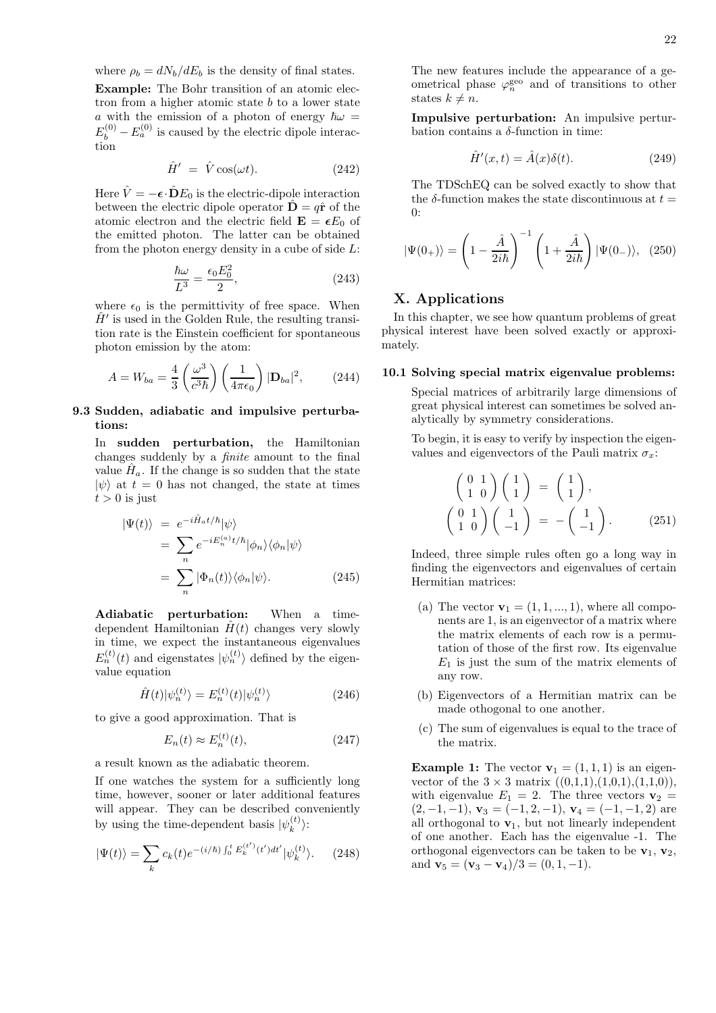where  $\rho_b = dN_b/dE_b$  is the density of final states. Example: The Bohr transition of an atomic electron from a higher atomic state  $b$  to a lower state a with the emission of a photon of energy  $\hbar\omega =$  $E_b^{(0)} - E_a^{(0)}$  is caused by the electric dipole interaction

$$
\hat{H}' = \hat{V}\cos(\omega t). \tag{242}
$$

Here  $\hat{V} = -\epsilon \cdot \hat{D} E_0$  is the electric-dipole interaction between the electric dipole operator  $\hat{\mathbf{D}} = q\hat{\mathbf{r}}$  of the atomic electron and the electric field  $\mathbf{E} = \epsilon E_0$  of the emitted photon. The latter can be obtained from the photon energy density in a cube of side  $L$ :

$$
\frac{\hbar\omega}{L^3} = \frac{\epsilon_0 E_0^2}{2},\tag{243}
$$

where  $\epsilon_0$  is the permittivity of free space. When  $\hat{H}'$  is used in the Golden Rule, the resulting transition rate is the Einstein coefficient for spontaneous photon emission by the atom:

$$
A = W_{ba} = \frac{4}{3} \left( \frac{\omega^3}{c^3 \hbar} \right) \left( \frac{1}{4\pi\epsilon_0} \right) |\mathbf{D}_{ba}|^2, \qquad (244)
$$

## 9.3 Sudden, adiabatic and impulsive perturbations:

In sudden perturbation, the Hamiltonian changes suddenly by a finite amount to the final value  $\hat{H}_a$ . If the change is so sudden that the state  $|\psi\rangle$  at  $t = 0$  has not changed, the state at times  $t > 0$  is just

$$
\begin{split} |\Psi(t)\rangle &= e^{-i\hat{H}_a t/\hbar} |\psi\rangle \\ &= \sum_n e^{-iE_n^{(a)}t/\hbar} |\phi_n\rangle \langle \phi_n | \psi \rangle \\ &= \sum_n |\Phi_n(t)\rangle \langle \phi_n | \psi \rangle. \end{split} \tag{245}
$$

Adiabatic perturbation: When a timedependent Hamiltonian  $\hat{H}(t)$  changes very slowly in time, we expect the instantaneous eigenvalues  $E_n^{(t)}(t)$  and eigenstates  $|\psi_n^{(t)}\rangle$  defined by the eigenvalue equation

$$
\hat{H}(t)|\psi_n^{(t)}\rangle = E_n^{(t)}(t)|\psi_n^{(t)}\rangle \tag{246}
$$

to give a good approximation. That is

$$
E_n(t) \approx E_n^{(t)}(t),\tag{247}
$$

a result known as the adiabatic theorem.

If one watches the system for a sufficiently long time, however, sooner or later additional features will appear. They can be described conveniently by using the time-dependent basis  $|\psi_k^{(t)}\rangle$  $\binom{l}{k}$ :

$$
|\Psi(t)\rangle = \sum_{k} c_k(t) e^{-(i/\hbar) \int_0^t E_k^{(t')}(t')dt'} |\psi_k^{(t)}\rangle. \tag{248}
$$

The new features include the appearance of a geometrical phase  $\varphi_n^{\text{geo}}$  and of transitions to other states  $k \neq n$ .

Impulsive perturbation: An impulsive perturbation contains a  $\delta$ -function in time:

$$
\hat{H}'(x,t) = \hat{A}(x)\delta(t). \tag{249}
$$

The TDSchEQ can be solved exactly to show that the  $\delta$ -function makes the state discontinuous at  $t =$ 0:

$$
|\Psi(0_+)\rangle = \left(1 - \frac{\hat{A}}{2i\hbar}\right)^{-1} \left(1 + \frac{\hat{A}}{2i\hbar}\right) |\Psi(0_-)\rangle, (250)
$$

# X. Applications

In this chapter, we see how quantum problems of great physical interest have been solved exactly or approximately.

#### 10.1 Solving special matrix eigenvalue problems:

Special matrices of arbitrarily large dimensions of great physical interest can sometimes be solved analytically by symmetry considerations.

To begin, it is easy to verify by inspection the eigenvalues and eigenvectors of the Pauli matrix  $\sigma_x$ :

$$
\begin{pmatrix}\n0 & 1 \\
1 & 0\n\end{pmatrix}\n\begin{pmatrix}\n1 \\
1\n\end{pmatrix} =\n\begin{pmatrix}\n1 \\
1\n\end{pmatrix},
$$
\n
$$
\begin{pmatrix}\n0 & 1 \\
1 & 0\n\end{pmatrix}\n\begin{pmatrix}\n1 \\
-1\n\end{pmatrix} = -\begin{pmatrix}\n1 \\
-1\n\end{pmatrix}.
$$
\n(251)

Indeed, three simple rules often go a long way in finding the eigenvectors and eigenvalues of certain Hermitian matrices:

- (a) The vector  $\mathbf{v}_1 = (1, 1, ..., 1)$ , where all components are 1, is an eigenvector of a matrix where the matrix elements of each row is a permutation of those of the first row. Its eigenvalue  $E_1$  is just the sum of the matrix elements of any row.
- (b) Eigenvectors of a Hermitian matrix can be made othogonal to one another.
- (c) The sum of eigenvalues is equal to the trace of the matrix.

**Example 1:** The vector  $\mathbf{v}_1 = (1, 1, 1)$  is an eigenvector of the  $3 \times 3$  matrix  $((0,1,1),(1,0,1),(1,1,0)),$ with eigenvalue  $E_1 = 2$ . The three vectors  $\mathbf{v}_2 =$  $(2, -1, -1),$   $\mathbf{v}_3 = (-1, 2, -1),$   $\mathbf{v}_4 = (-1, -1, 2)$  are all orthogonal to  $\mathbf{v}_1$ , but not linearly independent of one another. Each has the eigenvalue -1. The orthogonal eigenvectors can be taken to be  $v_1$ ,  $v_2$ , and  $\mathbf{v}_5 = (\mathbf{v}_3 - \mathbf{v}_4)/3 = (0, 1, -1).$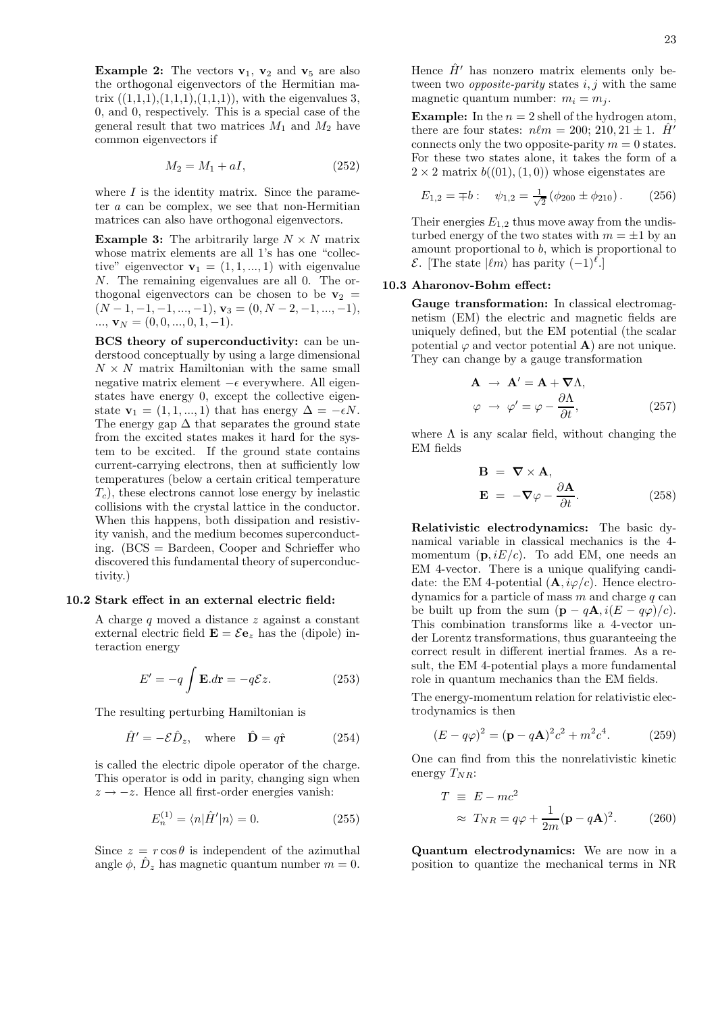**Example 2:** The vectors  $v_1$ ,  $v_2$  and  $v_5$  are also the orthogonal eigenvectors of the Hermitian matrix  $((1,1,1),(1,1,1),(1,1,1))$ , with the eigenvalues 3, 0, and 0, respectively. This is a special case of the general result that two matrices  $M_1$  and  $M_2$  have common eigenvectors if

$$
M_2 = M_1 + aI,\t\t(252)
$$

where  $I$  is the identity matrix. Since the parameter a can be complex, we see that non-Hermitian matrices can also have orthogonal eigenvectors.

**Example 3:** The arbitrarily large  $N \times N$  matrix whose matrix elements are all 1's has one "collective" eigenvector  $\mathbf{v}_1 = (1, 1, ..., 1)$  with eigenvalue N. The remaining eigenvalues are all 0. The orthogonal eigenvectors can be chosen to be  $v_2$  =  $(N-1, -1, -1, ..., -1),$   $\mathbf{v}_3 = (0, N-2, -1, ..., -1),$  $..., \mathbf{v}_N = (0, 0, ..., 0, 1, -1).$ 

BCS theory of superconductivity: can be understood conceptually by using a large dimensional  $N \times N$  matrix Hamiltonian with the same small negative matrix element  $-\epsilon$  everywhere. All eigenstates have energy 0, except the collective eigenstate  $\mathbf{v}_1 = (1, 1, ..., 1)$  that has energy  $\Delta = -\epsilon N$ . The energy gap  $\Delta$  that separates the ground state from the excited states makes it hard for the system to be excited. If the ground state contains current-carrying electrons, then at sufficiently low temperatures (below a certain critical temperature  $T_c$ , these electrons cannot lose energy by inelastic collisions with the crystal lattice in the conductor. When this happens, both dissipation and resistivity vanish, and the medium becomes superconducting. (BCS = Bardeen, Cooper and Schrieffer who discovered this fundamental theory of superconductivity.)

#### 10.2 Stark effect in an external electric field:

A charge q moved a distance z against a constant external electric field  $\mathbf{E} = \mathcal{E} \mathbf{e}_z$  has the (dipole) interaction energy

$$
E' = -q \int \mathbf{E} \cdot d\mathbf{r} = -q \mathcal{E} z.
$$
 (253)

The resulting perturbing Hamiltonian is

$$
\hat{H}' = -\mathcal{E}\hat{D}_z, \quad \text{where} \quad \hat{\mathbf{D}} = q\hat{\mathbf{r}} \tag{254}
$$

is called the electric dipole operator of the charge. This operator is odd in parity, changing sign when  $z \rightarrow -z$ . Hence all first-order energies vanish:

$$
E_n^{(1)} = \langle n|\hat{H}'|n\rangle = 0.
$$
 (255)

Since  $z = r \cos \theta$  is independent of the azimuthal angle  $\phi$ ,  $\hat{D}_z$  has magnetic quantum number  $m = 0$ . Hence  $\hat{H}'$  has nonzero matrix elements only between two *opposite-parity* states  $i, j$  with the same magnetic quantum number:  $m_i = m_j$ .

**Example:** In the  $n = 2$  shell of the hydrogen atom, there are four states:  $n\ell m = 200; 210, 21 \pm 1$ . H<sup>'</sup> connects only the two opposite-parity  $m = 0$  states. For these two states alone, it takes the form of a  $2 \times 2$  matrix  $b((01), (1, 0))$  whose eigenstates are

$$
E_{1,2} = \pm b: \quad \psi_{1,2} = \frac{1}{\sqrt{2}} \left( \phi_{200} \pm \phi_{210} \right). \tag{256}
$$

Their energies  $E_{1,2}$  thus move away from the undisturbed energy of the two states with  $m = \pm 1$  by an amount proportional to b, which is proportional to  $\mathcal{E}$ . [The state  $|\ell m\rangle$  has parity  $(-1)^{\ell}$ .]

#### 10.3 Aharonov-Bohm effect:

Gauge transformation: In classical electromagnetism (EM) the electric and magnetic fields are uniquely defined, but the EM potential (the scalar potential  $\varphi$  and vector potential **A**) are not unique. They can change by a gauge transformation

$$
\mathbf{A} \rightarrow \mathbf{A}' = \mathbf{A} + \nabla \Lambda,
$$
  

$$
\varphi \rightarrow \varphi' = \varphi - \frac{\partial \Lambda}{\partial t},
$$
 (257)

where  $\Lambda$  is any scalar field, without changing the EM fields

$$
\mathbf{B} = \nabla \times \mathbf{A},
$$
  

$$
\mathbf{E} = -\nabla \varphi - \frac{\partial \mathbf{A}}{\partial t}.
$$
 (258)

Relativistic electrodynamics: The basic dynamical variable in classical mechanics is the 4 momentum  $(p, iE/c)$ . To add EM, one needs an EM 4-vector. There is a unique qualifying candidate: the EM 4-potential  $(\mathbf{A}, i\varphi/c)$ . Hence electrodynamics for a particle of mass  $m$  and charge  $q$  can be built up from the sum  $(\mathbf{p} - q\mathbf{A}, i(E - q\varphi)/c)$ . This combination transforms like a 4-vector under Lorentz transformations, thus guaranteeing the correct result in different inertial frames. As a result, the EM 4-potential plays a more fundamental role in quantum mechanics than the EM fields.

The energy-momentum relation for relativistic electrodynamics is then

$$
(E - q\varphi)^2 = (\mathbf{p} - q\mathbf{A})^2 c^2 + m^2 c^4.
$$
 (259)

One can find from this the nonrelativistic kinetic energy  $T_{NR}$ :

$$
T \equiv E - mc^2
$$
  
\n
$$
\approx T_{NR} = q\varphi + \frac{1}{2m}(\mathbf{p} - q\mathbf{A})^2.
$$
 (260)

Quantum electrodynamics: We are now in a position to quantize the mechanical terms in NR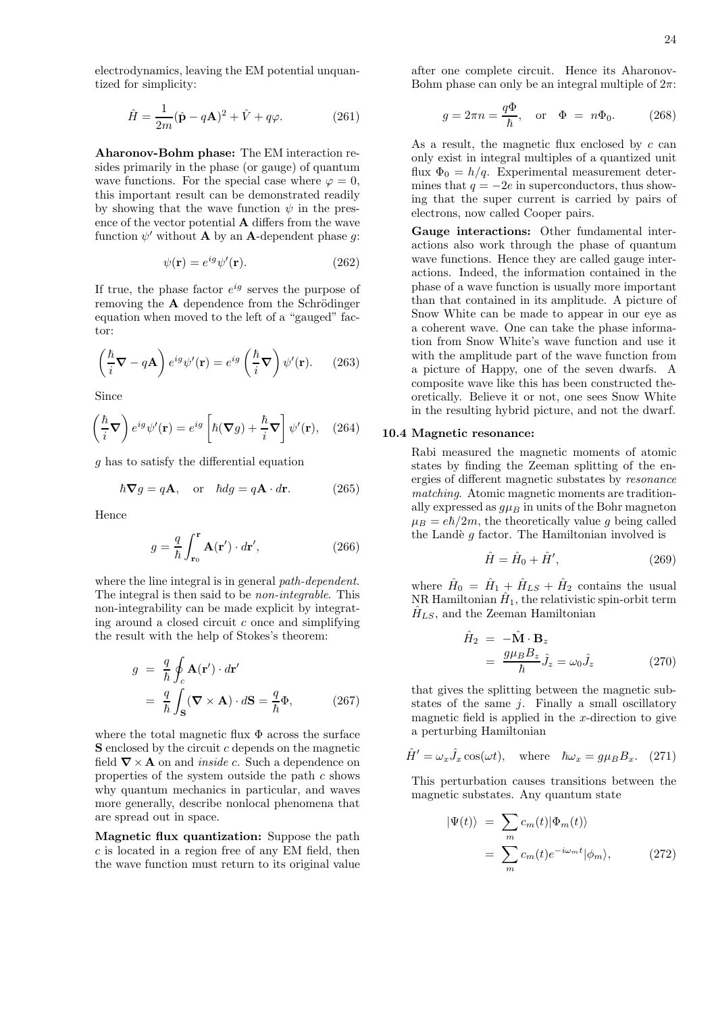electrodynamics, leaving the EM potential unquantized for simplicity:

$$
\hat{H} = \frac{1}{2m}(\hat{\mathbf{p}} - q\mathbf{A})^2 + \hat{V} + q\varphi.
$$
 (261)

Aharonov-Bohm phase: The EM interaction resides primarily in the phase (or gauge) of quantum wave functions. For the special case where  $\varphi = 0$ , this important result can be demonstrated readily by showing that the wave function  $\psi$  in the presence of the vector potential A differs from the wave function  $\psi'$  without **A** by an **A**-dependent phase g:

$$
\psi(\mathbf{r}) = e^{ig}\psi'(\mathbf{r}).\tag{262}
$$

If true, the phase factor  $e^{ig}$  serves the purpose of removing the  $A$  dependence from the Schrödinger equation when moved to the left of a "gauged" factor:

$$
\left(\frac{\hbar}{i}\nabla - q\mathbf{A}\right)e^{ig}\psi'(\mathbf{r}) = e^{ig}\left(\frac{\hbar}{i}\nabla\right)\psi'(\mathbf{r}).\qquad(263)
$$

Since

$$
\left(\frac{\hbar}{i}\nabla\right)e^{ig}\psi'(\mathbf{r}) = e^{ig}\left[\hbar(\nabla g) + \frac{\hbar}{i}\nabla\right]\psi'(\mathbf{r}), \quad (264)
$$

g has to satisfy the differential equation

$$
\hbar \nabla g = q \mathbf{A}, \quad \text{or} \quad \hbar dg = q \mathbf{A} \cdot d\mathbf{r}.
$$
 (265)

Hence

$$
g = \frac{q}{\hbar} \int_{\mathbf{r}_0}^{\mathbf{r}} \mathbf{A}(\mathbf{r}') \cdot d\mathbf{r}',\tag{266}
$$

where the line integral is in general *path-dependent*. The integral is then said to be *non-integrable*. This non-integrability can be made explicit by integrating around a closed circuit  $c$  once and simplifying the result with the help of Stokes's theorem:

$$
g = \frac{q}{\hbar} \oint_c \mathbf{A}(\mathbf{r}') \cdot d\mathbf{r}'
$$
  
=  $\frac{q}{\hbar} \int_S (\mathbf{\nabla} \times \mathbf{A}) \cdot d\mathbf{S} = \frac{q}{\hbar} \Phi,$  (267)

where the total magnetic flux  $\Phi$  across the surface  $S$  enclosed by the circuit c depends on the magnetic field  $\nabla \times \mathbf{A}$  on and *inside c*. Such a dependence on properties of the system outside the path c shows why quantum mechanics in particular, and waves more generally, describe nonlocal phenomena that are spread out in space.

Magnetic flux quantization: Suppose the path  $c$  is located in a region free of any EM field, then the wave function must return to its original value after one complete circuit. Hence its Aharonov-Bohm phase can only be an integral multiple of  $2\pi$ :

$$
g = 2\pi n = \frac{q\Phi}{\hbar}, \quad \text{or} \quad \Phi = n\Phi_0. \tag{268}
$$

As a result, the magnetic flux enclosed by c can only exist in integral multiples of a quantized unit flux  $\Phi_0 = h/q$ . Experimental measurement determines that  $q = -2e$  in superconductors, thus showing that the super current is carried by pairs of electrons, now called Cooper pairs.

Gauge interactions: Other fundamental interactions also work through the phase of quantum wave functions. Hence they are called gauge interactions. Indeed, the information contained in the phase of a wave function is usually more important than that contained in its amplitude. A picture of Snow White can be made to appear in our eye as a coherent wave. One can take the phase information from Snow White's wave function and use it with the amplitude part of the wave function from a picture of Happy, one of the seven dwarfs. A composite wave like this has been constructed theoretically. Believe it or not, one sees Snow White in the resulting hybrid picture, and not the dwarf.

#### 10.4 Magnetic resonance:

Rabi measured the magnetic moments of atomic states by finding the Zeeman splitting of the energies of different magnetic substates by resonance matching. Atomic magnetic moments are traditionally expressed as  $g\mu_B$  in units of the Bohr magneton  $\mu_B = e\hbar/2m$ , the theoretically value g being called the Landè  $g$  factor. The Hamiltonian involved is

$$
\hat{H} = \hat{H}_0 + \hat{H}',\tag{269}
$$

where  $\hat{H}_0 = \hat{H}_1 + \hat{H}_{LS} + \hat{H}_2$  contains the usual  $NR$  Hamiltonian  $\hat{H}_1$ , the relativistic spin-orbit term  $\hat{H}_{LS}$ , and the Zeeman Hamiltonian

$$
\hat{H}_2 = -\hat{\mathbf{M}} \cdot \mathbf{B}_z \n= \frac{g\mu_B B_z}{\hbar} \hat{J}_z = \omega_0 \hat{J}_z
$$
\n(270)

that gives the splitting between the magnetic substates of the same  $j$ . Finally a small oscillatory magnetic field is applied in the  $x$ -direction to give a perturbing Hamiltonian

$$
\hat{H}' = \omega_x \hat{J}_x \cos(\omega t), \quad \text{where} \quad \hbar \omega_x = g \mu_B B_x. \tag{271}
$$

This perturbation causes transitions between the magnetic substates. Any quantum state

$$
\begin{aligned} |\Psi(t)\rangle &= \sum_{m} c_m(t) |\Phi_m(t)\rangle \\ &= \sum_{m} c_m(t) e^{-i\omega_m t} |\phi_m\rangle, \end{aligned} \tag{272}
$$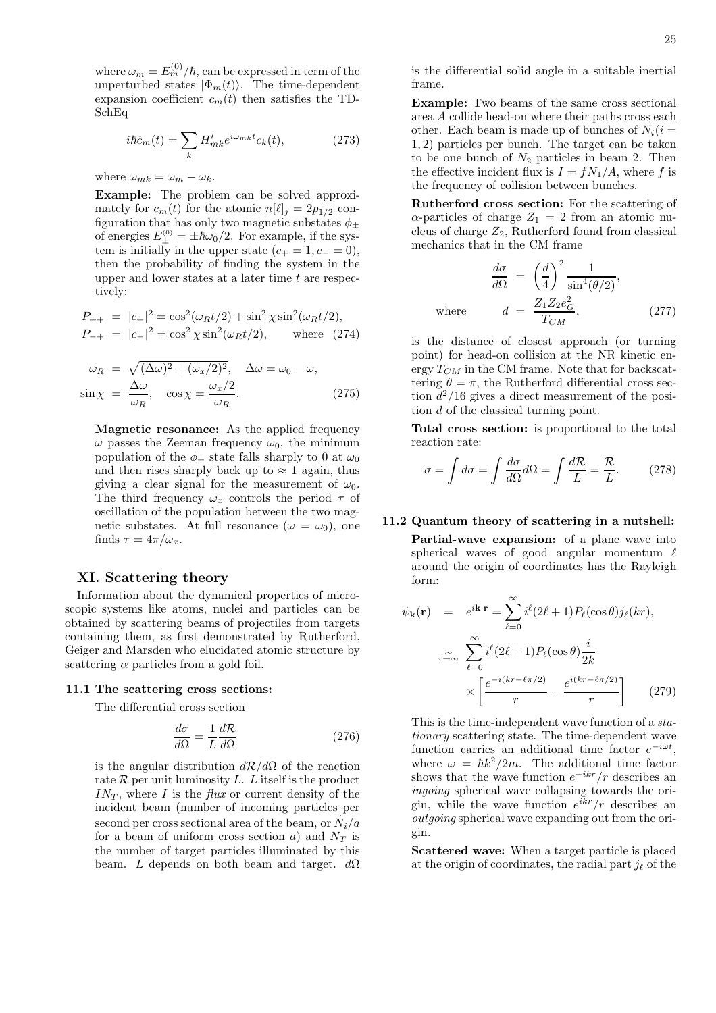where  $\omega_m = E_m^{(0)}/\hbar$ , can be expressed in term of the unperturbed states  $|\Phi_m(t)\rangle$ . The time-dependent expansion coefficient  $c_m(t)$  then satisfies the TD-SchEq

$$
i\hbar \dot{c}_m(t) = \sum_k H'_{mk} e^{i\omega_{mk}t} c_k(t),\tag{273}
$$

where  $\omega_{mk} = \omega_m - \omega_k$ .

Example: The problem can be solved approximately for  $c_m(t)$  for the atomic  $n[\ell]_j = 2p_{1/2}$  configuration that has only two magnetic substates  $\phi_{\pm}$ of energies  $E_{\pm}^{(0)} = \pm \hbar \omega_0/2$ . For example, if the system is initially in the upper state  $(c_{+} = 1, c_{-} = 0),$ then the probability of finding the system in the upper and lower states at a later time  $t$  are respectively:

$$
P_{++} = |c_{+}|^{2} = \cos^{2}(\omega_{R}t/2) + \sin^{2}\chi\sin^{2}(\omega_{R}t/2),
$$
  
\n
$$
P_{-+} = |c_{-}|^{2} = \cos^{2}\chi\sin^{2}(\omega_{R}t/2), \quad \text{where} \quad (274)
$$

$$
\omega_R = \sqrt{(\Delta \omega)^2 + (\omega_x/2)^2}, \quad \Delta \omega = \omega_0 - \omega,
$$
  
\n
$$
\sin \chi = \frac{\Delta \omega}{\omega_R}, \quad \cos \chi = \frac{\omega_x/2}{\omega_R}.
$$
\n(275)

Magnetic resonance: As the applied frequency  $\omega$  passes the Zeeman frequency  $\omega_0$ , the minimum population of the  $\phi_+$  state falls sharply to 0 at  $\omega_0$ and then rises sharply back up to  $\approx 1$  again, thus giving a clear signal for the measurement of  $\omega_0$ . The third frequency  $\omega_x$  controls the period  $\tau$  of oscillation of the population between the two magnetic substates. At full resonance  $(\omega = \omega_0)$ , one finds  $\tau = 4\pi/\omega_x$ .

# XI. Scattering theory

Information about the dynamical properties of microscopic systems like atoms, nuclei and particles can be obtained by scattering beams of projectiles from targets containing them, as first demonstrated by Rutherford, Geiger and Marsden who elucidated atomic structure by scattering  $\alpha$  particles from a gold foil.

#### 11.1 The scattering cross sections:

The differential cross section

$$
\frac{d\sigma}{d\Omega} = \frac{1}{L} \frac{d\mathcal{R}}{d\Omega} \tag{276}
$$

is the angular distribution  $d\mathcal{R}/d\Omega$  of the reaction rate  $\mathcal R$  per unit luminosity L. L itself is the product  $IN_T$ , where I is the flux or current density of the incident beam (number of incoming particles per second per cross sectional area of the beam, or  $\dot{N}_i/a$ for a beam of uniform cross section a) and  $N_T$  is the number of target particles illuminated by this beam. L depends on both beam and target.  $d\Omega$  is the differential solid angle in a suitable inertial frame.

Example: Two beams of the same cross sectional area A collide head-on where their paths cross each other. Each beam is made up of bunches of  $N_i(i =$ 1, 2) particles per bunch. The target can be taken to be one bunch of  $N_2$  particles in beam 2. Then the effective incident flux is  $I = fN_1/A$ , where f is the frequency of collision between bunches.

Rutherford cross section: For the scattering of  $\alpha$ -particles of charge  $Z_1 = 2$  from an atomic nucleus of charge  $Z_2$ , Rutherford found from classical mechanics that in the CM frame

$$
\frac{d\sigma}{d\Omega} = \left(\frac{d}{4}\right)^2 \frac{1}{\sin^4(\theta/2)},
$$
\nwhere

\n
$$
d = \frac{Z_1 Z_2 e_G^2}{T_{CM}},
$$
\n(277)

is the distance of closest approach (or turning point) for head-on collision at the NR kinetic energy  $T_{CM}$  in the CM frame. Note that for backscattering  $\theta = \pi$ , the Rutherford differential cross section  $d^2/16$  gives a direct measurement of the position d of the classical turning point.

Total cross section: is proportional to the total reaction rate:

$$
\sigma = \int d\sigma = \int \frac{d\sigma}{d\Omega} d\Omega = \int \frac{d\mathcal{R}}{L} = \frac{\mathcal{R}}{L}.
$$
 (278)

# 11.2 Quantum theory of scattering in a nutshell:

Partial-wave expansion: of a plane wave into spherical waves of good angular momentum  $\ell$ around the origin of coordinates has the Rayleigh form:

$$
\psi_{\mathbf{k}}(\mathbf{r}) = e^{i\mathbf{k}\cdot\mathbf{r}} = \sum_{\ell=0}^{\infty} i^{\ell} (2\ell+1) P_{\ell}(\cos\theta) j_{\ell}(kr),
$$

$$
\sum_{r \to \infty}^{\infty} \sum_{\ell=0}^{\infty} i^{\ell} (2\ell+1) P_{\ell}(\cos\theta) \frac{i}{2k}
$$

$$
\times \left[ \frac{e^{-i(kr-\ell\pi/2)}}{r} - \frac{e^{i(kr-\ell\pi/2)}}{r} \right] \qquad (279)
$$

This is the time-independent wave function of a stationary scattering state. The time-dependent wave function carries an additional time factor  $e^{-i\omega t}$ , where  $\omega = \hbar k^2 / 2m$ . The additional time factor shows that the wave function  $e^{-ikr}/r$  describes an ingoing spherical wave collapsing towards the origin, while the wave function  $e^{ikr}/r$  describes an outgoing spherical wave expanding out from the origin.

Scattered wave: When a target particle is placed at the origin of coordinates, the radial part  $j_{\ell}$  of the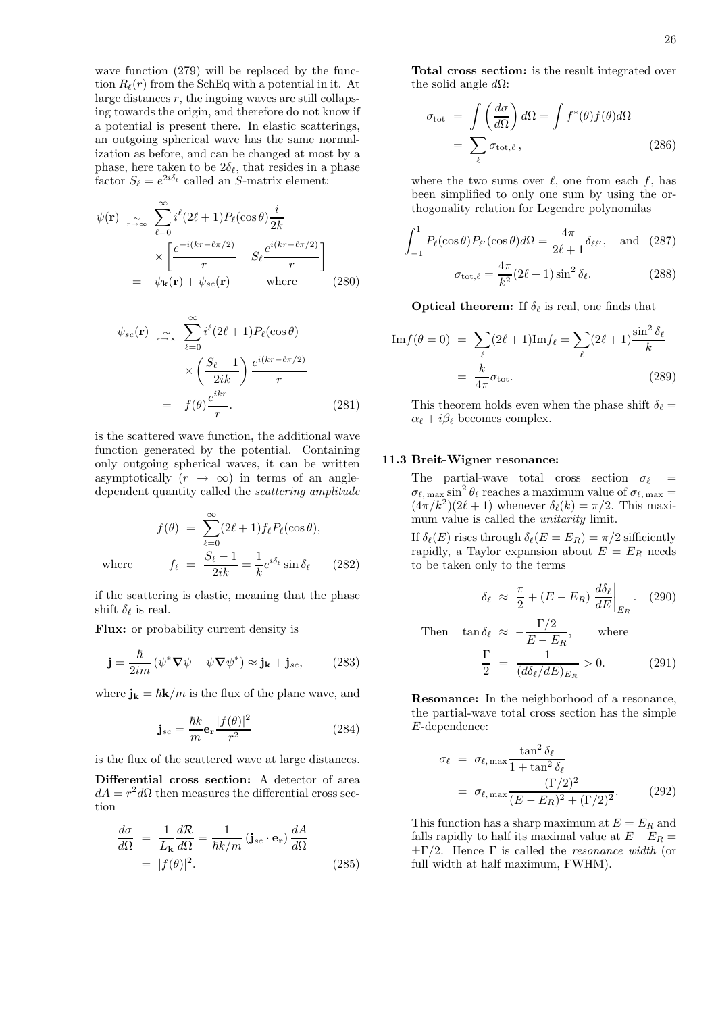wave function (279) will be replaced by the function  $R_{\ell}(r)$  from the SchEq with a potential in it. At large distances  $r$ , the ingoing waves are still collapsing towards the origin, and therefore do not know if a potential is present there. In elastic scatterings, an outgoing spherical wave has the same normalization as before, and can be changed at most by a phase, here taken to be  $2\delta_{\ell}$ , that resides in a phase factor  $S_{\ell} = e^{2i\delta_{\ell}}$  called an S-matrix element:

$$
\psi(\mathbf{r}) \underset{r \to \infty}{\sim} \sum_{\ell=0}^{\infty} i^{\ell} (2\ell+1) P_{\ell}(\cos \theta) \frac{i}{2k} \times \left[ \frac{e^{-i(kr-\ell\pi/2)}}{r} - S_{\ell} \frac{e^{i(kr-\ell\pi/2)}}{r} \right] \n= \psi_{\mathbf{k}}(\mathbf{r}) + \psi_{sc}(\mathbf{r}) \quad \text{where} \quad (280)
$$

$$
\psi_{sc}(\mathbf{r}) \underset{r \to \infty}{\sim} \sum_{\ell=0}^{\infty} i^{\ell} (2\ell+1) P_{\ell}(\cos \theta)
$$

$$
\times \left(\frac{S_{\ell}-1}{2ik}\right) \frac{e^{i(kr-\ell\pi/2)}}{r}
$$

$$
= f(\theta) \frac{e^{ikr}}{r}.
$$
(281)

is the scattered wave function, the additional wave function generated by the potential. Containing only outgoing spherical waves, it can be written asymptotically  $(r \rightarrow \infty)$  in terms of an angledependent quantity called the scattering amplitude

$$
f(\theta) = \sum_{\ell=0}^{\infty} (2\ell + 1) f_{\ell} P_{\ell}(\cos \theta),
$$

$$
f_{\ell} = \frac{S_{\ell} - 1}{2ik} = \frac{1}{k} e^{i\delta_{\ell}} \sin \delta_{\ell} \qquad (282)
$$

where

if the scattering is elastic, meaning that the phase shift  $\delta_{\ell}$  is real.

Flux: or probability current density is

$$
\mathbf{j} = \frac{\hbar}{2im} \left( \psi^* \nabla \psi - \psi \nabla \psi^* \right) \approx \mathbf{j}_\mathbf{k} + \mathbf{j}_{sc},\qquad(283)
$$

where  $\mathbf{j_k} = \hbar \mathbf{k}/m$  is the flux of the plane wave, and

$$
\mathbf{j}_{sc} = \frac{\hbar k}{m} \mathbf{e_r} \frac{|f(\theta)|^2}{r^2} \tag{284}
$$

is the flux of the scattered wave at large distances.

Differential cross section: A detector of area  $dA = r^2 d\Omega$  then measures the differential cross section

$$
\frac{d\sigma}{d\Omega} = \frac{1}{L_{\mathbf{k}}} \frac{d\mathcal{R}}{d\Omega} = \frac{1}{\hbar k/m} \left( \mathbf{j}_{sc} \cdot \mathbf{e}_{\mathbf{r}} \right) \frac{dA}{d\Omega}
$$
\n
$$
= |f(\theta)|^2. \tag{285}
$$

Total cross section: is the result integrated over the solid angle  $d\Omega$ :

$$
\sigma_{\text{tot}} = \int \left(\frac{d\sigma}{d\Omega}\right) d\Omega = \int f^*(\theta) f(\theta) d\Omega
$$

$$
= \sum_{\ell} \sigma_{\text{tot}, \ell} , \qquad (286)
$$

where the two sums over  $\ell$ , one from each f, has been simplified to only one sum by using the orthogonality relation for Legendre polynomilas

$$
\int_{-1}^{1} P_{\ell}(\cos \theta) P_{\ell'}(\cos \theta) d\Omega = \frac{4\pi}{2\ell + 1} \delta_{\ell \ell'}, \text{ and } (287)
$$

$$
\sigma_{\text{tot}, \ell} = \frac{4\pi}{k^2} (2\ell + 1) \sin^2 \delta_{\ell}. \tag{288}
$$

**Optical theorem:** If  $\delta_{\ell}$  is real, one finds that

$$
\text{Im} f(\theta = 0) = \sum_{\ell} (2\ell + 1) \text{Im} f_{\ell} = \sum_{\ell} (2\ell + 1) \frac{\sin^2 \delta_{\ell}}{k}
$$

$$
= \frac{k}{4\pi} \sigma_{\text{tot}}.
$$
(289)

This theorem holds even when the phase shift  $\delta_{\ell} =$  $\alpha_{\ell} + i \beta_{\ell}$  becomes complex.

#### 11.3 Breit-Wigner resonance:

The partial-wave total cross section  $\sigma_{\ell}$  =  $\sigma_{\ell, \text{ max}} \sin^2 \theta_{\ell}$  reaches a maximum value of  $\sigma_{\ell, \text{ max}} =$  $(4\pi/k^2)(2\ell+1)$  whenever  $\delta_{\ell}(k) = \pi/2$ . This maximum value is called the *unitarity* limit.

If  $\delta_{\ell}(E)$  rises through  $\delta_{\ell}(E = E_R) = \pi/2$  sifficiently rapidly, a Taylor expansion about  $E = E_R$  needs to be taken only to the terms

$$
\delta_{\ell} \approx \frac{\pi}{2} + (E - E_R) \left. \frac{d\delta_{\ell}}{dE} \right|_{E_R} .
$$
 (290)

Then  $\tan \delta_\ell \approx -\frac{\Gamma/2}{E-E}$ , where

$$
\frac{\Gamma}{2} = \frac{1}{(d\delta_{\ell}/dE)_{E_R}} > 0.
$$
 (291)

Resonance: In the neighborhood of a resonance, the partial-wave total cross section has the simple E-dependence:

$$
\sigma_{\ell} = \sigma_{\ell, \max} \frac{\tan^2 \delta_{\ell}}{1 + \tan^2 \delta_{\ell}}
$$
  
=  $\sigma_{\ell, \max} \frac{(\Gamma/2)^2}{(E - E_R)^2 + (\Gamma/2)^2}$ . (292)

This function has a sharp maximum at  $E = E_R$  and falls rapidly to half its maximal value at  $E - E_R =$  $\pm \Gamma/2$ . Hence  $\Gamma$  is called the *resonance width* (or full width at half maximum, FWHM).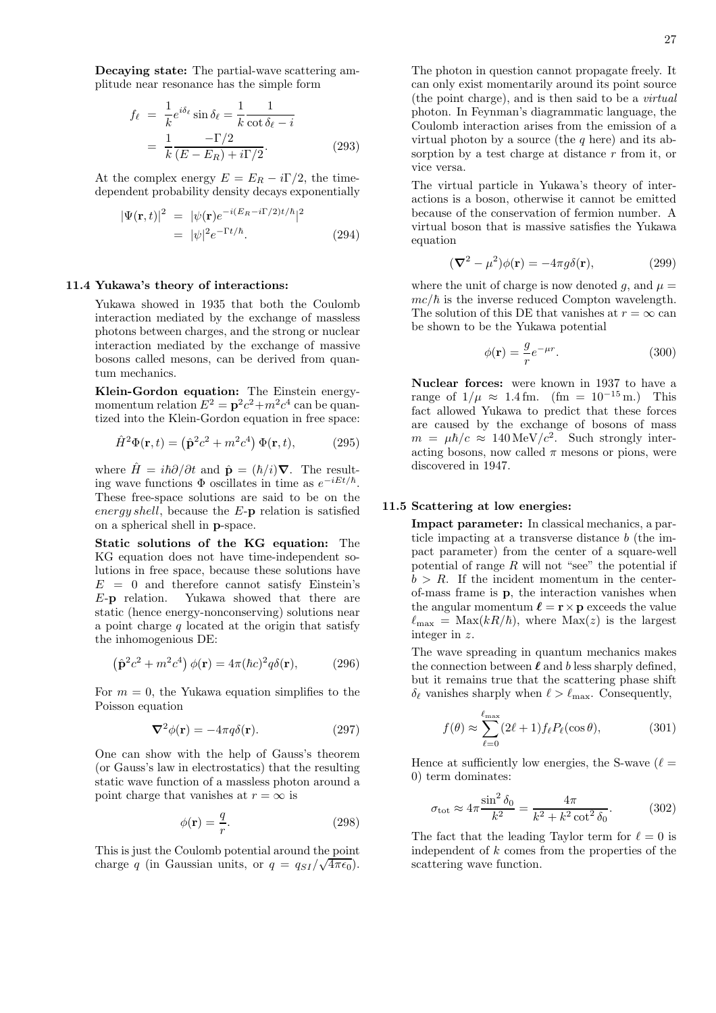Decaying state: The partial-wave scattering amplitude near resonance has the simple form

$$
f_{\ell} = \frac{1}{k} e^{i\delta_{\ell}} \sin \delta_{\ell} = \frac{1}{k} \frac{1}{\cot \delta_{\ell} - i}
$$

$$
= \frac{1}{k} \frac{-\Gamma/2}{(E - E_R) + i\Gamma/2}.
$$
(293)

At the complex energy  $E = E_R - i\Gamma/2$ , the timedependent probability density decays exponentially

$$
|\Psi(\mathbf{r},t)|^2 = |\psi(\mathbf{r})e^{-i(E_R - i\Gamma/2)t/\hbar}|^2
$$
  
=  $|\psi|^2 e^{-\Gamma t/\hbar}$ . (294)

# 11.4 Yukawa's theory of interactions:

Yukawa showed in 1935 that both the Coulomb interaction mediated by the exchange of massless photons between charges, and the strong or nuclear interaction mediated by the exchange of massive bosons called mesons, can be derived from quantum mechanics.

Klein-Gordon equation: The Einstein energymomentum relation  $E^2 = \mathbf{p}^2 c^2 + m^2 c^4$  can be quantized into the Klein-Gordon equation in free space:

$$
\hat{H}^2 \Phi(\mathbf{r}, t) = (\hat{\mathbf{p}}^2 c^2 + m^2 c^4) \Phi(\mathbf{r}, t), \quad (295)
$$

where  $\hat{H} = i\hbar \partial/\partial t$  and  $\hat{\mathbf{p}} = (\hbar/i)\nabla$ . The resulting wave functions  $\Phi$  oscillates in time as  $e^{-iEt/\hbar}$ . These free-space solutions are said to be on the energy shell, because the  $E$ -p relation is satisfied on a spherical shell in p-space.

Static solutions of the KG equation: The KG equation does not have time-independent solutions in free space, because these solutions have  $E = 0$  and therefore cannot satisfy Einstein's E-p relation. Yukawa showed that there are static (hence energy-nonconserving) solutions near a point charge  $q$  located at the origin that satisfy the inhomogenious DE:

$$
\left(\hat{\mathbf{p}}^2 c^2 + m^2 c^4\right) \phi(\mathbf{r}) = 4\pi (\hbar c)^2 q \delta(\mathbf{r}),\tag{296}
$$

For  $m = 0$ , the Yukawa equation simplifies to the Poisson equation

$$
\nabla^2 \phi(\mathbf{r}) = -4\pi q \delta(\mathbf{r}).\tag{297}
$$

One can show with the help of Gauss's theorem (or Gauss's law in electrostatics) that the resulting static wave function of a massless photon around a point charge that vanishes at  $r = \infty$  is

$$
\phi(\mathbf{r}) = \frac{q}{r}.\tag{298}
$$

This is just the Coulomb potential around the point charge q (in Gaussian units, or  $q = q_{SI}/\sqrt{4\pi\epsilon_0}$ ). The photon in question cannot propagate freely. It can only exist momentarily around its point source (the point charge), and is then said to be a virtual photon. In Feynman's diagrammatic language, the Coulomb interaction arises from the emission of a virtual photon by a source (the  $q$  here) and its absorption by a test charge at distance r from it, or vice versa.

The virtual particle in Yukawa's theory of interactions is a boson, otherwise it cannot be emitted because of the conservation of fermion number. A virtual boson that is massive satisfies the Yukawa equation

$$
(\nabla^2 - \mu^2)\phi(\mathbf{r}) = -4\pi g\delta(\mathbf{r}),\tag{299}
$$

where the unit of charge is now denoted g, and  $\mu =$  $mc/\hbar$  is the inverse reduced Compton wavelength. The solution of this DE that vanishes at  $r = \infty$  can be shown to be the Yukawa potential

$$
\phi(\mathbf{r}) = \frac{g}{r} e^{-\mu r}.
$$
\n(300)

Nuclear forces: were known in 1937 to have a range of  $1/\mu \approx 1.4$  fm. (fm =  $10^{-15}$  m.) This fact allowed Yukawa to predict that these forces are caused by the exchange of bosons of mass  $m = \mu \hbar/c \approx 140 \,\text{MeV}/c^2$ . Such strongly interacting bosons, now called  $\pi$  mesons or pions, were discovered in 1947.

#### 11.5 Scattering at low energies:

Impact parameter: In classical mechanics, a particle impacting at a transverse distance b (the impact parameter) from the center of a square-well potential of range  $R$  will not "see" the potential if  $b > R$ . If the incident momentum in the centerof-mass frame is p, the interaction vanishes when the angular momentum  $\ell = \mathbf{r} \times \mathbf{p}$  exceeds the value  $\ell_{\text{max}} = \text{Max}(kR/\hbar)$ , where  $\text{Max}(z)$  is the largest integer in z.

The wave spreading in quantum mechanics makes the connection between  $\ell$  and b less sharply defined, but it remains true that the scattering phase shift  $\delta_{\ell}$  vanishes sharply when  $\ell > \ell_{\text{max}}$ . Consequently,

$$
f(\theta) \approx \sum_{\ell=0}^{\ell_{\text{max}}} (2\ell+1) f_{\ell} P_{\ell}(\cos \theta), \tag{301}
$$

Hence at sufficiently low energies, the S-wave  $(\ell =$ 0) term dominates:

$$
\sigma_{\text{tot}} \approx 4\pi \frac{\sin^2 \delta_0}{k^2} = \frac{4\pi}{k^2 + k^2 \cot^2 \delta_0}.
$$
 (302)

The fact that the leading Taylor term for  $\ell = 0$  is independent of k comes from the properties of the scattering wave function.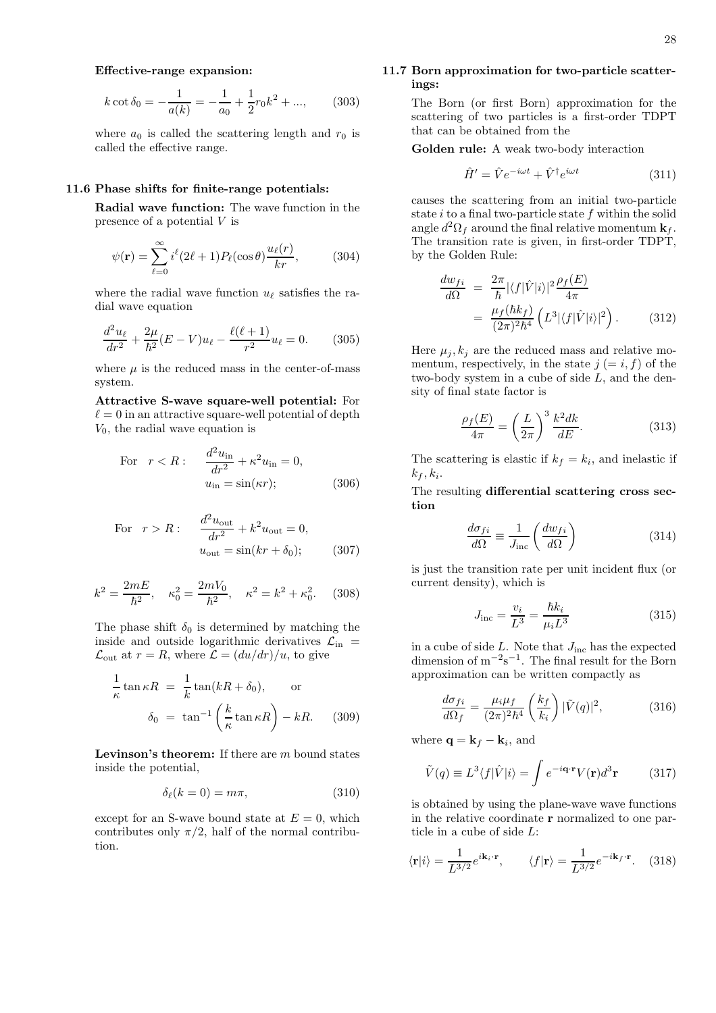## Effective-range expansion:

$$
k \cot \delta_0 = -\frac{1}{a(k)} = -\frac{1}{a_0} + \frac{1}{2}r_0 k^2 + ..., \qquad (303)
$$

where  $a_0$  is called the scattering length and  $r_0$  is called the effective range.

#### 11.6 Phase shifts for finite-range potentials:

Radial wave function: The wave function in the presence of a potential V is

$$
\psi(\mathbf{r}) = \sum_{\ell=0}^{\infty} i^{\ell} (2\ell+1) P_{\ell}(\cos \theta) \frac{u_{\ell}(r)}{kr}, \quad (304)
$$

where the radial wave function  $u_{\ell}$  satisfies the radial wave equation

$$
\frac{d^2u_{\ell}}{dr^2} + \frac{2\mu}{\hbar^2}(E - V)u_{\ell} - \frac{\ell(\ell+1)}{r^2}u_{\ell} = 0.
$$
 (305)

where  $\mu$  is the reduced mass in the center-of-mass system.

## Attractive S-wave square-well potential: For  $\ell = 0$  in an attractive square-well potential of depth  $V_0$ , the radial wave equation is

For 
$$
r < R
$$
: 
$$
\frac{d^2 u_{\text{in}}}{dr^2} + \kappa^2 u_{\text{in}} = 0,
$$

$$
u_{\text{in}} = \sin(\kappa r); \tag{306}
$$

For 
$$
r > R
$$
: 
$$
\frac{d^2 u_{\text{out}}}{dr^2} + k^2 u_{\text{out}} = 0,
$$

$$
u_{\text{out}} = \sin(kr + \delta_0); \qquad (307)
$$

$$
k^2 = \frac{2mE}{\hbar^2}
$$
,  $\kappa_0^2 = \frac{2mV_0}{\hbar^2}$ ,  $\kappa^2 = k^2 + \kappa_0^2$ . (308)

The phase shift  $\delta_0$  is determined by matching the inside and outside logarithmic derivatives  $\mathcal{L}_{\text{in}}$  =  $\mathcal{L}_{\text{out}}$  at  $r = R$ , where  $\mathcal{L} = (du/dr)/u$ , to give

$$
\frac{1}{\kappa} \tan \kappa R = \frac{1}{k} \tan(kR + \delta_0), \quad \text{or}
$$

$$
\delta_0 = \tan^{-1} \left(\frac{k}{\kappa} \tan \kappa R\right) - kR. \quad (309)
$$

**Levinson's theorem:** If there are  $m$  bound states inside the potential,

$$
\delta_{\ell}(k=0) = m\pi, \tag{310}
$$

except for an S-wave bound state at  $E = 0$ , which contributes only  $\pi/2$ , half of the normal contribution.

## 11.7 Born approximation for two-particle scatterings:

The Born (or first Born) approximation for the scattering of two particles is a first-order TDPT that can be obtained from the

Golden rule: A weak two-body interaction

$$
\hat{H}' = \hat{V}e^{-i\omega t} + \hat{V}^{\dagger}e^{i\omega t}
$$
\n(311)

causes the scattering from an initial two-particle state  $i$  to a final two-particle state  $f$  within the solid angle  $d^2\Omega_f$  around the final relative momentum  $\mathbf{k}_f$ . The transition rate is given, in first-order TDPT, by the Golden Rule:

$$
\frac{dw_{fi}}{d\Omega} = \frac{2\pi}{\hbar} |\langle f|\hat{V}|i\rangle|^2 \frac{\rho_f(E)}{4\pi}
$$

$$
= \frac{\mu_f(\hbar k_f)}{(2\pi)^2 \hbar^4} \left( L^3 |\langle f|\hat{V}|i\rangle|^2 \right). \tag{312}
$$

Here  $\mu_i, k_i$  are the reduced mass and relative momentum, respectively, in the state  $j (= i, f)$  of the two-body system in a cube of side L, and the density of final state factor is

$$
\frac{\rho_f(E)}{4\pi} = \left(\frac{L}{2\pi}\right)^3 \frac{k^2 dk}{dE}.\tag{313}
$$

The scattering is elastic if  $k_f = k_i$ , and inelastic if  $k_f, k_i$ .

The resulting differential scattering cross section

$$
\frac{d\sigma_{fi}}{d\Omega} \equiv \frac{1}{J_{\text{inc}}} \left( \frac{dw_{fi}}{d\Omega} \right)
$$
(314)

is just the transition rate per unit incident flux (or current density), which is

$$
J_{\text{inc}} = \frac{v_i}{L^3} = \frac{\hbar k_i}{\mu_i L^3} \tag{315}
$$

in a cube of side  $L$ . Note that  $J_{\text{inc}}$  has the expected dimension of  $m^{-2}s^{-1}$ . The final result for the Born approximation can be written compactly as

$$
\frac{d\sigma_{fi}}{d\Omega_f} = \frac{\mu_i \mu_f}{(2\pi)^2 \hbar^4} \left(\frac{k_f}{k_i}\right) |\tilde{V}(q)|^2, \tag{316}
$$

where  $\mathbf{q} = \mathbf{k}_f - \mathbf{k}_i$ , and

$$
\tilde{V}(q) \equiv L^3 \langle f | \hat{V} | i \rangle = \int e^{-i\mathbf{q} \cdot \mathbf{r}} V(\mathbf{r}) d^3 \mathbf{r} \tag{317}
$$

is obtained by using the plane-wave wave functions in the relative coordinate r normalized to one particle in a cube of side L:

$$
\langle \mathbf{r}|i\rangle = \frac{1}{L^{3/2}} e^{i\mathbf{k}_i \cdot \mathbf{r}}, \qquad \langle f|\mathbf{r}\rangle = \frac{1}{L^{3/2}} e^{-i\mathbf{k}_f \cdot \mathbf{r}}. \tag{318}
$$